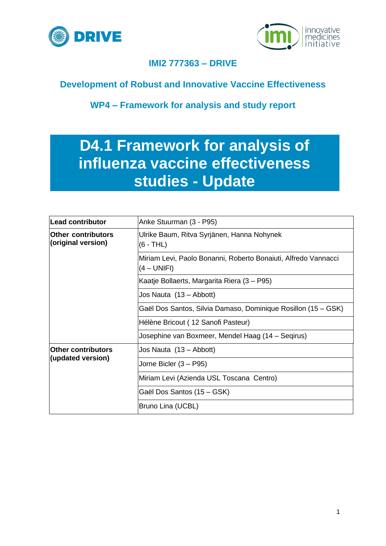



## **IMI2 777363 – DRIVE**

## **Development of Robust and Innovative Vaccine Effectiveness**

**WP4 – Framework for analysis and study report**

# **D4.1 Framework for analysis of influenza vaccine effectiveness studies - Update**

| Lead contributor                                | Anke Stuurman (3 - P95)                                                       |  |  |
|-------------------------------------------------|-------------------------------------------------------------------------------|--|--|
| <b>Other contributors</b><br>(original version) | Ulrike Baum, Ritva Syrjänen, Hanna Nohynek<br>(6 - THL)                       |  |  |
|                                                 | Miriam Levi, Paolo Bonanni, Roberto Bonaiuti, Alfredo Vannacci<br>(4 – UNIFI) |  |  |
|                                                 | Kaatje Bollaerts, Margarita Riera (3 – P95)                                   |  |  |
|                                                 | Jos Nauta (13 – Abbott)                                                       |  |  |
|                                                 | Gaël Dos Santos, Silvia Damaso, Dominique Rosillon (15 – GSK)                 |  |  |
|                                                 | Hélène Bricout (12 Sanofi Pasteur)                                            |  |  |
|                                                 | Josephine van Boxmeer, Mendel Haag (14 – Seqirus)                             |  |  |
| <b>Other contributors</b>                       | Jos Nauta (13 – Abbott)                                                       |  |  |
| (updated version)                               | Jorne Bicler (3 – P95)                                                        |  |  |
|                                                 | Miriam Levi (Azienda USL Toscana Centro)                                      |  |  |
|                                                 | Gaël Dos Santos (15 – GSK)                                                    |  |  |
|                                                 | Bruno Lina (UCBL)                                                             |  |  |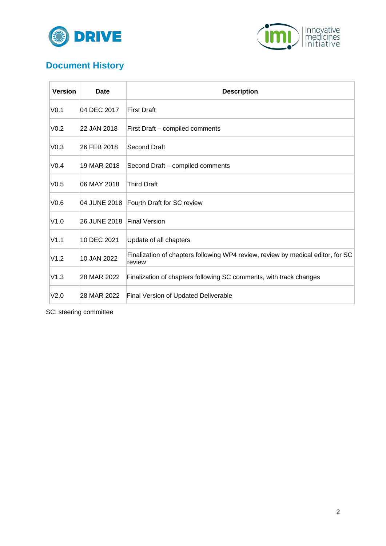



## **Document History**

| <b>Version</b>   | Date         | <b>Description</b>                                                                        |
|------------------|--------------|-------------------------------------------------------------------------------------------|
| V <sub>0.1</sub> | 04 DEC 2017  | First Draft                                                                               |
| V <sub>0.2</sub> | 22 JAN 2018  | First Draft - compiled comments                                                           |
| V <sub>0.3</sub> | 26 FEB 2018  | Second Draft                                                                              |
| V <sub>0.4</sub> | 19 MAR 2018  | Second Draft – compiled comments                                                          |
| V <sub>0.5</sub> | 06 MAY 2018  | <b>Third Draft</b>                                                                        |
| V0.6             | 04 JUNE 2018 | Fourth Draft for SC review                                                                |
| V1.0             | 26 JUNE 2018 | <b>Final Version</b>                                                                      |
| V1.1             | 10 DEC 2021  | Update of all chapters                                                                    |
| V1.2             | 10 JAN 2022  | Finalization of chapters following WP4 review, review by medical editor, for SC<br>review |
| V1.3             | 28 MAR 2022  | Finalization of chapters following SC comments, with track changes                        |
| V2.0             | 28 MAR 2022  | Final Version of Updated Deliverable                                                      |

SC: steering committee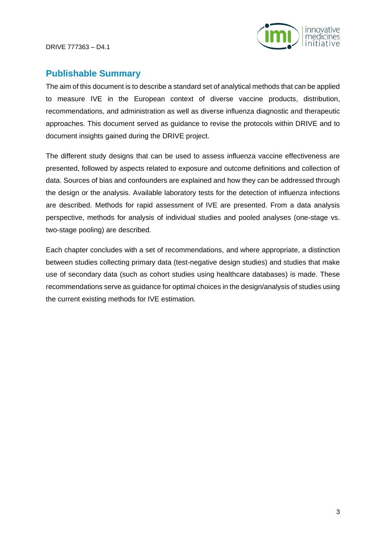

### **Publishable Summary**

The aim of this document is to describe a standard set of analytical methods that can be applied to measure IVE in the European context of diverse vaccine products, distribution, recommendations, and administration as well as diverse influenza diagnostic and therapeutic approaches. This document served as guidance to revise the protocols within DRIVE and to document insights gained during the DRIVE project.

The different study designs that can be used to assess influenza vaccine effectiveness are presented, followed by aspects related to exposure and outcome definitions and collection of data. Sources of bias and confounders are explained and how they can be addressed through the design or the analysis. Available laboratory tests for the detection of influenza infections are described. Methods for rapid assessment of IVE are presented. From a data analysis perspective, methods for analysis of individual studies and pooled analyses (one-stage vs. two-stage pooling) are described.

Each chapter concludes with a set of recommendations, and where appropriate, a distinction between studies collecting primary data (test-negative design studies) and studies that make use of secondary data (such as cohort studies using healthcare databases) is made. These recommendations serve as guidance for optimal choices in the design/analysis of studies using the current existing methods for IVE estimation.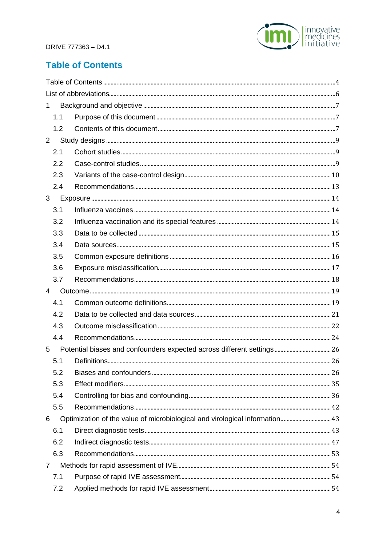

## <span id="page-3-0"></span>**Table of Contents**

| $\mathbf{1}$   |                                                                             |  |
|----------------|-----------------------------------------------------------------------------|--|
| 1.1            |                                                                             |  |
| 1.2            |                                                                             |  |
| $\overline{2}$ |                                                                             |  |
| 2.1            |                                                                             |  |
| 2.2            |                                                                             |  |
| 2.3            |                                                                             |  |
| 2.4            |                                                                             |  |
| 3              |                                                                             |  |
| 3.1            |                                                                             |  |
| 3.2            |                                                                             |  |
| 3.3            |                                                                             |  |
| 3.4            |                                                                             |  |
| 3.5            |                                                                             |  |
| 3.6            |                                                                             |  |
| 3.7            |                                                                             |  |
| 4              |                                                                             |  |
| 4.1            |                                                                             |  |
| 4.2            |                                                                             |  |
| 4.3            |                                                                             |  |
| 4.4            |                                                                             |  |
| 5              |                                                                             |  |
| 5.1            |                                                                             |  |
| 5.2            |                                                                             |  |
| 5.3            |                                                                             |  |
| 5.4            |                                                                             |  |
| 5.5            |                                                                             |  |
| 6              | Optimization of the value of microbiological and virological information 43 |  |
| 6.1            |                                                                             |  |
| 6.2            |                                                                             |  |
| 6.3            |                                                                             |  |
| $\overline{7}$ |                                                                             |  |
| 7.1            |                                                                             |  |
| 7.2            |                                                                             |  |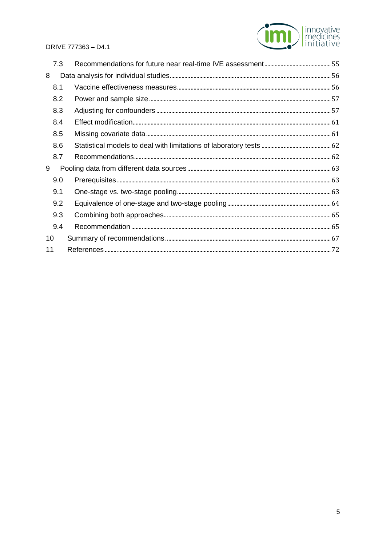

|    | 7.3 |  |
|----|-----|--|
| 8  |     |  |
|    | 8.1 |  |
|    | 8.2 |  |
|    | 8.3 |  |
|    | 8.4 |  |
|    | 8.5 |  |
|    | 8.6 |  |
|    | 8.7 |  |
| 9  |     |  |
|    | 9.0 |  |
|    | 9.1 |  |
|    | 9.2 |  |
|    | 9.3 |  |
|    | 9.4 |  |
| 10 |     |  |
| 11 |     |  |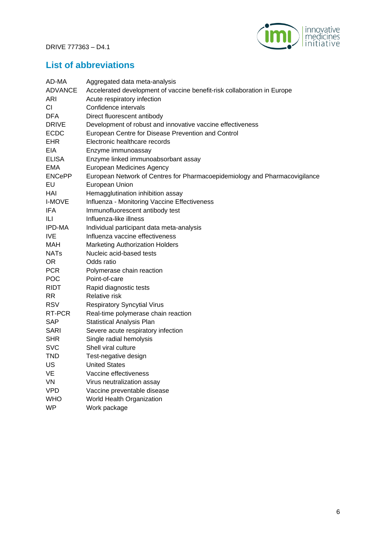

## <span id="page-5-0"></span>**List of abbreviations**

| AD-MA          | Aggregated data meta-analysis                                              |
|----------------|----------------------------------------------------------------------------|
| <b>ADVANCE</b> | Accelerated development of vaccine benefit-risk collaboration in Europe    |
| ARI            | Acute respiratory infection                                                |
| <b>CI</b>      | Confidence intervals                                                       |
| <b>DFA</b>     | Direct fluorescent antibody                                                |
| <b>DRIVE</b>   | Development of robust and innovative vaccine effectiveness                 |
| <b>ECDC</b>    | European Centre for Disease Prevention and Control                         |
| <b>EHR</b>     | Electronic healthcare records                                              |
| <b>EIA</b>     | Enzyme immunoassay                                                         |
| <b>ELISA</b>   | Enzyme linked immunoabsorbant assay                                        |
| <b>EMA</b>     | European Medicines Agency                                                  |
| <b>ENCePP</b>  | European Network of Centres for Pharmacoepidemiology and Pharmacovigilance |
| EU             | European Union                                                             |
| HAI            | Hemagglutination inhibition assay                                          |
| <b>I-MOVE</b>  | Influenza - Monitoring Vaccine Effectiveness                               |
| IFA            | Immunofluorescent antibody test                                            |
| ILI            | Influenza-like illness                                                     |
| IPD-MA         | Individual participant data meta-analysis                                  |
| <b>IVE</b>     | Influenza vaccine effectiveness                                            |
| MAH            | <b>Marketing Authorization Holders</b>                                     |
| <b>NATs</b>    | Nucleic acid-based tests                                                   |
| <b>OR</b>      | Odds ratio                                                                 |
| <b>PCR</b>     | Polymerase chain reaction                                                  |
| <b>POC</b>     | Point-of-care                                                              |
| <b>RIDT</b>    | Rapid diagnostic tests                                                     |
| RR.            | Relative risk                                                              |
| <b>RSV</b>     | <b>Respiratory Syncytial Virus</b>                                         |
| RT-PCR         | Real-time polymerase chain reaction                                        |
| <b>SAP</b>     | <b>Statistical Analysis Plan</b>                                           |
| <b>SARI</b>    | Severe acute respiratory infection                                         |
| <b>SHR</b>     | Single radial hemolysis                                                    |
| <b>SVC</b>     | Shell viral culture                                                        |
| <b>TND</b>     | Test-negative design                                                       |
| US             | <b>United States</b>                                                       |
| VE             | Vaccine effectiveness                                                      |
| VN             | Virus neutralization assay                                                 |
| <b>VPD</b>     | Vaccine preventable disease                                                |
| <b>WHO</b>     | World Health Organization                                                  |
| <b>WP</b>      | Work package                                                               |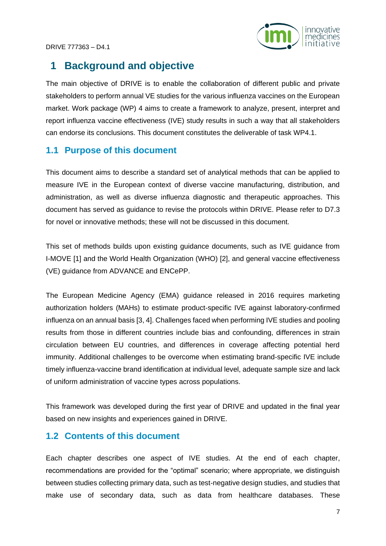

## <span id="page-6-0"></span>**1 Background and objective**

The main objective of DRIVE is to enable the collaboration of different public and private stakeholders to perform annual VE studies for the various influenza vaccines on the European market. Work package (WP) 4 aims to create a framework to analyze, present, interpret and report influenza vaccine effectiveness (IVE) study results in such a way that all stakeholders can endorse its conclusions. This document constitutes the deliverable of task WP4.1.

### <span id="page-6-1"></span>**1.1 Purpose of this document**

This document aims to describe a standard set of analytical methods that can be applied to measure IVE in the European context of diverse vaccine manufacturing, distribution, and administration, as well as diverse influenza diagnostic and therapeutic approaches. This document has served as guidance to revise the protocols within DRIVE. Please refer to D7.3 for novel or innovative methods; these will not be discussed in this document.

This set of methods builds upon existing guidance documents, such as IVE guidance from I-MOVE [1] and the World Health Organization (WHO) [2], and general vaccine effectiveness (VE) guidance from ADVANCE and ENCePP.

The European Medicine Agency (EMA) guidance released in 2016 requires marketing authorization holders (MAHs) to estimate product-specific IVE against laboratory-confirmed influenza on an annual basis [3, 4]. Challenges faced when performing IVE studies and pooling results from those in different countries include bias and confounding, differences in strain circulation between EU countries, and differences in coverage affecting potential herd immunity. Additional challenges to be overcome when estimating brand-specific IVE include timely influenza-vaccine brand identification at individual level, adequate sample size and lack of uniform administration of vaccine types across populations.

This framework was developed during the first year of DRIVE and updated in the final year based on new insights and experiences gained in DRIVE.

### <span id="page-6-2"></span>**1.2 Contents of this document**

Each chapter describes one aspect of IVE studies. At the end of each chapter, recommendations are provided for the "optimal" scenario; where appropriate, we distinguish between studies collecting primary data, such as test-negative design studies, and studies that make use of secondary data, such as data from healthcare databases. These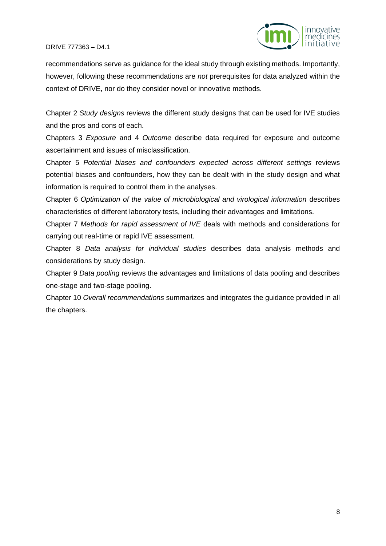

recommendations serve as guidance for the ideal study through existing methods. Importantly, however, following these recommendations are *not* prerequisites for data analyzed within the context of DRIVE, nor do they consider novel or innovative methods.

Chapter 2 *Study designs* reviews the different study designs that can be used for IVE studies and the pros and cons of each.

Chapters 3 *Exposure* and 4 *Outcome* describe data required for exposure and outcome ascertainment and issues of misclassification.

Chapter 5 *Potential biases and confounders expected across different settings* reviews potential biases and confounders, how they can be dealt with in the study design and what information is required to control them in the analyses.

Chapter 6 *Optimization of the value of microbiological and virological information* describes characteristics of different laboratory tests, including their advantages and limitations.

Chapter 7 *Methods for rapid assessment of IVE* deals with methods and considerations for carrying out real-time or rapid IVE assessment.

Chapter 8 *Data analysis for individual studies* describes data analysis methods and considerations by study design.

Chapter 9 *Data pooling* reviews the advantages and limitations of data pooling and describes one-stage and two-stage pooling.

Chapter 10 *Overall recommendations* summarizes and integrates the guidance provided in all the chapters.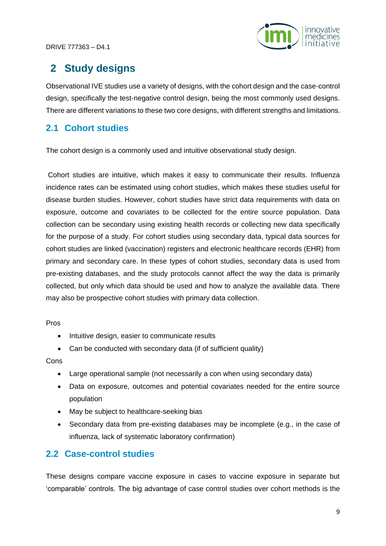

## <span id="page-8-0"></span>**2 Study designs**

Observational IVE studies use a variety of designs, with the cohort design and the case-control design, specifically the test-negative control design, being the most commonly used designs. There are different variations to these two core designs, with different strengths and limitations.

## <span id="page-8-1"></span>**2.1 Cohort studies**

The cohort design is a commonly used and intuitive observational study design.

Cohort studies are intuitive, which makes it easy to communicate their results. Influenza incidence rates can be estimated using cohort studies, which makes these studies useful for disease burden studies. However, cohort studies have strict data requirements with data on exposure, outcome and covariates to be collected for the entire source population. Data collection can be secondary using existing health records or collecting new data specifically for the purpose of a study. For cohort studies using secondary data, typical data sources for cohort studies are linked (vaccination) registers and electronic healthcare records (EHR) from primary and secondary care. In these types of cohort studies, secondary data is used from pre-existing databases, and the study protocols cannot affect the way the data is primarily collected, but only which data should be used and how to analyze the available data. There may also be prospective cohort studies with primary data collection.

Pros

- Intuitive design, easier to communicate results
- Can be conducted with secondary data (if of sufficient quality)

#### Cons

- Large operational sample (not necessarily a con when using secondary data)
- Data on exposure, outcomes and potential covariates needed for the entire source population
- May be subject to healthcare-seeking bias
- Secondary data from pre-existing databases may be incomplete (e.g., in the case of influenza, lack of systematic laboratory confirmation)

## <span id="page-8-2"></span>**2.2 Case-control studies**

These designs compare vaccine exposure in cases to vaccine exposure in separate but 'comparable' controls. The big advantage of case control studies over cohort methods is the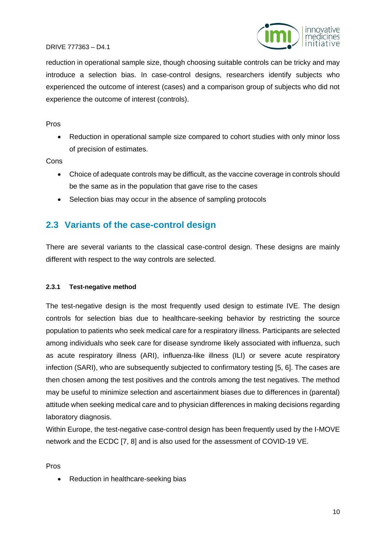

reduction in operational sample size, though choosing suitable controls can be tricky and may introduce a selection bias. In case-control designs, researchers identify subjects who experienced the outcome of interest (cases) and a comparison group of subjects who did not experience the outcome of interest (controls).

#### Pros

• Reduction in operational sample size compared to cohort studies with only minor loss of precision of estimates.

**Cons** 

- Choice of adequate controls may be difficult, as the vaccine coverage in controls should be the same as in the population that gave rise to the cases
- Selection bias may occur in the absence of sampling protocols

## <span id="page-9-0"></span>**2.3 Variants of the case-control design**

There are several variants to the classical case-control design. These designs are mainly different with respect to the way controls are selected.

#### **2.3.1 Test-negative method**

The test-negative design is the most frequently used design to estimate IVE. The design controls for selection bias due to healthcare-seeking behavior by restricting the source population to patients who seek medical care for a respiratory illness. Participants are selected among individuals who seek care for disease syndrome likely associated with influenza, such as acute respiratory illness (ARI), influenza-like illness (ILI) or severe acute respiratory infection (SARI), who are subsequently subjected to confirmatory testing [5, 6]. The cases are then chosen among the test positives and the controls among the test negatives. The method may be useful to minimize selection and ascertainment biases due to differences in (parental) attitude when seeking medical care and to physician differences in making decisions regarding laboratory diagnosis.

Within Europe, the test-negative case-control design has been frequently used by the I-MOVE network and the ECDC [7, 8] and is also used for the assessment of COVID-19 VE.

Pros

• Reduction in healthcare-seeking bias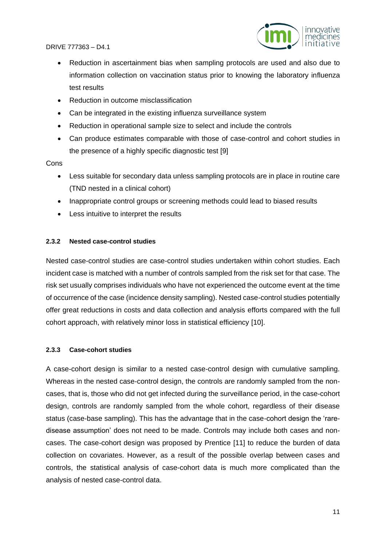

- Reduction in ascertainment bias when sampling protocols are used and also due to information collection on vaccination status prior to knowing the laboratory influenza test results
- Reduction in outcome misclassification
- Can be integrated in the existing influenza surveillance system
- Reduction in operational sample size to select and include the controls
- Can produce estimates comparable with those of case-control and cohort studies in the presence of a highly specific diagnostic test [9]

#### **Cons**

- Less suitable for secondary data unless sampling protocols are in place in routine care (TND nested in a clinical cohort)
- Inappropriate control groups or screening methods could lead to biased results
- Less intuitive to interpret the results

#### **2.3.2 Nested case-control studies**

Nested case-control studies are case-control studies undertaken within cohort studies. Each incident case is matched with a number of controls sampled from the risk set for that case. The risk set usually comprises individuals who have not experienced the outcome event at the time of occurrence of the case (incidence density sampling). Nested case-control studies potentially offer great reductions in costs and data collection and analysis efforts compared with the full cohort approach, with relatively minor loss in statistical efficiency [10].

#### **2.3.3 Case-cohort studies**

A case-cohort design is similar to a nested case-control design with cumulative sampling. Whereas in the nested case-control design, the controls are randomly sampled from the noncases, that is, those who did not get infected during the surveillance period, in the case-cohort design, controls are randomly sampled from the whole cohort, regardless of their disease status (case-base sampling). This has the advantage that in the case-cohort design the 'raredisease assumption' does not need to be made. Controls may include both cases and noncases. The case-cohort design was proposed by Prentice [11] to reduce the burden of data collection on covariates. However, as a result of the possible overlap between cases and controls, the statistical analysis of case-cohort data is much more complicated than the analysis of nested case-control data.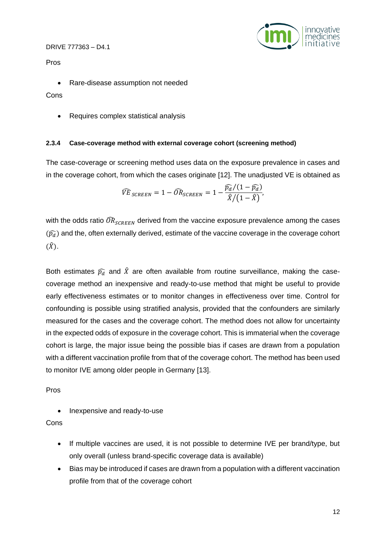

Pros

• Rare-disease assumption not needed

Cons

• Requires complex statistical analysis

#### **2.3.4 Case-coverage method with external coverage cohort (screening method)**

The case-coverage or screening method uses data on the exposure prevalence in cases and in the coverage cohort, from which the cases originate [12]. The unadjusted VE is obtained as

$$
\widehat{VE}_{SCREEN} = 1 - \widehat{OR}_{SCREEN} = 1 - \frac{\widehat{p_d}/(1-\widehat{p_d})}{\widehat{X}/(1-\widehat{X})},
$$

with the odds ratio  $\widehat{OR}_{SCREEN}$  derived from the vaccine exposure prevalence among the cases  $(\widehat{p}_d)$  and the, often externally derived, estimate of the vaccine coverage in the coverage cohort  $(\hat{X})$ .

Both estimates  $\widehat{p_d}$  and  $\widehat{X}$  are often available from routine surveillance, making the casecoverage method an inexpensive and ready-to-use method that might be useful to provide early effectiveness estimates or to monitor changes in effectiveness over time. Control for confounding is possible using stratified analysis, provided that the confounders are similarly measured for the cases and the coverage cohort. The method does not allow for uncertainty in the expected odds of exposure in the coverage cohort. This is immaterial when the coverage cohort is large, the major issue being the possible bias if cases are drawn from a population with a different vaccination profile from that of the coverage cohort. The method has been used to monitor IVE among older people in Germany [13].

Pros

• Inexpensive and ready-to-use

Cons

- If multiple vaccines are used, it is not possible to determine IVE per brand/type, but only overall (unless brand-specific coverage data is available)
- Bias may be introduced if cases are drawn from a population with a different vaccination profile from that of the coverage cohort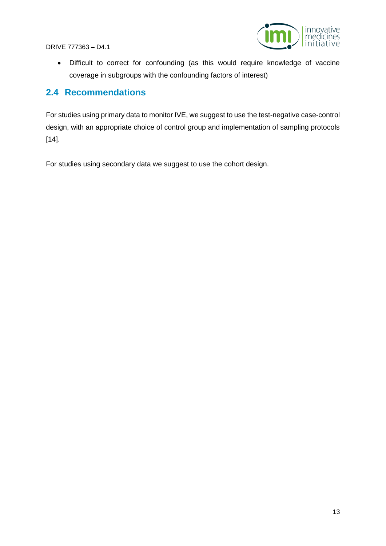

• Difficult to correct for confounding (as this would require knowledge of vaccine coverage in subgroups with the confounding factors of interest)

## <span id="page-12-0"></span>**2.4 Recommendations**

For studies using primary data to monitor IVE, we suggest to use the test-negative case-control design, with an appropriate choice of control group and implementation of sampling protocols [14].

For studies using secondary data we suggest to use the cohort design.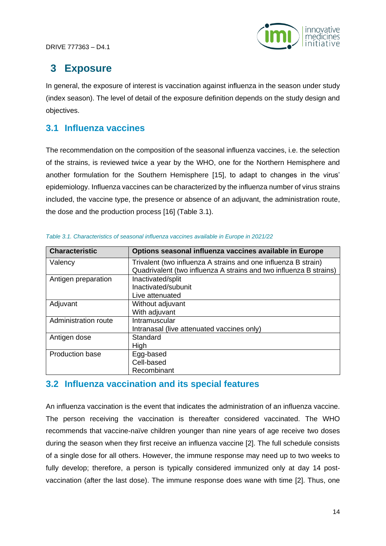

## <span id="page-13-0"></span>**3 Exposure**

In general, the exposure of interest is vaccination against influenza in the season under study (index season). The level of detail of the exposure definition depends on the study design and objectives.

## <span id="page-13-1"></span>**3.1 Influenza vaccines**

The recommendation on the composition of the seasonal influenza vaccines, i.e. the selection of the strains, is reviewed twice a year by the WHO, one for the Northern Hemisphere and another formulation for the Southern Hemisphere [15], to adapt to changes in the virus' epidemiology. Influenza vaccines can be characterized by the influenza number of virus strains included, the vaccine type, the presence or absence of an adjuvant, the administration route, the dose and the production process [16] (Table 3.1).

| <b>Characteristic</b>  | Options seasonal influenza vaccines available in Europe            |
|------------------------|--------------------------------------------------------------------|
| Valency                | Trivalent (two influenza A strains and one influenza B strain)     |
|                        | Quadrivalent (two influenza A strains and two influenza B strains) |
| Antigen preparation    | Inactivated/split                                                  |
|                        | Inactivated/subunit                                                |
|                        | Live attenuated                                                    |
| Adjuvant               | Without adjuvant                                                   |
|                        | With adjuvant                                                      |
| Administration route   | Intramuscular                                                      |
|                        | Intranasal (live attenuated vaccines only)                         |
| Antigen dose           | Standard                                                           |
|                        | High                                                               |
| <b>Production base</b> | Egg-based                                                          |
|                        | Cell-based                                                         |
|                        | Recombinant                                                        |

|  |  | Table 3.1. Characteristics of seasonal influenza vaccines available in Europe in 2021/22 |  |  |  |
|--|--|------------------------------------------------------------------------------------------|--|--|--|
|--|--|------------------------------------------------------------------------------------------|--|--|--|

## <span id="page-13-2"></span>**3.2 Influenza vaccination and its special features**

An influenza vaccination is the event that indicates the administration of an influenza vaccine. The person receiving the vaccination is thereafter considered vaccinated. The WHO recommends that vaccine-naïve children younger than nine years of age receive two doses during the season when they first receive an influenza vaccine [2]. The full schedule consists of a single dose for all others. However, the immune response may need up to two weeks to fully develop; therefore, a person is typically considered immunized only at day 14 postvaccination (after the last dose). The immune response does wane with time [2]. Thus, one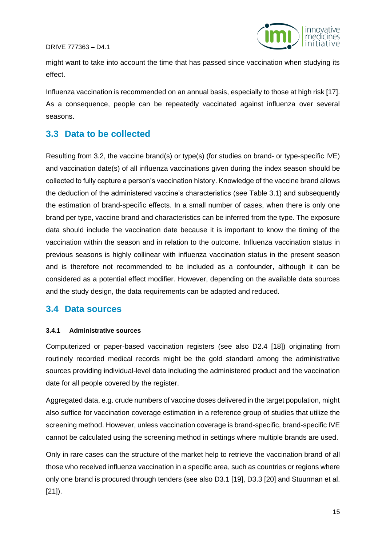

might want to take into account the time that has passed since vaccination when studying its effect.

Influenza vaccination is recommended on an annual basis, especially to those at high risk [17]. As a consequence, people can be repeatedly vaccinated against influenza over several seasons.

### <span id="page-14-0"></span>**3.3 Data to be collected**

Resulting from 3.2, the vaccine brand(s) or type(s) (for studies on brand- or type-specific IVE) and vaccination date(s) of all influenza vaccinations given during the index season should be collected to fully capture a person's vaccination history. Knowledge of the vaccine brand allows the deduction of the administered vaccine's characteristics (see Table 3.1) and subsequently the estimation of brand-specific effects. In a small number of cases, when there is only one brand per type, vaccine brand and characteristics can be inferred from the type. The exposure data should include the vaccination date because it is important to know the timing of the vaccination within the season and in relation to the outcome. Influenza vaccination status in previous seasons is highly collinear with influenza vaccination status in the present season and is therefore not recommended to be included as a confounder, although it can be considered as a potential effect modifier. However, depending on the available data sources and the study design, the data requirements can be adapted and reduced.

### <span id="page-14-1"></span>**3.4 Data sources**

#### **3.4.1 Administrative sources**

Computerized or paper-based vaccination registers (see also D2.4 [18]) originating from routinely recorded medical records might be the gold standard among the administrative sources providing individual-level data including the administered product and the vaccination date for all people covered by the register.

Aggregated data, e.g. crude numbers of vaccine doses delivered in the target population, might also suffice for vaccination coverage estimation in a reference group of studies that utilize the screening method. However, unless vaccination coverage is brand-specific, brand-specific IVE cannot be calculated using the screening method in settings where multiple brands are used.

Only in rare cases can the structure of the market help to retrieve the vaccination brand of all those who received influenza vaccination in a specific area, such as countries or regions where only one brand is procured through tenders (see also D3.1 [19], D3.3 [20] and Stuurman et al. [21]).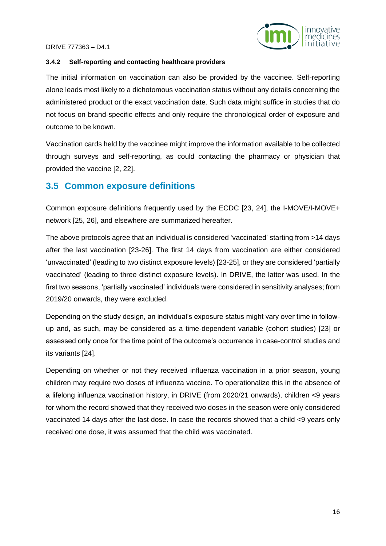



#### **3.4.2 Self-reporting and contacting healthcare providers**

The initial information on vaccination can also be provided by the vaccinee. Self-reporting alone leads most likely to a dichotomous vaccination status without any details concerning the administered product or the exact vaccination date. Such data might suffice in studies that do not focus on brand-specific effects and only require the chronological order of exposure and outcome to be known.

Vaccination cards held by the vaccinee might improve the information available to be collected through surveys and self-reporting, as could contacting the pharmacy or physician that provided the vaccine [2, 22].

### <span id="page-15-0"></span>**3.5 Common exposure definitions**

Common exposure definitions frequently used by the ECDC [23, 24], the I-MOVE/I-MOVE+ network [25, 26], and elsewhere are summarized hereafter.

The above protocols agree that an individual is considered 'vaccinated' starting from >14 days after the last vaccination [23-26]. The first 14 days from vaccination are either considered 'unvaccinated' (leading to two distinct exposure levels) [23-25], or they are considered 'partially vaccinated' (leading to three distinct exposure levels). In DRIVE, the latter was used. In the first two seasons, 'partially vaccinated' individuals were considered in sensitivity analyses; from 2019/20 onwards, they were excluded.

Depending on the study design, an individual's exposure status might vary over time in followup and, as such, may be considered as a time-dependent variable (cohort studies) [23] or assessed only once for the time point of the outcome's occurrence in case-control studies and its variants [24].

Depending on whether or not they received influenza vaccination in a prior season, young children may require two doses of influenza vaccine. To operationalize this in the absence of a lifelong influenza vaccination history, in DRIVE (from 2020/21 onwards), children <9 years for whom the record showed that they received two doses in the season were only considered vaccinated 14 days after the last dose. In case the records showed that a child <9 years only received one dose, it was assumed that the child was vaccinated.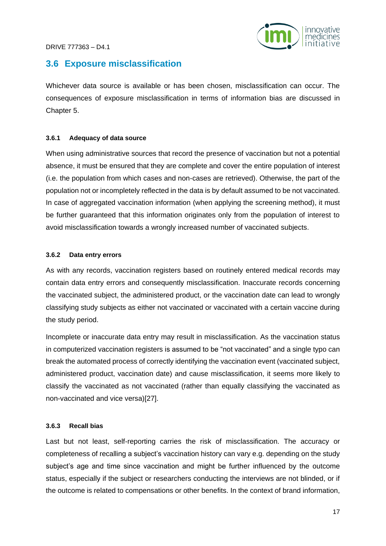

### <span id="page-16-0"></span>**3.6 Exposure misclassification**

Whichever data source is available or has been chosen, misclassification can occur. The consequences of exposure misclassification in terms of information bias are discussed in Chapter 5.

#### **3.6.1 Adequacy of data source**

When using administrative sources that record the presence of vaccination but not a potential absence, it must be ensured that they are complete and cover the entire population of interest (i.e. the population from which cases and non-cases are retrieved). Otherwise, the part of the population not or incompletely reflected in the data is by default assumed to be not vaccinated. In case of aggregated vaccination information (when applying the screening method), it must be further guaranteed that this information originates only from the population of interest to avoid misclassification towards a wrongly increased number of vaccinated subjects.

#### **3.6.2 Data entry errors**

As with any records, vaccination registers based on routinely entered medical records may contain data entry errors and consequently misclassification. Inaccurate records concerning the vaccinated subject, the administered product, or the vaccination date can lead to wrongly classifying study subjects as either not vaccinated or vaccinated with a certain vaccine during the study period.

Incomplete or inaccurate data entry may result in misclassification. As the vaccination status in computerized vaccination registers is assumed to be "not vaccinated" and a single typo can break the automated process of correctly identifying the vaccination event (vaccinated subject, administered product, vaccination date) and cause misclassification, it seems more likely to classify the vaccinated as not vaccinated (rather than equally classifying the vaccinated as non-vaccinated and vice versa)[27].

#### **3.6.3 Recall bias**

Last but not least, self-reporting carries the risk of misclassification. The accuracy or completeness of recalling a subject's vaccination history can vary e.g. depending on the study subject's age and time since vaccination and might be further influenced by the outcome status, especially if the subject or researchers conducting the interviews are not blinded, or if the outcome is related to compensations or other benefits. In the context of brand information,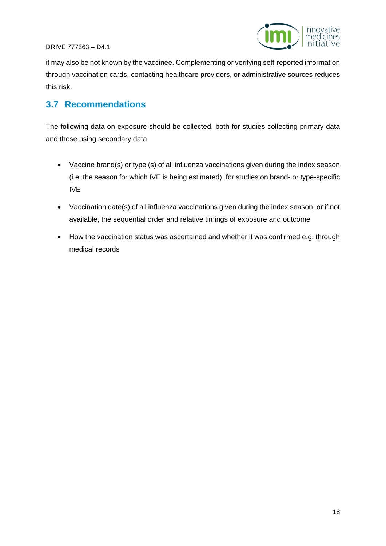



it may also be not known by the vaccinee. Complementing or verifying self-reported information through vaccination cards, contacting healthcare providers, or administrative sources reduces this risk.

## <span id="page-17-0"></span>**3.7 Recommendations**

The following data on exposure should be collected, both for studies collecting primary data and those using secondary data:

- Vaccine brand(s) or type (s) of all influenza vaccinations given during the index season (i.e. the season for which IVE is being estimated); for studies on brand- or type-specific IVE
- Vaccination date(s) of all influenza vaccinations given during the index season, or if not available, the sequential order and relative timings of exposure and outcome
- How the vaccination status was ascertained and whether it was confirmed e.g. through medical records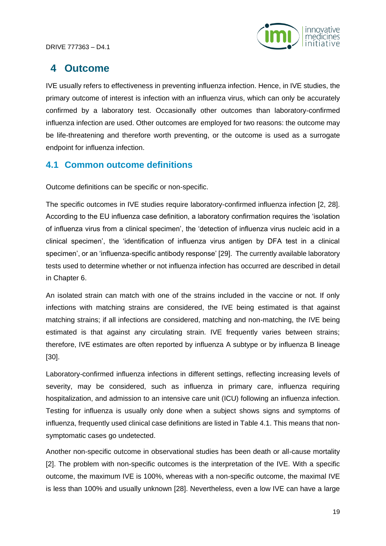

## <span id="page-18-0"></span>**4 Outcome**

IVE usually refers to effectiveness in preventing influenza infection. Hence, in IVE studies, the primary outcome of interest is infection with an influenza virus, which can only be accurately confirmed by a laboratory test. Occasionally other outcomes than laboratory-confirmed influenza infection are used. Other outcomes are employed for two reasons: the outcome may be life-threatening and therefore worth preventing, or the outcome is used as a surrogate endpoint for influenza infection.

## <span id="page-18-1"></span>**4.1 Common outcome definitions**

Outcome definitions can be specific or non-specific.

The specific outcomes in IVE studies require laboratory-confirmed influenza infection [2, 28]. According to the EU influenza case definition, a laboratory confirmation requires the 'isolation of influenza virus from a clinical specimen', the 'detection of influenza virus nucleic acid in a clinical specimen', the 'identification of influenza virus antigen by DFA test in a clinical specimen', or an 'influenza-specific antibody response' [29]. The currently available laboratory tests used to determine whether or not influenza infection has occurred are described in detail in Chapter 6.

An isolated strain can match with one of the strains included in the vaccine or not. If only infections with matching strains are considered, the IVE being estimated is that against matching strains; if all infections are considered, matching and non-matching, the IVE being estimated is that against any circulating strain. IVE frequently varies between strains; therefore, IVE estimates are often reported by influenza A subtype or by influenza B lineage [30].

Laboratory-confirmed influenza infections in different settings, reflecting increasing levels of severity, may be considered, such as influenza in primary care, influenza requiring hospitalization, and admission to an intensive care unit (ICU) following an influenza infection. Testing for influenza is usually only done when a subject shows signs and symptoms of influenza, frequently used clinical case definitions are listed in Table 4.1. This means that nonsymptomatic cases go undetected.

Another non-specific outcome in observational studies has been death or all-cause mortality [2]. The problem with non-specific outcomes is the interpretation of the IVE. With a specific outcome, the maximum IVE is 100%, whereas with a non-specific outcome, the maximal IVE is less than 100% and usually unknown [28]. Nevertheless, even a low IVE can have a large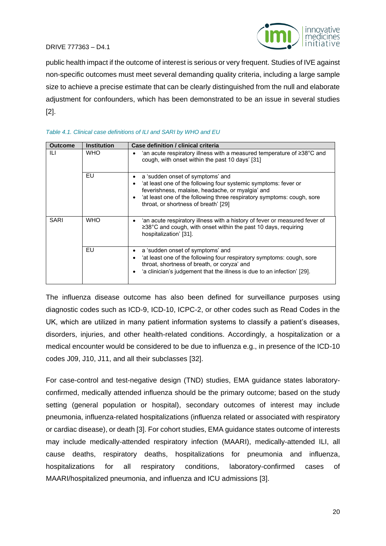



public health impact if the outcome of interest is serious or very frequent. Studies of IVE against non-specific outcomes must meet several demanding quality criteria, including a large sample size to achieve a precise estimate that can be clearly distinguished from the null and elaborate adjustment for confounders, which has been demonstrated to be an issue in several studies [2].

#### *Table 4.1. Clinical case definitions of ILI and SARI by WHO and EU*

| <b>Outcome</b> | <b>Institution</b> | Case definition / clinical criteria                                                                                                                                                                                                                                       |
|----------------|--------------------|---------------------------------------------------------------------------------------------------------------------------------------------------------------------------------------------------------------------------------------------------------------------------|
| ILI            | <b>WHO</b>         | 'an acute respiratory illness with a measured temperature of $\geq 38^{\circ}$ C and<br>cough, with onset within the past 10 days' [31]                                                                                                                                   |
|                | EU                 | a 'sudden onset of symptoms' and<br>'at least one of the following four systemic symptoms: fever or<br>feverishness, malaise, headache, or myalgia' and<br>'at least one of the following three respiratory symptoms: cough, sore<br>throat, or shortness of breath' [29] |
| <b>SARI</b>    | <b>WHO</b>         | 'an acute respiratory illness with a history of fever or measured fever of<br>$\geq$ 38°C and cough, with onset within the past 10 days, requiring<br>hospitalization' [31].                                                                                              |
|                | EU                 | a 'sudden onset of symptoms' and<br>'at least one of the following four respiratory symptoms: cough, sore<br>throat, shortness of breath, or coryza' and<br>'a clinician's judgement that the illness is due to an infection' [29].                                       |

The influenza disease outcome has also been defined for surveillance purposes using diagnostic codes such as ICD-9, ICD-10, ICPC-2, or other codes such as Read Codes in the UK, which are utilized in many patient information systems to classify a patient's diseases, disorders, injuries, and other health-related conditions. Accordingly, a hospitalization or a medical encounter would be considered to be due to influenza e.g., in presence of the ICD-10 codes J09, J10, J11, and all their subclasses [32].

For case-control and test-negative design (TND) studies, EMA guidance states laboratoryconfirmed, medically attended influenza should be the primary outcome; based on the study setting (general population or hospital), secondary outcomes of interest may include pneumonia, influenza-related hospitalizations (influenza related or associated with respiratory or cardiac disease), or death [3]. For cohort studies, EMA guidance states outcome of interests may include medically-attended respiratory infection (MAARI), medically-attended ILI, all cause deaths, respiratory deaths, hospitalizations for pneumonia and influenza, hospitalizations for all respiratory conditions, laboratory-confirmed cases of MAARI/hospitalized pneumonia, and influenza and ICU admissions [3].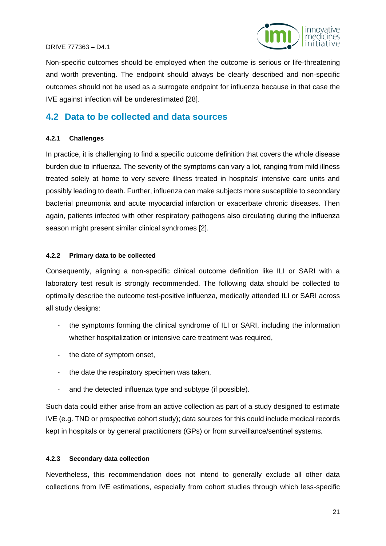

Non-specific outcomes should be employed when the outcome is serious or life-threatening and worth preventing. The endpoint should always be clearly described and non-specific outcomes should not be used as a surrogate endpoint for influenza because in that case the IVE against infection will be underestimated [28].

### <span id="page-20-0"></span>**4.2 Data to be collected and data sources**

#### **4.2.1 Challenges**

In practice, it is challenging to find a specific outcome definition that covers the whole disease burden due to influenza. The severity of the symptoms can vary a lot, ranging from mild illness treated solely at home to very severe illness treated in hospitals' intensive care units and possibly leading to death. Further, influenza can make subjects more susceptible to secondary bacterial pneumonia and acute myocardial infarction or exacerbate chronic diseases. Then again, patients infected with other respiratory pathogens also circulating during the influenza season might present similar clinical syndromes [2].

#### **4.2.2 Primary data to be collected**

Consequently, aligning a non-specific clinical outcome definition like ILI or SARI with a laboratory test result is strongly recommended. The following data should be collected to optimally describe the outcome test-positive influenza, medically attended ILI or SARI across all study designs:

- the symptoms forming the clinical syndrome of ILI or SARI, including the information whether hospitalization or intensive care treatment was required.
- the date of symptom onset,
- the date the respiratory specimen was taken,
- and the detected influenza type and subtype (if possible).

Such data could either arise from an active collection as part of a study designed to estimate IVE (e.g. TND or prospective cohort study); data sources for this could include medical records kept in hospitals or by general practitioners (GPs) or from surveillance/sentinel systems.

#### **4.2.3 Secondary data collection**

Nevertheless, this recommendation does not intend to generally exclude all other data collections from IVE estimations, especially from cohort studies through which less-specific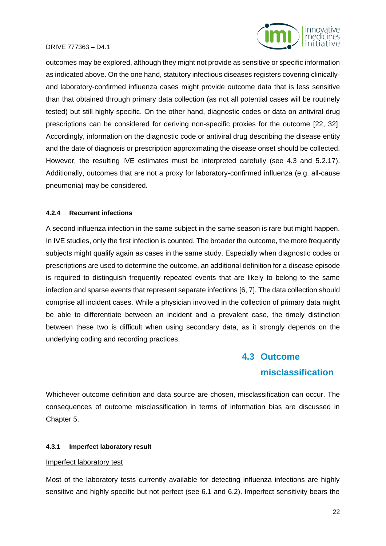



outcomes may be explored, although they might not provide as sensitive or specific information as indicated above. On the one hand, statutory infectious diseases registers covering clinicallyand laboratory-confirmed influenza cases might provide outcome data that is less sensitive than that obtained through primary data collection (as not all potential cases will be routinely tested) but still highly specific. On the other hand, diagnostic codes or data on antiviral drug prescriptions can be considered for deriving non-specific proxies for the outcome [22, 32]. Accordingly, information on the diagnostic code or antiviral drug describing the disease entity and the date of diagnosis or prescription approximating the disease onset should be collected. However, the resulting IVE estimates must be interpreted carefully (see 4.3 and 5.2.17). Additionally, outcomes that are not a proxy for laboratory-confirmed influenza (e.g. all-cause pneumonia) may be considered.

#### **4.2.4 Recurrent infections**

A second influenza infection in the same subject in the same season is rare but might happen. In IVE studies, only the first infection is counted. The broader the outcome, the more frequently subjects might qualify again as cases in the same study. Especially when diagnostic codes or prescriptions are used to determine the outcome, an additional definition for a disease episode is required to distinguish frequently repeated events that are likely to belong to the same infection and sparse events that represent separate infections [6, 7]. The data collection should comprise all incident cases. While a physician involved in the collection of primary data might be able to differentiate between an incident and a prevalent case, the timely distinction between these two is difficult when using secondary data, as it strongly depends on the underlying coding and recording practices.

## **4.3 Outcome misclassification**

<span id="page-21-0"></span>Whichever outcome definition and data source are chosen, misclassification can occur. The consequences of outcome misclassification in terms of information bias are discussed in Chapter 5.

#### **4.3.1 Imperfect laboratory result**

#### Imperfect laboratory test

Most of the laboratory tests currently available for detecting influenza infections are highly sensitive and highly specific but not perfect (see 6.1 and 6.2). Imperfect sensitivity bears the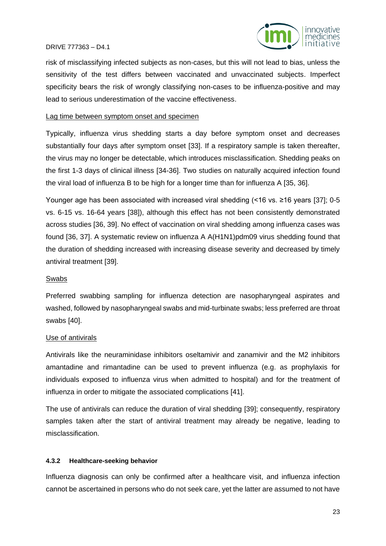

risk of misclassifying infected subjects as non-cases, but this will not lead to bias, unless the sensitivity of the test differs between vaccinated and unvaccinated subjects. Imperfect specificity bears the risk of wrongly classifying non-cases to be influenza-positive and may lead to serious underestimation of the vaccine effectiveness.

#### Lag time between symptom onset and specimen

Typically, influenza virus shedding starts a day before symptom onset and decreases substantially four days after symptom onset [33]. If a respiratory sample is taken thereafter, the virus may no longer be detectable, which introduces misclassification. Shedding peaks on the first 1-3 days of clinical illness [34-36]. Two studies on naturally acquired infection found the viral load of influenza B to be high for a longer time than for influenza A [35, 36].

Younger age has been associated with increased viral shedding (<16 vs. ≥16 years [37]; 0-5 vs. 6-15 vs. 16-64 years [38]), although this effect has not been consistently demonstrated across studies [36, 39]. No effect of vaccination on viral shedding among influenza cases was found [36, 37]. A systematic review on influenza A A(H1N1)pdm09 virus shedding found that the duration of shedding increased with increasing disease severity and decreased by timely antiviral treatment [39].

#### Swabs

Preferred swabbing sampling for influenza detection are nasopharyngeal aspirates and washed, followed by nasopharyngeal swabs and mid-turbinate swabs; less preferred are throat swabs [40].

#### Use of antivirals

Antivirals like the neuraminidase inhibitors oseltamivir and zanamivir and the M2 inhibitors amantadine and rimantadine can be used to prevent influenza (e.g. as prophylaxis for individuals exposed to influenza virus when admitted to hospital) and for the treatment of influenza in order to mitigate the associated complications [41].

The use of antivirals can reduce the duration of viral shedding [39]; consequently, respiratory samples taken after the start of antiviral treatment may already be negative, leading to misclassification.

#### **4.3.2 Healthcare-seeking behavior**

Influenza diagnosis can only be confirmed after a healthcare visit, and influenza infection cannot be ascertained in persons who do not seek care, yet the latter are assumed to not have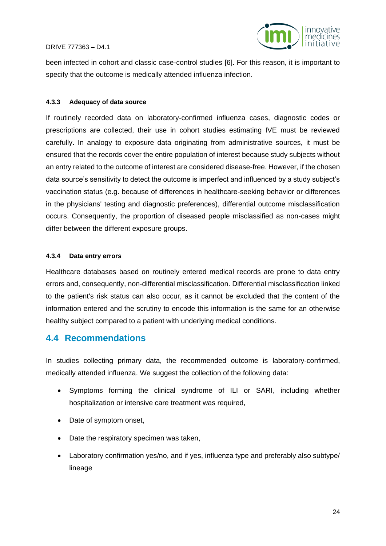



been infected in cohort and classic case-control studies [6]. For this reason, it is important to specify that the outcome is medically attended influenza infection.

#### **4.3.3 Adequacy of data source**

If routinely recorded data on laboratory-confirmed influenza cases, diagnostic codes or prescriptions are collected, their use in cohort studies estimating IVE must be reviewed carefully. In analogy to exposure data originating from administrative sources, it must be ensured that the records cover the entire population of interest because study subjects without an entry related to the outcome of interest are considered disease-free. However, if the chosen data source's sensitivity to detect the outcome is imperfect and influenced by a study subject's vaccination status (e.g. because of differences in healthcare-seeking behavior or differences in the physicians' testing and diagnostic preferences), differential outcome misclassification occurs. Consequently, the proportion of diseased people misclassified as non-cases might differ between the different exposure groups.

#### **4.3.4 Data entry errors**

Healthcare databases based on routinely entered medical records are prone to data entry errors and, consequently, non-differential misclassification. Differential misclassification linked to the patient's risk status can also occur, as it cannot be excluded that the content of the information entered and the scrutiny to encode this information is the same for an otherwise healthy subject compared to a patient with underlying medical conditions.

### <span id="page-23-0"></span>**4.4 Recommendations**

In studies collecting primary data, the recommended outcome is laboratory-confirmed, medically attended influenza. We suggest the collection of the following data:

- Symptoms forming the clinical syndrome of ILI or SARI, including whether hospitalization or intensive care treatment was required,
- Date of symptom onset,
- Date the respiratory specimen was taken,
- Laboratory confirmation yes/no, and if yes, influenza type and preferably also subtype/ lineage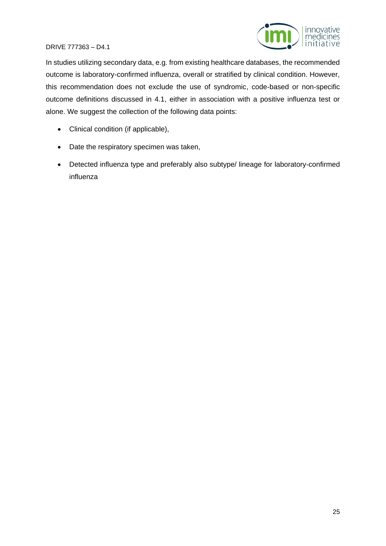

In studies utilizing secondary data, e.g. from existing healthcare databases, the recommended outcome is laboratory-confirmed influenza, overall or stratified by clinical condition. However, this recommendation does not exclude the use of syndromic, code-based or non-specific outcome definitions discussed in 4.1, either in association with a positive influenza test or alone. We suggest the collection of the following data points:

- Clinical condition (if applicable),
- Date the respiratory specimen was taken,
- Detected influenza type and preferably also subtype/ lineage for laboratory-confirmed influenza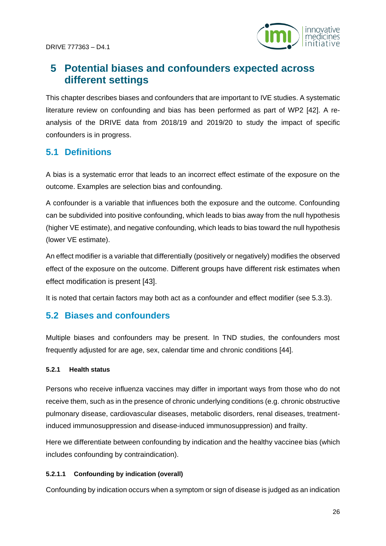

## <span id="page-25-0"></span>**5 Potential biases and confounders expected across different settings**

This chapter describes biases and confounders that are important to IVE studies. A systematic literature review on confounding and bias has been performed as part of WP2 [42]. A reanalysis of the DRIVE data from 2018/19 and 2019/20 to study the impact of specific confounders is in progress.

## <span id="page-25-1"></span>**5.1 Definitions**

A bias is a systematic error that leads to an incorrect effect estimate of the exposure on the outcome. Examples are selection bias and confounding.

A confounder is a variable that influences both the exposure and the outcome. Confounding can be subdivided into positive confounding, which leads to bias away from the null hypothesis (higher VE estimate), and negative confounding, which leads to bias toward the null hypothesis (lower VE estimate).

An effect modifier is a variable that differentially (positively or negatively) modifies the observed effect of the exposure on the outcome. Different groups have different risk estimates when effect modification is present [43].

It is noted that certain factors may both act as a confounder and effect modifier (see 5.3.3).

## <span id="page-25-2"></span>**5.2 Biases and confounders**

Multiple biases and confounders may be present. In TND studies, the confounders most frequently adjusted for are age, sex, calendar time and chronic conditions [44].

#### **5.2.1 Health status**

Persons who receive influenza vaccines may differ in important ways from those who do not receive them, such as in the presence of chronic underlying conditions (e.g. chronic obstructive pulmonary disease, cardiovascular diseases, metabolic disorders, renal diseases, treatmentinduced immunosuppression and disease-induced immunosuppression) and frailty.

Here we differentiate between confounding by indication and the healthy vaccinee bias (which includes confounding by contraindication).

#### **5.2.1.1 Confounding by indication (overall)**

Confounding by indication occurs when a symptom or sign of disease is judged as an indication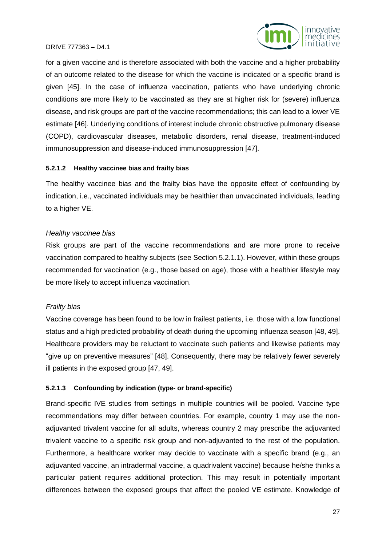

for a given vaccine and is therefore associated with both the vaccine and a higher probability of an outcome related to the disease for which the vaccine is indicated or a specific brand is given [45]. In the case of influenza vaccination, patients who have underlying chronic conditions are more likely to be vaccinated as they are at higher risk for (severe) influenza disease, and risk groups are part of the vaccine recommendations; this can lead to a lower VE estimate [46]. Underlying conditions of interest include chronic obstructive pulmonary disease (COPD), cardiovascular diseases, metabolic disorders, renal disease, treatment-induced immunosuppression and disease-induced immunosuppression [47].

#### **5.2.1.2 Healthy vaccinee bias and frailty bias**

The healthy vaccinee bias and the frailty bias have the opposite effect of confounding by indication, i.e., vaccinated individuals may be healthier than unvaccinated individuals, leading to a higher VE.

#### *Healthy vaccinee bias*

Risk groups are part of the vaccine recommendations and are more prone to receive vaccination compared to healthy subjects (see Section 5.2.1.1). However, within these groups recommended for vaccination (e.g., those based on age), those with a healthier lifestyle may be more likely to accept influenza vaccination.

#### *Frailty bias*

Vaccine coverage has been found to be low in frailest patients, i.e. those with a low functional status and a high predicted probability of death during the upcoming influenza season [48, 49]. Healthcare providers may be reluctant to vaccinate such patients and likewise patients may "give up on preventive measures" [48]. Consequently, there may be relatively fewer severely ill patients in the exposed group [47, 49].

#### **5.2.1.3 Confounding by indication (type- or brand-specific)**

Brand-specific IVE studies from settings in multiple countries will be pooled. Vaccine type recommendations may differ between countries. For example, country 1 may use the nonadjuvanted trivalent vaccine for all adults, whereas country 2 may prescribe the adjuvanted trivalent vaccine to a specific risk group and non-adjuvanted to the rest of the population. Furthermore, a healthcare worker may decide to vaccinate with a specific brand (e.g., an adjuvanted vaccine, an intradermal vaccine, a quadrivalent vaccine) because he/she thinks a particular patient requires additional protection. This may result in potentially important differences between the exposed groups that affect the pooled VE estimate. Knowledge of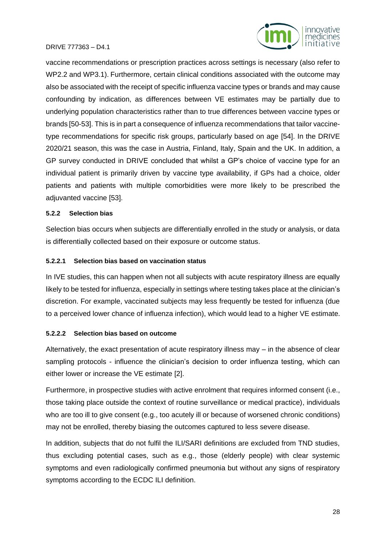



vaccine recommendations or prescription practices across settings is necessary (also refer to WP2.2 and WP3.1). Furthermore, certain clinical conditions associated with the outcome may also be associated with the receipt of specific influenza vaccine types or brands and may cause confounding by indication, as differences between VE estimates may be partially due to underlying population characteristics rather than to true differences between vaccine types or brands [50-53]. This is in part a consequence of influenza recommendations that tailor vaccinetype recommendations for specific risk groups, particularly based on age [54]. In the DRIVE 2020/21 season, this was the case in Austria, Finland, Italy, Spain and the UK. In addition, a GP survey conducted in DRIVE concluded that whilst a GP's choice of vaccine type for an individual patient is primarily driven by vaccine type availability, if GPs had a choice, older patients and patients with multiple comorbidities were more likely to be prescribed the adjuvanted vaccine [53].

#### **5.2.2 Selection bias**

Selection bias occurs when subjects are differentially enrolled in the study or analysis, or data is differentially collected based on their exposure or outcome status.

#### **5.2.2.1 Selection bias based on vaccination status**

In IVE studies, this can happen when not all subjects with acute respiratory illness are equally likely to be tested for influenza, especially in settings where testing takes place at the clinician's discretion. For example, vaccinated subjects may less frequently be tested for influenza (due to a perceived lower chance of influenza infection), which would lead to a higher VE estimate.

#### **5.2.2.2 Selection bias based on outcome**

Alternatively, the exact presentation of acute respiratory illness may – in the absence of clear sampling protocols - influence the clinician's decision to order influenza testing, which can either lower or increase the VE estimate [2].

Furthermore, in prospective studies with active enrolment that requires informed consent (i.e., those taking place outside the context of routine surveillance or medical practice), individuals who are too ill to give consent (e.g., too acutely ill or because of worsened chronic conditions) may not be enrolled, thereby biasing the outcomes captured to less severe disease.

In addition, subjects that do not fulfil the ILI/SARI definitions are excluded from TND studies, thus excluding potential cases, such as e.g., those (elderly people) with clear systemic symptoms and even radiologically confirmed pneumonia but without any signs of respiratory symptoms according to the ECDC ILI definition.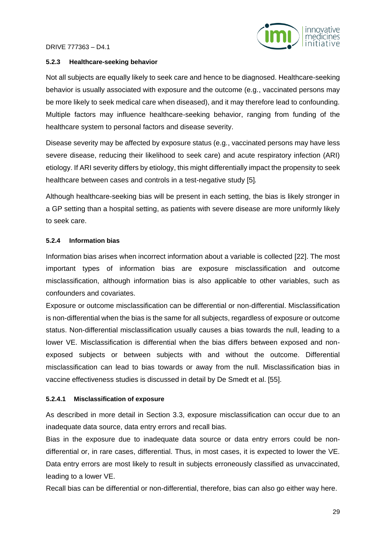

#### **5.2.3 Healthcare-seeking behavior**

Not all subjects are equally likely to seek care and hence to be diagnosed. Healthcare-seeking behavior is usually associated with exposure and the outcome (e.g., vaccinated persons may be more likely to seek medical care when diseased), and it may therefore lead to confounding. Multiple factors may influence healthcare-seeking behavior, ranging from funding of the healthcare system to personal factors and disease severity.

Disease severity may be affected by exposure status (e.g., vaccinated persons may have less severe disease, reducing their likelihood to seek care) and acute respiratory infection (ARI) etiology. If ARI severity differs by etiology, this might differentially impact the propensity to seek healthcare between cases and controls in a test-negative study [5].

Although healthcare-seeking bias will be present in each setting, the bias is likely stronger in a GP setting than a hospital setting, as patients with severe disease are more uniformly likely to seek care.

#### **5.2.4 Information bias**

Information bias arises when incorrect information about a variable is collected [22]. The most important types of information bias are exposure misclassification and outcome misclassification, although information bias is also applicable to other variables, such as confounders and covariates.

Exposure or outcome misclassification can be differential or non-differential. Misclassification is non-differential when the bias is the same for all subjects, regardless of exposure or outcome status. Non-differential misclassification usually causes a bias towards the null, leading to a lower VE. Misclassification is differential when the bias differs between exposed and nonexposed subjects or between subjects with and without the outcome. Differential misclassification can lead to bias towards or away from the null. Misclassification bias in vaccine effectiveness studies is discussed in detail by De Smedt et al. [55].

#### **5.2.4.1 Misclassification of exposure**

As described in more detail in Section 3.3, exposure misclassification can occur due to an inadequate data source, data entry errors and recall bias.

Bias in the exposure due to inadequate data source or data entry errors could be nondifferential or, in rare cases, differential. Thus, in most cases, it is expected to lower the VE. Data entry errors are most likely to result in subjects erroneously classified as unvaccinated, leading to a lower VE.

Recall bias can be differential or non-differential, therefore, bias can also go either way here.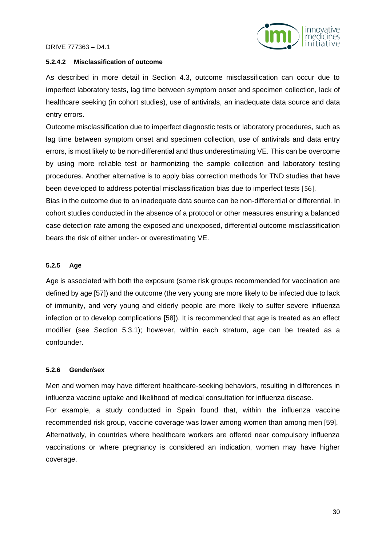

#### **5.2.4.2 Misclassification of outcome**

As described in more detail in Section 4.3, outcome misclassification can occur due to imperfect laboratory tests, lag time between symptom onset and specimen collection, lack of healthcare seeking (in cohort studies), use of antivirals, an inadequate data source and data entry errors.

Outcome misclassification due to imperfect diagnostic tests or laboratory procedures, such as lag time between symptom onset and specimen collection, use of antivirals and data entry errors, is most likely to be non-differential and thus underestimating VE. This can be overcome by using more reliable test or harmonizing the sample collection and laboratory testing procedures. Another alternative is to apply bias correction methods for TND studies that have been developed to address potential misclassification bias due to imperfect tests [56].

Bias in the outcome due to an inadequate data source can be non-differential or differential. In cohort studies conducted in the absence of a protocol or other measures ensuring a balanced case detection rate among the exposed and unexposed, differential outcome misclassification bears the risk of either under- or overestimating VE.

#### **5.2.5 Age**

Age is associated with both the exposure (some risk groups recommended for vaccination are defined by age [57]) and the outcome (the very young are more likely to be infected due to lack of immunity, and very young and elderly people are more likely to suffer severe influenza infection or to develop complications [58]). It is recommended that age is treated as an effect modifier (see Section 5.3.1); however, within each stratum, age can be treated as a confounder.

#### **5.2.6 Gender/sex**

Men and women may have different healthcare-seeking behaviors, resulting in differences in influenza vaccine uptake and likelihood of medical consultation for influenza disease. For example, a study conducted in Spain found that, within the influenza vaccine recommended risk group, vaccine coverage was lower among women than among men [59]. Alternatively, in countries where healthcare workers are offered near compulsory influenza vaccinations or where pregnancy is considered an indication, women may have higher coverage.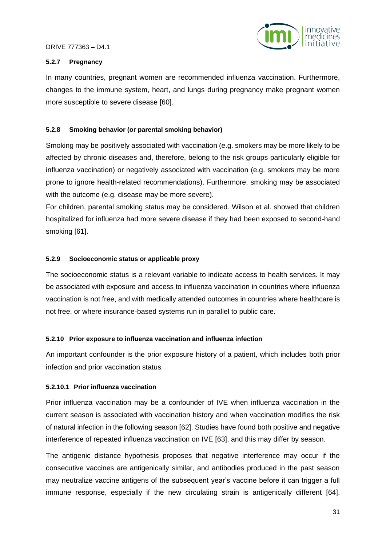

#### **5.2.7 Pregnancy**

In many countries, pregnant women are recommended influenza vaccination. Furthermore, changes to the immune system, heart, and lungs during pregnancy make pregnant women more susceptible to severe disease [60].

#### **5.2.8 Smoking behavior (or parental smoking behavior)**

Smoking may be positively associated with vaccination (e.g. smokers may be more likely to be affected by chronic diseases and, therefore, belong to the risk groups particularly eligible for influenza vaccination) or negatively associated with vaccination (e.g. smokers may be more prone to ignore health-related recommendations). Furthermore, smoking may be associated with the outcome (e.g. disease may be more severe).

For children, parental smoking status may be considered. Wilson et al. showed that children hospitalized for influenza had more severe disease if they had been exposed to second-hand smoking [61].

#### **5.2.9 Socioeconomic status or applicable proxy**

The socioeconomic status is a relevant variable to indicate access to health services. It may be associated with exposure and access to influenza vaccination in countries where influenza vaccination is not free, and with medically attended outcomes in countries where healthcare is not free, or where insurance-based systems run in parallel to public care.

#### **5.2.10 Prior exposure to influenza vaccination and influenza infection**

An important confounder is the prior exposure history of a patient, which includes both prior infection and prior vaccination status.

#### **5.2.10.1 Prior influenza vaccination**

Prior influenza vaccination may be a confounder of IVE when influenza vaccination in the current season is associated with vaccination history and when vaccination modifies the risk of natural infection in the following season [62]. Studies have found both positive and negative interference of repeated influenza vaccination on IVE [63], and this may differ by season.

The antigenic distance hypothesis proposes that negative interference may occur if the consecutive vaccines are antigenically similar, and antibodies produced in the past season may neutralize vaccine antigens of the subsequent year's vaccine before it can trigger a full immune response, especially if the new circulating strain is antigenically different [64].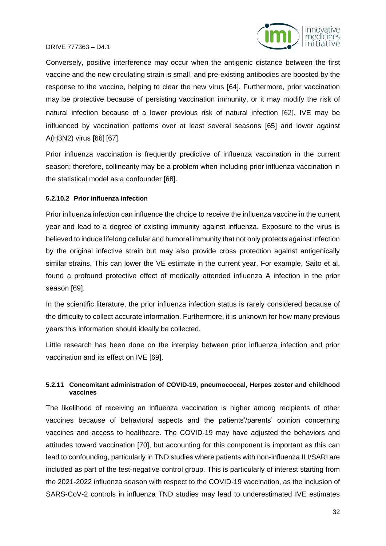

Conversely, positive interference may occur when the antigenic distance between the first vaccine and the new circulating strain is small, and pre-existing antibodies are boosted by the response to the vaccine, helping to clear the new virus [64]. Furthermore, prior vaccination may be protective because of persisting vaccination immunity, or it may modify the risk of natural infection because of a lower previous risk of natural infection [62]. IVE may be influenced by vaccination patterns over at least several seasons [65] and lower against A(H3N2) virus [66] [67].

Prior influenza vaccination is frequently predictive of influenza vaccination in the current season; therefore, collinearity may be a problem when including prior influenza vaccination in the statistical model as a confounder [68].

#### **5.2.10.2 Prior influenza infection**

Prior influenza infection can influence the choice to receive the influenza vaccine in the current year and lead to a degree of existing immunity against influenza. Exposure to the virus is believed to induce lifelong cellular and humoral immunity that not only protects against infection by the original infective strain but may also provide cross protection against antigenically similar strains. This can lower the VE estimate in the current year. For example, Saito et al. found a profound protective effect of medically attended influenza A infection in the prior season [69].

In the scientific literature, the prior influenza infection status is rarely considered because of the difficulty to collect accurate information. Furthermore, it is unknown for how many previous years this information should ideally be collected.

Little research has been done on the interplay between prior influenza infection and prior vaccination and its effect on IVE [69].

#### **5.2.11 Concomitant administration of COVID-19, pneumococcal, Herpes zoster and childhood vaccines**

The likelihood of receiving an influenza vaccination is higher among recipients of other vaccines because of behavioral aspects and the patients'/parents' opinion concerning vaccines and access to healthcare. The COVID-19 may have adjusted the behaviors and attitudes toward vaccination [70], but accounting for this component is important as this can lead to confounding, particularly in TND studies where patients with non-influenza ILI/SARI are included as part of the test-negative control group. This is particularly of interest starting from the 2021-2022 influenza season with respect to the COVID-19 vaccination, as the inclusion of SARS-CoV-2 controls in influenza TND studies may lead to underestimated IVE estimates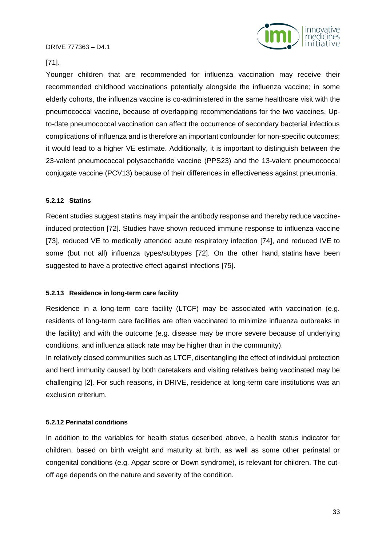

#### [71].

Younger children that are recommended for influenza vaccination may receive their recommended childhood vaccinations potentially alongside the influenza vaccine; in some elderly cohorts, the influenza vaccine is co-administered in the same healthcare visit with the pneumococcal vaccine, because of overlapping recommendations for the two vaccines. Upto-date pneumococcal vaccination can affect the occurrence of secondary bacterial infectious complications of influenza and is therefore an important confounder for non-specific outcomes; it would lead to a higher VE estimate. Additionally, it is important to distinguish between the 23-valent pneumococcal polysaccharide vaccine (PPS23) and the 13-valent pneumococcal conjugate vaccine (PCV13) because of their differences in effectiveness against pneumonia.

#### **5.2.12 Statins**

Recent studies suggest statins may impair the antibody response and thereby reduce vaccineinduced protection [72]. Studies have shown reduced immune response to influenza vaccine [73], reduced VE to medically attended acute respiratory infection [74], and reduced IVE to some (but not all) influenza types/subtypes [72]. On the other hand, statins have been suggested to have a protective effect against infections [75].

#### **5.2.13 Residence in long-term care facility**

Residence in a long-term care facility (LTCF) may be associated with vaccination (e.g. residents of long-term care facilities are often vaccinated to minimize influenza outbreaks in the facility) and with the outcome (e.g. disease may be more severe because of underlying conditions, and influenza attack rate may be higher than in the community).

In relatively closed communities such as LTCF, disentangling the effect of individual protection and herd immunity caused by both caretakers and visiting relatives being vaccinated may be challenging [2]. For such reasons, in DRIVE, residence at long-term care institutions was an exclusion criterium.

#### **5.2.12 Perinatal conditions**

In addition to the variables for health status described above, a health status indicator for children, based on birth weight and maturity at birth, as well as some other perinatal or congenital conditions (e.g. Apgar score or Down syndrome), is relevant for children. The cutoff age depends on the nature and severity of the condition.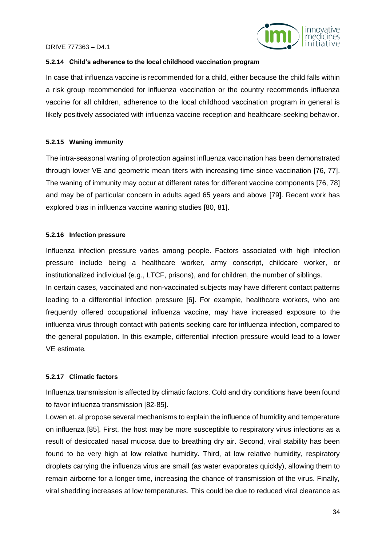

#### **5.2.14 Child's adherence to the local childhood vaccination program**

In case that influenza vaccine is recommended for a child, either because the child falls within a risk group recommended for influenza vaccination or the country recommends influenza vaccine for all children, adherence to the local childhood vaccination program in general is likely positively associated with influenza vaccine reception and healthcare-seeking behavior.

#### **5.2.15 Waning immunity**

The intra-seasonal waning of protection against influenza vaccination has been demonstrated through lower VE and geometric mean titers with increasing time since vaccination [76, 77]. The waning of immunity may occur at different rates for different vaccine components [76, 78] and may be of particular concern in adults aged 65 years and above [79]. Recent work has explored bias in influenza vaccine waning studies [80, 81].

#### **5.2.16 Infection pressure**

Influenza infection pressure varies among people. Factors associated with high infection pressure include being a healthcare worker, army conscript, childcare worker, or institutionalized individual (e.g., LTCF, prisons), and for children, the number of siblings. In certain cases, vaccinated and non-vaccinated subjects may have different contact patterns leading to a differential infection pressure [6]. For example, healthcare workers, who are frequently offered occupational influenza vaccine, may have increased exposure to the influenza virus through contact with patients seeking care for influenza infection, compared to the general population. In this example, differential infection pressure would lead to a lower VE estimate.

#### **5.2.17 Climatic factors**

Influenza transmission is affected by climatic factors. Cold and dry conditions have been found to favor influenza transmission [82-85].

Lowen et. al propose several mechanisms to explain the influence of humidity and temperature on influenza [85]. First, the host may be more susceptible to respiratory virus infections as a result of desiccated nasal mucosa due to breathing dry air. Second, viral stability has been found to be very high at low relative humidity. Third, at low relative humidity, respiratory droplets carrying the influenza virus are small (as water evaporates quickly), allowing them to remain airborne for a longer time, increasing the chance of transmission of the virus. Finally, viral shedding increases at low temperatures. This could be due to reduced viral clearance as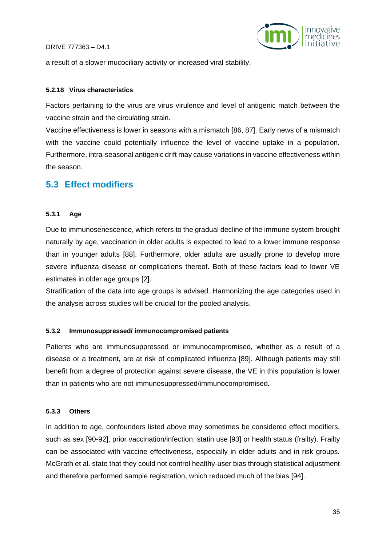

a result of a slower mucociliary activity or increased viral stability.

#### **5.2.18 Virus characteristics**

Factors pertaining to the virus are virus virulence and level of antigenic match between the vaccine strain and the circulating strain.

Vaccine effectiveness is lower in seasons with a mismatch [86, 87]. Early news of a mismatch with the vaccine could potentially influence the level of vaccine uptake in a population. Furthermore, intra-seasonal antigenic drift may cause variations in vaccine effectiveness within the season.

### <span id="page-34-0"></span>**5.3 Effect modifiers**

#### **5.3.1 Age**

Due to immunosenescence, which refers to the gradual decline of the immune system brought naturally by age, vaccination in older adults is expected to lead to a lower immune response than in younger adults [88]. Furthermore, older adults are usually prone to develop more severe influenza disease or complications thereof. Both of these factors lead to lower VE estimates in older age groups [2].

Stratification of the data into age groups is advised. Harmonizing the age categories used in the analysis across studies will be crucial for the pooled analysis.

#### **5.3.2 Immunosuppressed/ immunocompromised patients**

Patients who are immunosuppressed or immunocompromised, whether as a result of a disease or a treatment, are at risk of complicated influenza [89]. Although patients may still benefit from a degree of protection against severe disease, the VE in this population is lower than in patients who are not immunosuppressed/immunocompromised.

#### **5.3.3 Others**

In addition to age, confounders listed above may sometimes be considered effect modifiers, such as sex [90-92], prior vaccination/infection, statin use [93] or health status (frailty). Frailty can be associated with vaccine effectiveness, especially in older adults and in risk groups. McGrath et al. state that they could not control healthy-user bias through statistical adjustment and therefore performed sample registration, which reduced much of the bias [94].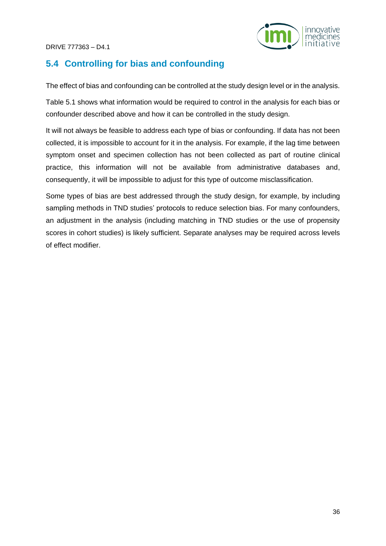

## <span id="page-35-0"></span>**5.4 Controlling for bias and confounding**

The effect of bias and confounding can be controlled at the study design level or in the analysis.

Table 5.1 shows what information would be required to control in the analysis for each bias or confounder described above and how it can be controlled in the study design.

It will not always be feasible to address each type of bias or confounding. If data has not been collected, it is impossible to account for it in the analysis. For example, if the lag time between symptom onset and specimen collection has not been collected as part of routine clinical practice, this information will not be available from administrative databases and, consequently, it will be impossible to adjust for this type of outcome misclassification.

Some types of bias are best addressed through the study design, for example, by including sampling methods in TND studies' protocols to reduce selection bias. For many confounders, an adjustment in the analysis (including matching in TND studies or the use of propensity scores in cohort studies) is likely sufficient. Separate analyses may be required across levels of effect modifier.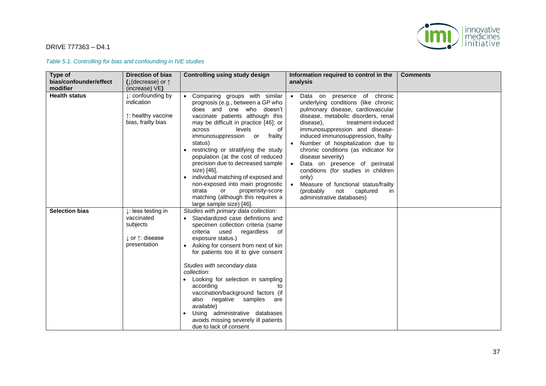

*Table 5.1. Controlling for bias and confounding in IVE studies*

| Type of                | <b>Direction of bias</b>                                                                                         | <b>Controlling using study design</b>                                                                                                                                                                                                                                                                                                                                                                                                                                                                                                                                   | Information required to control in the                                                                                                                                                                                                                                                                                                                                                                                                                                                                                                                               | <b>Comments</b> |
|------------------------|------------------------------------------------------------------------------------------------------------------|-------------------------------------------------------------------------------------------------------------------------------------------------------------------------------------------------------------------------------------------------------------------------------------------------------------------------------------------------------------------------------------------------------------------------------------------------------------------------------------------------------------------------------------------------------------------------|----------------------------------------------------------------------------------------------------------------------------------------------------------------------------------------------------------------------------------------------------------------------------------------------------------------------------------------------------------------------------------------------------------------------------------------------------------------------------------------------------------------------------------------------------------------------|-----------------|
| bias/confounder/effect | ( $\downarrow$ (decrease) or $\uparrow$                                                                          |                                                                                                                                                                                                                                                                                                                                                                                                                                                                                                                                                                         | analysis                                                                                                                                                                                                                                                                                                                                                                                                                                                                                                                                                             |                 |
| modifier               | (increase) VE)                                                                                                   |                                                                                                                                                                                                                                                                                                                                                                                                                                                                                                                                                                         |                                                                                                                                                                                                                                                                                                                                                                                                                                                                                                                                                                      |                 |
| <b>Health status</b>   | $\downarrow$ : confounding by<br>indication<br>↑: healthy vaccine<br>bias, frailty bias                          | • Comparing groups with similar<br>prognosis (e.g., between a GP who<br>does and one who doesn't<br>vaccinate patients although this<br>may be difficult in practice [46]; or<br>levels<br>of<br>across<br>immunosuppression or<br>frailty<br>status)<br>restricting or stratifying the study<br>population (at the cost of reduced<br>precision due to decreased sample<br>size) [46],<br>individual matching of exposed and<br>non-exposed into main prognostic<br>propensity-score<br>strata<br>or<br>matching (although this requires a<br>large sample size) [46]. | Data on presence of chronic<br>underlying conditions (like chronic<br>pulmonary disease, cardiovascular<br>disease, metabolic disorders, renal<br>disease),<br>treatment-induced<br>immunosuppression and disease-<br>induced immunosuppression, frailty<br>Number of hospitalization due to<br>chronic conditions (as indicator for<br>disease severity)<br>Data on presence of perinatal<br>$\bullet$<br>conditions (for studies in children<br>only)<br>Measure of functional status/frailty<br>(probably)<br>not<br>captured<br>in.<br>administrative databases) |                 |
| <b>Selection bias</b>  | $\downarrow$ : less testing in<br>vaccinated<br>subjects<br>$\downarrow$ or $\uparrow$ : disease<br>presentation | Studies with primary data collection:<br>• Standardized case definitions and<br>specimen collection criteria (same<br>regardless<br>criteria<br>used<br>of<br>exposure status.)<br>• Asking for consent from next of kin<br>for patients too ill to give consent<br>Studies with secondary data<br>collection:<br>Looking for selection in sampling<br>according<br>to<br>vaccination/background factors (if<br>also negative samples<br>are<br>available)<br>Using administrative databases<br>avoids missing severely ill patients<br>due to lack of consent          |                                                                                                                                                                                                                                                                                                                                                                                                                                                                                                                                                                      |                 |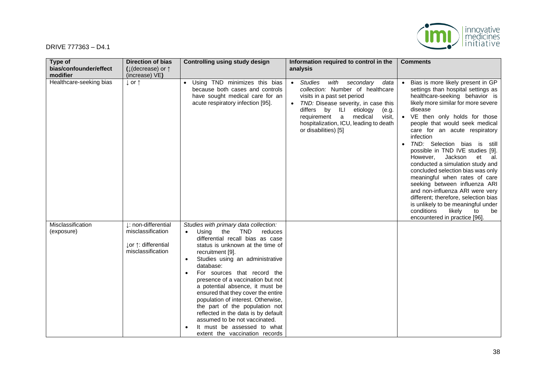

| Type of                            | <b>Direction of bias</b>                                                             | <b>Controlling using study design</b>                                                                                                                                                                                                                                                                                                                                                                                                                                                                                                                                                                              | Information required to control in the                                                                                                                                                                                                                                                     | <b>Comments</b>                                                                                                                                                                                                                                                                                                                                                                                                                                                                                                                                                                                                                                                                                                        |
|------------------------------------|--------------------------------------------------------------------------------------|--------------------------------------------------------------------------------------------------------------------------------------------------------------------------------------------------------------------------------------------------------------------------------------------------------------------------------------------------------------------------------------------------------------------------------------------------------------------------------------------------------------------------------------------------------------------------------------------------------------------|--------------------------------------------------------------------------------------------------------------------------------------------------------------------------------------------------------------------------------------------------------------------------------------------|------------------------------------------------------------------------------------------------------------------------------------------------------------------------------------------------------------------------------------------------------------------------------------------------------------------------------------------------------------------------------------------------------------------------------------------------------------------------------------------------------------------------------------------------------------------------------------------------------------------------------------------------------------------------------------------------------------------------|
| bias/confounder/effect<br>modifier | ( $\downarrow$ (decrease) or $\uparrow$<br>(increase) VE)                            |                                                                                                                                                                                                                                                                                                                                                                                                                                                                                                                                                                                                                    | analysis                                                                                                                                                                                                                                                                                   |                                                                                                                                                                                                                                                                                                                                                                                                                                                                                                                                                                                                                                                                                                                        |
| Healthcare-seeking bias            | $\downarrow$ or $\uparrow$                                                           | • Using TND minimizes this bias<br>because both cases and controls<br>have sought medical care for an<br>acute respiratory infection [95].                                                                                                                                                                                                                                                                                                                                                                                                                                                                         | Studies<br>with secondary<br>data<br>collection: Number of healthcare<br>visits in a past set period<br>TND: Disease severity, in case this<br>differs by ILI<br>etiology<br>(e.g.<br>requirement a<br>medical<br>visit,<br>hospitalization, ICU, leading to death<br>or disabilities) [5] | Bias is more likely present in GP<br>settings than hospital settings as<br>healthcare-seeking behavior is<br>likely more similar for more severe<br>disease<br>• VE then only holds for those<br>people that would seek medical<br>care for an acute respiratory<br>infection<br>TND: Selection bias is still<br>possible in TND IVE studies [9].<br>Jackson<br>et<br>However,<br>al.<br>conducted a simulation study and<br>concluded selection bias was only<br>meaningful when rates of care<br>seeking between influenza ARI<br>and non-influenza ARI were very<br>different; therefore, selection bias<br>is unlikely to be meaningful under<br>conditions<br>likely<br>to<br>be<br>encountered in practice [96]. |
| Misclassification<br>(exposure)    | I: non-differential<br>misclassification<br>↓or ↑: differential<br>misclassification | Studies with primary data collection:<br>Using<br>the<br><b>TND</b><br>reduces<br>$\bullet$<br>differential recall bias as case<br>status is unknown at the time of<br>recruitment [9].<br>Studies using an administrative<br>$\bullet$<br>database:<br>For sources that record the<br>presence of a vaccination but not<br>a potential absence, it must be<br>ensured that they cover the entire<br>population of interest. Otherwise,<br>the part of the population not<br>reflected in the data is by default<br>assumed to be not vaccinated.<br>It must be assessed to what<br>extent the vaccination records |                                                                                                                                                                                                                                                                                            |                                                                                                                                                                                                                                                                                                                                                                                                                                                                                                                                                                                                                                                                                                                        |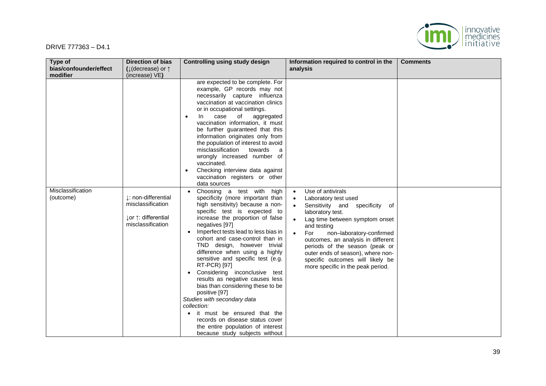

| Type of                        | <b>Direction of bias</b>                                                             | <b>Controlling using study design</b>                                                                                                                                                                                                                                                                                                                                                                                                                                                                                                                                                                                                                                                                        | Information required to control in the                                                                                                                                                                                                                                                                                                                                                              | <b>Comments</b> |
|--------------------------------|--------------------------------------------------------------------------------------|--------------------------------------------------------------------------------------------------------------------------------------------------------------------------------------------------------------------------------------------------------------------------------------------------------------------------------------------------------------------------------------------------------------------------------------------------------------------------------------------------------------------------------------------------------------------------------------------------------------------------------------------------------------------------------------------------------------|-----------------------------------------------------------------------------------------------------------------------------------------------------------------------------------------------------------------------------------------------------------------------------------------------------------------------------------------------------------------------------------------------------|-----------------|
| bias/confounder/effect         | ( $\downarrow$ (decrease) or $\uparrow$                                              |                                                                                                                                                                                                                                                                                                                                                                                                                                                                                                                                                                                                                                                                                                              | analysis                                                                                                                                                                                                                                                                                                                                                                                            |                 |
| modifier                       | (increase) VE)                                                                       |                                                                                                                                                                                                                                                                                                                                                                                                                                                                                                                                                                                                                                                                                                              |                                                                                                                                                                                                                                                                                                                                                                                                     |                 |
|                                |                                                                                      | are expected to be complete. For<br>example, GP records may not<br>necessarily capture influenza<br>vaccination at vaccination clinics<br>or in occupational settings.<br>case<br>of<br>-ln<br>aggregated<br>vaccination information, it must<br>be further guaranteed that this<br>information originates only from<br>the population of interest to avoid<br>misclassification<br>towards<br>a<br>wrongly increased number of<br>vaccinated.<br>Checking interview data against<br>vaccination registers or other<br>data sources                                                                                                                                                                          |                                                                                                                                                                                                                                                                                                                                                                                                     |                 |
| Misclassification<br>(outcome) | I: non-differential<br>misclassification<br>⊥or ↑: differential<br>misclassification | Choosing a test with<br>high<br>specificity (more important than<br>high sensitivity) because a non-<br>specific test is expected to<br>increase the proportion of false<br>negatives [97]<br>Imperfect tests lead to less bias in<br>cohort and case-control than in<br>TND design, however trivial<br>difference when using a highly<br>sensitive and specific test (e.g.<br>RT-PCR) [97]<br>Considering inconclusive test<br>results as negative causes less<br>bias than considering these to be<br>positive [97]<br>Studies with secondary data<br>collection:<br>it must be ensured that the<br>records on disease status cover<br>the entire population of interest<br>because study subjects without | Use of antivirals<br>$\bullet$<br>Laboratory test used<br>Sensitivity and specificity of<br>laboratory test.<br>Lag time between symptom onset<br>and testing<br>For<br>non-laboratory-confirmed<br>$\bullet$<br>outcomes, an analysis in different<br>periods of the season (peak or<br>outer ends of season), where non-<br>specific outcomes will likely be<br>more specific in the peak period. |                 |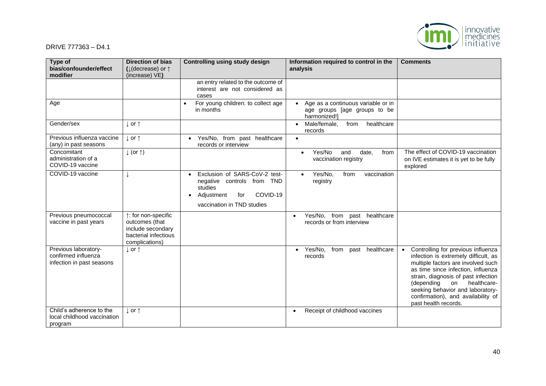

| Type of<br>bias/confounder/effect<br>modifier                            | <b>Direction of bias</b><br>( $\downarrow$ (decrease) or $\uparrow$<br>(increase) VE)                | <b>Controlling using study design</b>                                                                                                 | Information required to control in the<br>analysis                                 | <b>Comments</b>                                                                                                                                                                                                                                                                                                                    |
|--------------------------------------------------------------------------|------------------------------------------------------------------------------------------------------|---------------------------------------------------------------------------------------------------------------------------------------|------------------------------------------------------------------------------------|------------------------------------------------------------------------------------------------------------------------------------------------------------------------------------------------------------------------------------------------------------------------------------------------------------------------------------|
|                                                                          |                                                                                                      | an entry related to the outcome of<br>interest are not considered as<br>cases                                                         |                                                                                    |                                                                                                                                                                                                                                                                                                                                    |
| Age                                                                      |                                                                                                      | For young children: to collect age<br>in months                                                                                       | Age as a continuous variable or in<br>age groups [age groups to be<br>harmonized!] |                                                                                                                                                                                                                                                                                                                                    |
| Gender/sex                                                               | $\downarrow$ or $\uparrow$                                                                           |                                                                                                                                       | Male/female,<br>from<br>healthcare<br>$\bullet$<br>records                         |                                                                                                                                                                                                                                                                                                                                    |
| Previous influenza vaccine<br>(any) in past seasons                      | $\downarrow$ or $\uparrow$                                                                           | Yes/No, from past healthcare<br>records or interview                                                                                  | $\bullet$                                                                          |                                                                                                                                                                                                                                                                                                                                    |
| Concomitant<br>administration of a<br>COVID-19 vaccine                   | $\downarrow$ (or $\uparrow$ )                                                                        |                                                                                                                                       | Yes/No<br>and<br>date,<br>from<br>vaccination registry                             | The effect of COVID-19 vaccination<br>on IVE estimates it is yet to be fully<br>explored                                                                                                                                                                                                                                           |
| COVID-19 vaccine                                                         |                                                                                                      | Exclusion of SARS-CoV-2 test-<br>negative controls from TND<br>studies<br>COVID-19<br>Adjustment<br>for<br>vaccination in TND studies | Yes/No,<br>from<br>vaccination<br>registry                                         |                                                                                                                                                                                                                                                                                                                                    |
| Previous pneumococcal<br>vaccine in past years                           | ↑: for non-specific<br>outcomes (that<br>include secondary<br>bacterial infectious<br>complications) |                                                                                                                                       | Yes/No, from past healthcare<br>records or from interview                          |                                                                                                                                                                                                                                                                                                                                    |
| Previous laboratory-<br>confirmed influenza<br>infection in past seasons | $\downarrow$ or $\uparrow$                                                                           |                                                                                                                                       | Yes/No.<br>from past healthcare<br>$\bullet$<br>records                            | Controlling for previous influenza<br>infection is extremely difficult, as<br>multiple factors are involved such<br>as time since infection, influenza<br>strain, diagnosis of past infection<br>(depending<br>on<br>healthcare-<br>seeking behavior and laboratory-<br>confirmation), and availability of<br>past health records. |
| Child's adherence to the<br>local childhood vaccination<br>program       | $\perp$ or $\uparrow$                                                                                |                                                                                                                                       | Receipt of childhood vaccines<br>$\bullet$                                         |                                                                                                                                                                                                                                                                                                                                    |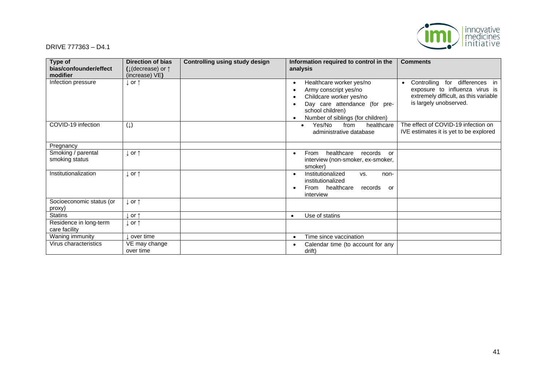

| Type of<br>bias/confounder/effect<br>modifier | <b>Direction of bias</b><br>( $\downarrow$ (decrease) or $\uparrow$<br>(increase) VE) | <b>Controlling using study design</b> | Information required to control in the<br>analysis                                                                                                                     | <b>Comments</b>                                                                                                                                  |
|-----------------------------------------------|---------------------------------------------------------------------------------------|---------------------------------------|------------------------------------------------------------------------------------------------------------------------------------------------------------------------|--------------------------------------------------------------------------------------------------------------------------------------------------|
| Infection pressure                            | l or ↑                                                                                |                                       | Healthcare worker yes/no<br>Army conscript yes/no<br>Childcare worker yes/no<br>Day care attendance (for pre-<br>school children)<br>Number of siblings (for children) | Controlling for differences in<br>$\bullet$<br>exposure to influenza virus is<br>extremely difficult, as this variable<br>is largely unobserved. |
| COVID-19 infection                            | $(\downarrow)$                                                                        |                                       | Yes/No<br>healthcare<br>from<br>administrative database                                                                                                                | The effect of COVID-19 infection on<br>IVE estimates it is yet to be explored                                                                    |
| Pregnancy                                     |                                                                                       |                                       |                                                                                                                                                                        |                                                                                                                                                  |
| Smoking / parental<br>smoking status          | . or ↑                                                                                |                                       | healthcare<br>records<br>From<br>or<br>interview (non-smoker, ex-smoker,<br>smoker)                                                                                    |                                                                                                                                                  |
| Institutionalization                          | . or ↑                                                                                |                                       | Institutionalized<br>VS.<br>non-<br>institutionalized<br>From healthcare<br>records<br>or<br>interview                                                                 |                                                                                                                                                  |
| Socioeconomic status (or<br>proxy)            | $\downarrow$ or $\uparrow$                                                            |                                       |                                                                                                                                                                        |                                                                                                                                                  |
| <b>Statins</b>                                | or $\uparrow$                                                                         |                                       | Use of statins<br>$\bullet$                                                                                                                                            |                                                                                                                                                  |
| Residence in long-term<br>care facility       | ⊥ or ↑                                                                                |                                       |                                                                                                                                                                        |                                                                                                                                                  |
| Waning immunity                               | over time                                                                             |                                       | Time since vaccination                                                                                                                                                 |                                                                                                                                                  |
| Virus characteristics                         | VE may change<br>over time                                                            |                                       | Calendar time (to account for any<br>drift)                                                                                                                            |                                                                                                                                                  |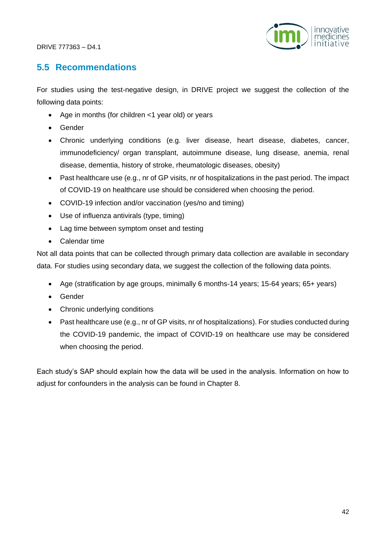

# **5.5 Recommendations**

For studies using the test-negative design, in DRIVE project we suggest the collection of the following data points:

- Age in months (for children <1 year old) or years
- Gender
- Chronic underlying conditions (e.g. liver disease, heart disease, diabetes, cancer, immunodeficiency/ organ transplant, autoimmune disease, lung disease, anemia, renal disease, dementia, history of stroke, rheumatologic diseases, obesity)
- Past healthcare use (e.g., nr of GP visits, nr of hospitalizations in the past period. The impact of COVID-19 on healthcare use should be considered when choosing the period.
- COVID-19 infection and/or vaccination (yes/no and timing)
- Use of influenza antivirals (type, timing)
- Lag time between symptom onset and testing
- Calendar time

Not all data points that can be collected through primary data collection are available in secondary data. For studies using secondary data, we suggest the collection of the following data points.

- Age (stratification by age groups, minimally 6 months-14 years; 15-64 years; 65+ years)
- Gender
- Chronic underlying conditions
- Past healthcare use (e.g., nr of GP visits, nr of hospitalizations). For studies conducted during the COVID-19 pandemic, the impact of COVID-19 on healthcare use may be considered when choosing the period.

Each study's SAP should explain how the data will be used in the analysis. Information on how to adjust for confounders in the analysis can be found in Chapter 8.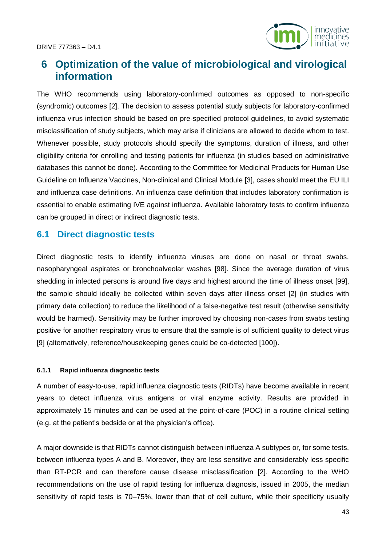

# **6 Optimization of the value of microbiological and virological information**

The WHO recommends using laboratory-confirmed outcomes as opposed to non-specific (syndromic) outcomes [2]. The decision to assess potential study subjects for laboratory-confirmed influenza virus infection should be based on pre-specified protocol guidelines, to avoid systematic misclassification of study subjects, which may arise if clinicians are allowed to decide whom to test. Whenever possible, study protocols should specify the symptoms, duration of illness, and other eligibility criteria for enrolling and testing patients for influenza (in studies based on administrative databases this cannot be done). According to the Committee for Medicinal Products for Human Use Guideline on Influenza Vaccines, Non-clinical and Clinical Module [3], cases should meet the EU ILI and influenza case definitions. An influenza case definition that includes laboratory confirmation is essential to enable estimating IVE against influenza. Available laboratory tests to confirm influenza can be grouped in direct or indirect diagnostic tests.

# **6.1 Direct diagnostic tests**

Direct diagnostic tests to identify influenza viruses are done on nasal or throat swabs, nasopharyngeal aspirates or bronchoalveolar washes [98]. Since the average duration of virus shedding in infected persons is around five days and highest around the time of illness onset [99], the sample should ideally be collected within seven days after illness onset [2] (in studies with primary data collection) to reduce the likelihood of a false-negative test result (otherwise sensitivity would be harmed). Sensitivity may be further improved by choosing non-cases from swabs testing positive for another respiratory virus to ensure that the sample is of sufficient quality to detect virus [9] (alternatively, reference/housekeeping genes could be co-detected [100]).

#### **6.1.1 Rapid influenza diagnostic tests**

A number of easy-to-use, rapid influenza diagnostic tests (RIDTs) have become available in recent years to detect influenza virus antigens or viral enzyme activity. Results are provided in approximately 15 minutes and can be used at the point-of-care (POC) in a routine clinical setting (e.g. at the patient's bedside or at the physician's office).

A major downside is that RIDTs cannot distinguish between influenza A subtypes or, for some tests, between influenza types A and B. Moreover, they are less sensitive and considerably less specific than RT-PCR and can therefore cause disease misclassification [2]. According to the WHO recommendations on the use of rapid testing for influenza diagnosis, issued in 2005, the median sensitivity of rapid tests is 70–75%, lower than that of cell culture, while their specificity usually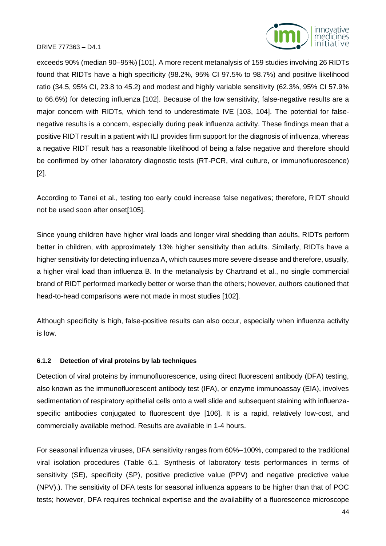

exceeds 90% (median 90–95%) [101]. A more recent metanalysis of 159 studies involving 26 RIDTs found that RIDTs have a high specificity (98.2%, 95% CI 97.5% to 98.7%) and positive likelihood ratio (34.5, 95% CI, 23.8 to 45.2) and modest and highly variable sensitivity (62.3%, 95% CI 57.9% to 66.6%) for detecting influenza [102]. Because of the low sensitivity, false-negative results are a major concern with RIDTs, which tend to underestimate IVE [103, 104]. The potential for falsenegative results is a concern, especially during peak influenza activity. These findings mean that a positive RIDT result in a patient with ILI provides firm support for the diagnosis of influenza, whereas a negative RIDT result has a reasonable likelihood of being a false negative and therefore should be confirmed by other laboratory diagnostic tests (RT-PCR, viral culture, or immunofluorescence) [2].

According to Tanei et al., testing too early could increase false negatives; therefore, RIDT should not be used soon after onset[105].

Since young children have higher viral loads and longer viral shedding than adults, RIDTs perform better in children, with approximately 13% higher sensitivity than adults. Similarly, RIDTs have a higher sensitivity for detecting influenza A, which causes more severe disease and therefore, usually, a higher viral load than influenza B. In the metanalysis by Chartrand et al., no single commercial brand of RIDT performed markedly better or worse than the others; however, authors cautioned that head-to-head comparisons were not made in most studies [102].

Although specificity is high, false-positive results can also occur, especially when influenza activity is low.

#### **6.1.2 Detection of viral proteins by lab techniques**

Detection of viral proteins by immunofluorescence, using direct fluorescent antibody (DFA) testing, also known as the immunofluorescent antibody test (IFA), or enzyme immunoassay (EIA), involves sedimentation of respiratory epithelial cells onto a well slide and subsequent staining with influenzaspecific antibodies conjugated to fluorescent dye [106]. It is a rapid, relatively low-cost, and commercially available method. Results are available in 1-4 hours.

For seasonal influenza viruses, DFA sensitivity ranges from 60%–100%, compared to the traditional viral isolation procedures (Table 6.1. [Synthesis of laboratory tests performances in terms of](#page-47-0)  [sensitivity \(SE\), specificity \(SP\), positive predictive value \(PPV\) and negative predictive value](#page-47-0)  [\(NPV\).\)](#page-47-0). The sensitivity of DFA tests for seasonal influenza appears to be higher than that of POC tests; however, DFA requires technical expertise and the availability of a fluorescence microscope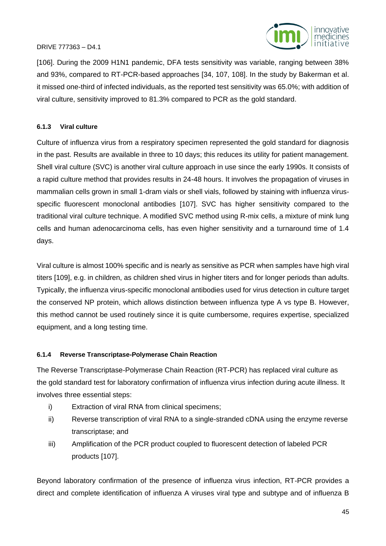

[106]. During the 2009 H1N1 pandemic, DFA tests sensitivity was variable, ranging between 38% and 93%, compared to RT-PCR-based approaches [34, 107, 108]. In the study by Bakerman et al. it missed one-third of infected individuals, as the reported test sensitivity was 65.0%; with addition of viral culture, sensitivity improved to 81.3% compared to PCR as the gold standard.

## **6.1.3 Viral culture**

Culture of influenza virus from a respiratory specimen represented the gold standard for diagnosis in the past. Results are available in three to 10 days; this reduces its utility for patient management. Shell viral culture (SVC) is another viral culture approach in use since the early 1990s. It consists of a rapid culture method that provides results in 24-48 hours. It involves the propagation of viruses in mammalian cells grown in small 1-dram vials or shell vials, followed by staining with influenza virusspecific fluorescent monoclonal antibodies [107]. SVC has higher sensitivity compared to the traditional viral culture technique. A modified SVC method using R-mix cells, a mixture of mink lung cells and human adenocarcinoma cells, has even higher sensitivity and a turnaround time of 1.4 days.

Viral culture is almost 100% specific and is nearly as sensitive as PCR when samples have high viral titers [109], e.g. in children, as children shed virus in higher titers and for longer periods than adults. Typically, the influenza virus-specific monoclonal antibodies used for virus detection in culture target the conserved NP protein, which allows distinction between influenza type A vs type B. However, this method cannot be used routinely since it is quite cumbersome, requires expertise, specialized equipment, and a long testing time.

## **6.1.4 Reverse Transcriptase-Polymerase Chain Reaction**

The Reverse Transcriptase-Polymerase Chain Reaction (RT-PCR) has replaced viral culture as the gold standard test for laboratory confirmation of influenza virus infection during acute illness. It involves three essential steps:

- i) Extraction of viral RNA from clinical specimens;
- ii) Reverse transcription of viral RNA to a single-stranded cDNA using the enzyme reverse transcriptase; and
- iii) Amplification of the PCR product coupled to fluorescent detection of labeled PCR products [107].

Beyond laboratory confirmation of the presence of influenza virus infection, RT-PCR provides a direct and complete identification of influenza A viruses viral type and subtype and of influenza B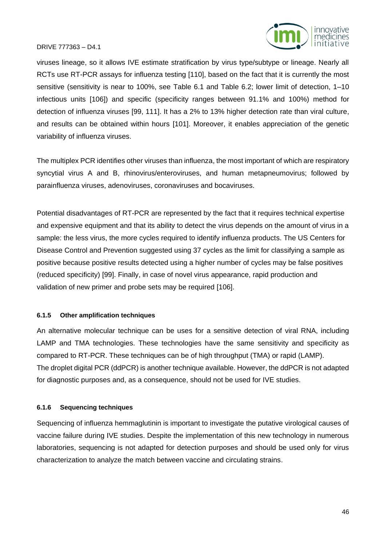

viruses lineage, so it allows IVE estimate stratification by virus type/subtype or lineage. Nearly all RCTs use RT-PCR assays for influenza testing [110], based on the fact that it is currently the most sensitive (sensitivity is near to 100%, see Table 6.1 and Table 6.2; lower limit of detection, 1–10 infectious units [106]) and specific (specificity ranges between 91.1% and 100%) method for detection of influenza viruses [99, 111]. It has a 2% to 13% higher detection rate than viral culture, and results can be obtained within hours [101]. Moreover, it enables appreciation of the genetic variability of influenza viruses.

The multiplex PCR identifies other viruses than influenza, the most important of which are respiratory syncytial virus A and B, rhinovirus/enteroviruses, and human metapneumovirus; followed by parainfluenza viruses, adenoviruses, coronaviruses and bocaviruses.

Potential disadvantages of RT-PCR are represented by the fact that it requires technical expertise and expensive equipment and that its ability to detect the virus depends on the amount of virus in a sample: the less virus, the more cycles required to identify influenza products. The US Centers for Disease Control and Prevention suggested using 37 cycles as the limit for classifying a sample as positive because positive results detected using a higher number of cycles may be false positives (reduced specificity) [99]. Finally, in case of novel virus appearance, rapid production and validation of new primer and probe sets may be required [106].

#### **6.1.5 Other amplification techniques**

An alternative molecular technique can be uses for a sensitive detection of viral RNA, including LAMP and TMA technologies. These technologies have the same sensitivity and specificity as compared to RT-PCR. These techniques can be of high throughput (TMA) or rapid (LAMP). The droplet digital PCR (ddPCR) is another technique available. However, the ddPCR is not adapted for diagnostic purposes and, as a consequence, should not be used for IVE studies.

#### **6.1.6 Sequencing techniques**

Sequencing of influenza hemmaglutinin is important to investigate the putative virological causes of vaccine failure during IVE studies. Despite the implementation of this new technology in numerous laboratories, sequencing is not adapted for detection purposes and should be used only for virus characterization to analyze the match between vaccine and circulating strains.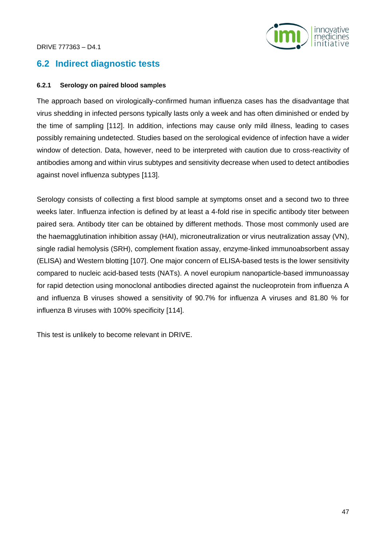

# **6.2 Indirect diagnostic tests**

#### **6.2.1 Serology on paired blood samples**

The approach based on virologically-confirmed human influenza cases has the disadvantage that virus shedding in infected persons typically lasts only a week and has often diminished or ended by the time of sampling [112]. In addition, infections may cause only mild illness, leading to cases possibly remaining undetected. Studies based on the serological evidence of infection have a wider window of detection. Data, however, need to be interpreted with caution due to cross-reactivity of antibodies among and within virus subtypes and sensitivity decrease when used to detect antibodies against novel influenza subtypes [113].

Serology consists of collecting a first blood sample at symptoms onset and a second two to three weeks later. Influenza infection is defined by at least a 4-fold rise in specific antibody titer between paired sera. Antibody titer can be obtained by different methods. Those most commonly used are the haemagglutination inhibition assay (HAI), microneutralization or virus neutralization assay (VN), single radial hemolysis (SRH), complement fixation assay, enzyme-linked immunoabsorbent assay (ELISA) and Western blotting [107]. One major concern of ELISA-based tests is the lower sensitivity compared to nucleic acid-based tests (NATs). A novel europium nanoparticle-based immunoassay for rapid detection using monoclonal antibodies directed against the nucleoprotein from influenza A and influenza B viruses showed a sensitivity of 90.7% for influenza A viruses and 81.80 % for influenza B viruses with 100% specificity [114].

This test is unlikely to become relevant in DRIVE.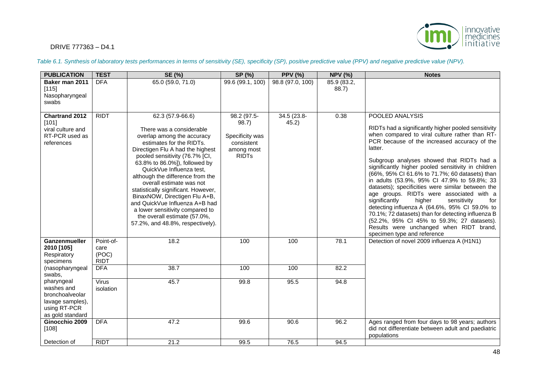

#### *Table 6.1. Synthesis of laboratory tests performances in terms of sensitivity (SE), specificity (SP), positive predictive value (PPV) and negative predictive value (NPV).*

<span id="page-47-0"></span>

| <b>PUBLICATION</b>                                                                                  | <b>TEST</b>                               | SE (%)                                                                                                                                                                                                                                                                                                                                                                                                                                                                                                                     | SP (%)                                                                                         | <b>PPV (%)</b>       | <b>NPV (%)</b>       | <b>Notes</b>                                                                                                                                                                                                                                                                                                                                                                                                                                                                                                                                                                                                                                                                                                                                                              |
|-----------------------------------------------------------------------------------------------------|-------------------------------------------|----------------------------------------------------------------------------------------------------------------------------------------------------------------------------------------------------------------------------------------------------------------------------------------------------------------------------------------------------------------------------------------------------------------------------------------------------------------------------------------------------------------------------|------------------------------------------------------------------------------------------------|----------------------|----------------------|---------------------------------------------------------------------------------------------------------------------------------------------------------------------------------------------------------------------------------------------------------------------------------------------------------------------------------------------------------------------------------------------------------------------------------------------------------------------------------------------------------------------------------------------------------------------------------------------------------------------------------------------------------------------------------------------------------------------------------------------------------------------------|
| Baker man 2011<br>[115]<br>Nasopharyngeal<br>swabs                                                  | <b>DFA</b>                                | 65.0(59.0, 71.0)                                                                                                                                                                                                                                                                                                                                                                                                                                                                                                           | 99.6 (99.1, 100)                                                                               | 98.8 (97.0, 100)     | 85.9 (83.2,<br>88.7) |                                                                                                                                                                                                                                                                                                                                                                                                                                                                                                                                                                                                                                                                                                                                                                           |
| <b>Chartrand 2012</b><br>[101]<br>viral culture and<br>RT-PCR used as<br>references                 | <b>RIDT</b>                               | 62.3 (57.9-66.6)<br>There was a considerable<br>overlap among the accuracy<br>estimates for the RIDTs.<br>Directigen Flu A had the highest<br>pooled sensitivity (76.7% [CI,<br>63.8% to 86.0%]), followed by<br>QuickVue Influenza test,<br>although the difference from the<br>overall estimate was not<br>statistically significant. However,<br>BinaxNOW, Directigen Flu A+B,<br>and QuickVue Influenza A+B had<br>a lower sensitivity compared to<br>the overall estimate (57.0%,<br>57.2%, and 48.8%, respectively). | 98.2 (97.5-<br>98.7)<br>Specificity was<br>consistent<br>among most<br><b>RIDT<sub>s</sub></b> | 34.5 (23.8-<br>45.2) | 0.38                 | POOLED ANALYSIS<br>RIDTs had a significantly higher pooled sensitivity<br>when compared to viral culture rather than RT-<br>PCR because of the increased accuracy of the<br>latter.<br>Subgroup analyses showed that RIDTs had a<br>significantly higher pooled sensitivity in children<br>(66%, 95% CI 61.6% to 71.7%; 60 datasets) than<br>in adults (53.9%, 95% CI 47.9% to 59.8%; 33<br>datasets); specificities were similar between the<br>age groups. RIDTs were associated with a<br>significantly<br>higher<br>sensitivity<br>for<br>detecting influenza A (64.6%, 95% CI 59.0% to<br>70.1%; 72 datasets) than for detecting influenza B<br>(52.2%, 95% Cl 45% to 59.3%; 27 datasets).<br>Results were unchanged when RIDT brand,<br>specimen type and reference |
| <b>Ganzenmueller</b><br>2010 [105]<br>Respiratory<br>specimens                                      | Point-of-<br>care<br>(POC)<br><b>RIDT</b> | 18.2                                                                                                                                                                                                                                                                                                                                                                                                                                                                                                                       | 100                                                                                            | 100                  | 78.1                 | Detection of novel 2009 influenza A (H1N1)                                                                                                                                                                                                                                                                                                                                                                                                                                                                                                                                                                                                                                                                                                                                |
| (nasopharyngeal<br>swabs,                                                                           | <b>DFA</b>                                | 38.7                                                                                                                                                                                                                                                                                                                                                                                                                                                                                                                       | 100                                                                                            | 100                  | 82.2                 |                                                                                                                                                                                                                                                                                                                                                                                                                                                                                                                                                                                                                                                                                                                                                                           |
| pharyngeal<br>washes and<br>bronchoalveolar<br>lavage samples),<br>using RT-PCR<br>as gold standard | <b>Virus</b><br>isolation                 | 45.7                                                                                                                                                                                                                                                                                                                                                                                                                                                                                                                       | 99.8                                                                                           | 95.5                 | 94.8                 |                                                                                                                                                                                                                                                                                                                                                                                                                                                                                                                                                                                                                                                                                                                                                                           |
| Ginocchio 2009<br>[108]                                                                             | <b>DFA</b>                                | 47.2                                                                                                                                                                                                                                                                                                                                                                                                                                                                                                                       | 99.6                                                                                           | 90.6                 | 96.2                 | Ages ranged from four days to 98 years; authors<br>did not differentiate between adult and paediatric<br>populations                                                                                                                                                                                                                                                                                                                                                                                                                                                                                                                                                                                                                                                      |
| Detection of                                                                                        | <b>RIDT</b>                               | 21.2                                                                                                                                                                                                                                                                                                                                                                                                                                                                                                                       | 99.5                                                                                           | 76.5                 | 94.5                 |                                                                                                                                                                                                                                                                                                                                                                                                                                                                                                                                                                                                                                                                                                                                                                           |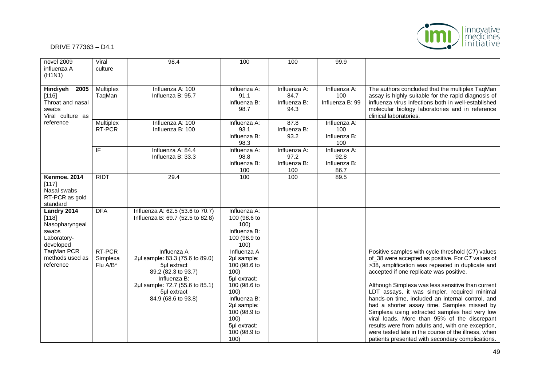# | innovative<br>| medicines<br>| initiative

| novel 2009<br>influenza A<br>(H1N1)                                         | Viral<br>culture               | 98.4                                                                                                                                                                          | 100                                                                                                                                                                                       | 100                                          | 99.9                                         |                                                                                                                                                                                                                                                                                                                                                                                                                                                                                                                                                                                                                                                                                |
|-----------------------------------------------------------------------------|--------------------------------|-------------------------------------------------------------------------------------------------------------------------------------------------------------------------------|-------------------------------------------------------------------------------------------------------------------------------------------------------------------------------------------|----------------------------------------------|----------------------------------------------|--------------------------------------------------------------------------------------------------------------------------------------------------------------------------------------------------------------------------------------------------------------------------------------------------------------------------------------------------------------------------------------------------------------------------------------------------------------------------------------------------------------------------------------------------------------------------------------------------------------------------------------------------------------------------------|
| Hindiyeh<br>2005<br>[116]<br>Throat and nasal<br>swabs<br>Viral culture as  | Multiplex<br>TaqMan            | Influenza A: 100<br>Influenza B: 95.7                                                                                                                                         | Influenza A:<br>91.1<br>Influenza B:<br>98.7                                                                                                                                              | Influenza A:<br>84.7<br>Influenza B:<br>94.3 | Influenza A:<br>100<br>Influenza B: 99       | The authors concluded that the multiplex TaqMan<br>assay is highly suitable for the rapid diagnosis of<br>influenza virus infections both in well-established<br>molecular biology laboratories and in reference<br>clinical laboratories.                                                                                                                                                                                                                                                                                                                                                                                                                                     |
| reference                                                                   | <b>Multiplex</b><br>RT-PCR     | Influenza A: 100<br>Influenza B: 100                                                                                                                                          | Influenza A:<br>93.1<br>Influenza B:<br>98.3                                                                                                                                              | 87.8<br>Influenza B:<br>93.2                 | Influenza A:<br>100<br>Influenza B:<br>100   |                                                                                                                                                                                                                                                                                                                                                                                                                                                                                                                                                                                                                                                                                |
|                                                                             | $\overline{F}$                 | Influenza A: 84.4<br>Influenza B: 33.3                                                                                                                                        | Influenza A:<br>98.8<br>Influenza B:<br>100                                                                                                                                               | Influenza A:<br>97.2<br>Influenza B:<br>100  | Influenza A:<br>92.8<br>Influenza B:<br>86.7 |                                                                                                                                                                                                                                                                                                                                                                                                                                                                                                                                                                                                                                                                                |
| Kenmoe. 2014<br>[117]<br>Nasal swabs<br>RT-PCR as gold<br>standard          | <b>RIDT</b>                    | 29.4                                                                                                                                                                          | 100                                                                                                                                                                                       | 100                                          | 89.5                                         |                                                                                                                                                                                                                                                                                                                                                                                                                                                                                                                                                                                                                                                                                |
| Landry 2014<br>[118]<br>Nasopharyngeal<br>swabs<br>Laboratory-<br>developed | <b>DFA</b>                     | Influenza A: 62.5 (53.6 to 70.7)<br>Influenza B: 69.7 (52.5 to 82.8)                                                                                                          | Influenza A:<br>100 (98.6 to<br>100)<br>Influenza B:<br>100 (98.9 to<br>100)                                                                                                              |                                              |                                              |                                                                                                                                                                                                                                                                                                                                                                                                                                                                                                                                                                                                                                                                                |
| TaqMan PCR<br>methods used as<br>reference                                  | RT-PCR<br>Simplexa<br>Flu A/B* | Influenza A<br>2µl sample: 83.3 (75.6 to 89.0)<br>5µl extract<br>89.2 (82.3 to 93.7)<br>Influenza B:<br>2µl sample: 72.7 (55.6 to 85.1)<br>5µl extract<br>84.9 (68.6 to 93.8) | Influenza A<br>2µl sample:<br>100 (98.6 to<br>100)<br>5µl extract:<br>100 (98.6 to<br>100)<br>Influenza B:<br>2µl sample:<br>100 (98.9 to<br>100)<br>5µl extract:<br>100 (98.9 to<br>100) |                                              |                                              | Positive samples with cycle threshold (CT) values<br>of_38 were accepted as positive. For CT values of<br>>38, amplification was repeated in duplicate and<br>accepted if one replicate was positive.<br>Although Simplexa was less sensitive than current<br>LDT assays, it was simpler, required minimal<br>hands-on time, included an internal control, and<br>had a shorter assay time. Samples missed by<br>Simplexa using extracted samples had very low<br>viral loads. More than 95% of the discrepant<br>results were from adults and, with one exception,<br>were tested late in the course of the illness, when<br>patients presented with secondary complications. |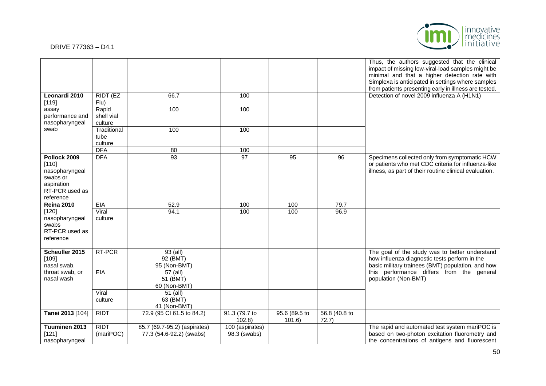

|                                                                                                  |                                |                                                          |                                 |                        |                        | Thus, the authors suggested that the clinical<br>impact of missing low-viral-load samples might be<br>minimal and that a higher detection rate with<br>Simplexa is anticipated in settings where samples<br>from patients presenting early in illness are tested. |
|--------------------------------------------------------------------------------------------------|--------------------------------|----------------------------------------------------------|---------------------------------|------------------------|------------------------|-------------------------------------------------------------------------------------------------------------------------------------------------------------------------------------------------------------------------------------------------------------------|
| Leonardi 2010<br>[119]                                                                           | RIDT (EZ<br>Flu)               | 66.7                                                     | 100                             |                        |                        | Detection of novel 2009 influenza A (H1N1)                                                                                                                                                                                                                        |
| assay<br>performance and<br>nasopharyngeal                                                       | Rapid<br>shell vial<br>culture | 100                                                      | 100                             |                        |                        |                                                                                                                                                                                                                                                                   |
| swab                                                                                             | Traditional<br>tube<br>culture | 100                                                      | 100                             |                        |                        |                                                                                                                                                                                                                                                                   |
|                                                                                                  | <b>DFA</b>                     | 80                                                       | 100                             |                        |                        |                                                                                                                                                                                                                                                                   |
| Pollock 2009<br>[110]<br>nasopharyngeal<br>swabs or<br>aspiration<br>RT-PCR used as<br>reference | <b>DFA</b>                     | 93                                                       | 97                              | 95                     | 96                     | Specimens collected only from symptomatic HCW<br>or patients who met CDC criteria for influenza-like<br>illness, as part of their routine clinical evaluation.                                                                                                    |
| <b>Reina 2010</b>                                                                                | <b>EIA</b>                     | 52.9                                                     | 100                             | 100                    | 79.7                   |                                                                                                                                                                                                                                                                   |
| $[120]$<br>nasopharyngeal<br>swabs<br>RT-PCR used as<br>reference                                | Viral<br>culture               | 94.1                                                     | 100                             | 100                    | 96.9                   |                                                                                                                                                                                                                                                                   |
| Scheuller 2015<br>[109]<br>nasal swab,                                                           | RT-PCR                         | $93$ (all)<br>92 (BMT)<br>95 (Non-BMT)                   |                                 |                        |                        | The goal of the study was to better understand<br>how influenza diagnostic tests perform in the<br>basic military trainees (BMT) population, and how                                                                                                              |
| throat swab, or<br>nasal wash                                                                    | <b>EIA</b>                     | 57 (all)<br>51 (BMT)<br>60 (Non-BMT)                     |                                 |                        |                        | this performance differs from the general<br>population (Non-BMT)                                                                                                                                                                                                 |
|                                                                                                  | Viral<br>culture               | 51 (all)<br>63 (BMT)<br>41 (Non-BMT)                     |                                 |                        |                        |                                                                                                                                                                                                                                                                   |
| Tanei 2013 [104]                                                                                 | <b>RIDT</b>                    | 72.9 (95 Cl 61.5 to 84.2)                                | 91.3 (79.7 to<br>102.8          | 95.6 (89.5 to<br>101.6 | 56.8 (40.8 to<br>72.7) |                                                                                                                                                                                                                                                                   |
| Tuuminen 2013<br>[121]<br>nasopharyngeal                                                         | <b>RIDT</b><br>(mariPOC)       | 85.7 (69.7-95.2) (aspirates)<br>77.3 (54.6-92.2) (swabs) | 100 (aspirates)<br>98.3 (swabs) |                        |                        | The rapid and automated test system mariPOC is<br>based on two-photon excitation fluorometry and<br>the concentrations of antigens and fluorescent                                                                                                                |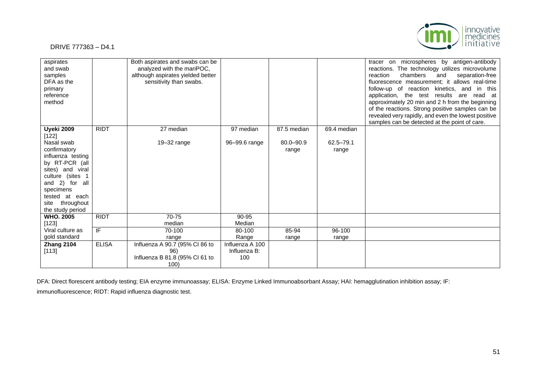

| aspirates<br>and swab<br>samples<br>DFA as the<br>primary<br>reference<br>method                                                                                                                              |              | Both aspirates and swabs can be<br>analyzed with the mariPOC,<br>although aspirates yielded better<br>sensitivity than swabs. |                                        |                        |                    | tracer on microspheres by antigen-antibody<br>reactions. The technology utilizes microvolume<br>chambers<br>reaction<br>and<br>separation-free<br>fluorescence measurement: it allows real-time<br>follow-up of reaction kinetics, and<br>in this<br>application, the test results are read at<br>approximately 20 min and 2 h from the beginning<br>of the reactions. Strong positive samples can be<br>revealed very rapidly, and even the lowest positive<br>samples can be detected at the point of care. |
|---------------------------------------------------------------------------------------------------------------------------------------------------------------------------------------------------------------|--------------|-------------------------------------------------------------------------------------------------------------------------------|----------------------------------------|------------------------|--------------------|---------------------------------------------------------------------------------------------------------------------------------------------------------------------------------------------------------------------------------------------------------------------------------------------------------------------------------------------------------------------------------------------------------------------------------------------------------------------------------------------------------------|
| Uyeki 2009                                                                                                                                                                                                    | <b>RIDT</b>  | 27 median                                                                                                                     | 97 median                              | 87.5 median            | 69.4 median        |                                                                                                                                                                                                                                                                                                                                                                                                                                                                                                               |
| [122]<br>Nasal swab<br>confirmatory<br>influenza testing<br>by RT-PCR (all<br>sites) and viral<br>culture (sites 1<br>and 2) for all<br>specimens<br>tested at each<br>throughout<br>site<br>the study period |              | $19 - 32$ range                                                                                                               | 96-99.6 range                          | $80.0 - 90.9$<br>range | 62.5-79.1<br>range |                                                                                                                                                                                                                                                                                                                                                                                                                                                                                                               |
| <b>WHO. 2005</b><br>$[123]$                                                                                                                                                                                   | <b>RIDT</b>  | 70-75<br>median                                                                                                               | 90-95<br>Median                        |                        |                    |                                                                                                                                                                                                                                                                                                                                                                                                                                                                                                               |
| Viral culture as                                                                                                                                                                                              | IF           | 70-100                                                                                                                        | 80-100                                 | 85-94                  | 96-100             |                                                                                                                                                                                                                                                                                                                                                                                                                                                                                                               |
| gold standard                                                                                                                                                                                                 |              | range                                                                                                                         | Range                                  | range                  | range              |                                                                                                                                                                                                                                                                                                                                                                                                                                                                                                               |
| Zhang 2104<br>[113]                                                                                                                                                                                           | <b>ELISA</b> | Influenza A 90.7 (95% CI 86 to<br>96)<br>Influenza B 81.8 (95% CI 61 to<br>100)                                               | Influenza A 100<br>Influenza B:<br>100 |                        |                    |                                                                                                                                                                                                                                                                                                                                                                                                                                                                                                               |

DFA: Direct florescent antibody testing; EIA enzyme immunoassay; ELISA: Enzyme Linked Immunoabsorbant Assay; HAI: hemagglutination inhibition assay; IF: immunofluorescence; RIDT: Rapid influenza diagnostic test.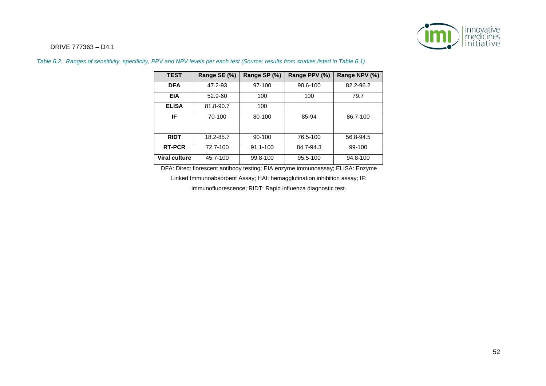

| <b>TEST</b>          | Range SE (%) | Range SP (%) | Range PPV (%) | Range NPV (%) |
|----------------------|--------------|--------------|---------------|---------------|
| <b>DFA</b>           | 47.2-93      | 97-100       | 90.6-100      | 82.2-96.2     |
| <b>EIA</b>           | 52.9-60      | 100          | 100           | 79.7          |
| <b>ELISA</b>         | 81.8-90.7    | 100          |               |               |
| IF                   | 70-100       | 80-100       | 85-94         | 86.7-100      |
| <b>RIDT</b>          | 18.2-85.7    | $90-100$     | 76.5-100      | 56.8-94.5     |
| <b>RT-PCR</b>        | 72.7-100     | 91.1-100     | 84.7-94.3     | 99-100        |
| <b>Viral culture</b> | 45.7-100     | 99.8-100     | 95.5-100      | 94.8-100      |

*Table 6.2. Ranges of sensitivity, specificity, PPV and NPV levels per each test (Source: results from studies listed in Table 6.1)*

DFA: Direct florescent antibody testing; EIA enzyme immunoassay; ELISA: Enzyme

Linked Immunoabsorbent Assay; HAI: hemagglutination inhibition assay; IF:

immunofluorescence; RIDT: Rapid influenza diagnostic test.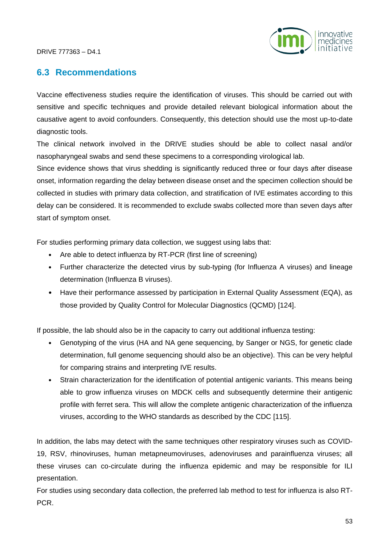

# **6.3 Recommendations**

Vaccine effectiveness studies require the identification of viruses. This should be carried out with sensitive and specific techniques and provide detailed relevant biological information about the causative agent to avoid confounders. Consequently, this detection should use the most up-to-date diagnostic tools.

The clinical network involved in the DRIVE studies should be able to collect nasal and/or nasopharyngeal swabs and send these specimens to a corresponding virological lab.

Since evidence shows that virus shedding is significantly reduced three or four days after disease onset, information regarding the delay between disease onset and the specimen collection should be collected in studies with primary data collection, and stratification of IVE estimates according to this delay can be considered. It is recommended to exclude swabs collected more than seven days after start of symptom onset.

For studies performing primary data collection, we suggest using labs that:

- Are able to detect influenza by RT-PCR (first line of screening)
- Further characterize the detected virus by sub-typing (for Influenza A viruses) and lineage determination (Influenza B viruses).
- Have their performance assessed by participation in External Quality Assessment (EQA), as those provided by Quality Control for Molecular Diagnostics (QCMD) [124].

If possible, the lab should also be in the capacity to carry out additional influenza testing:

- Genotyping of the virus (HA and NA gene sequencing, by Sanger or NGS, for genetic clade determination, full genome sequencing should also be an objective). This can be very helpful for comparing strains and interpreting IVE results.
- Strain characterization for the identification of potential antigenic variants. This means being able to grow influenza viruses on MDCK cells and subsequently determine their antigenic profile with ferret sera. This will allow the complete antigenic characterization of the influenza viruses, according to the WHO standards as described by the CDC [115].

In addition, the labs may detect with the same techniques other respiratory viruses such as COVID-19, RSV, rhinoviruses, human metapneumoviruses, adenoviruses and parainfluenza viruses; all these viruses can co-circulate during the influenza epidemic and may be responsible for ILI presentation.

For studies using secondary data collection, the preferred lab method to test for influenza is also RT-PCR.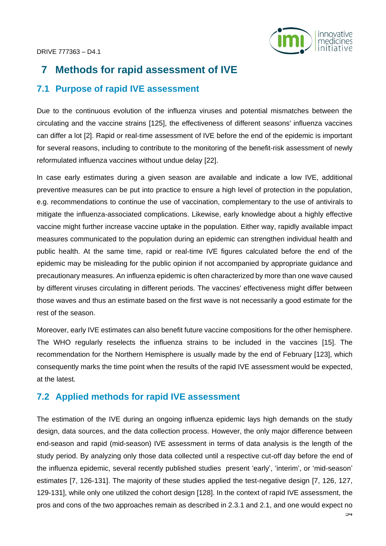

# **7 Methods for rapid assessment of IVE**

## **7.1 Purpose of rapid IVE assessment**

Due to the continuous evolution of the influenza viruses and potential mismatches between the circulating and the vaccine strains [125], the effectiveness of different seasons' influenza vaccines can differ a lot [2]. Rapid or real-time assessment of IVE before the end of the epidemic is important for several reasons, including to contribute to the monitoring of the benefit-risk assessment of newly reformulated influenza vaccines without undue delay [22].

In case early estimates during a given season are available and indicate a low IVE, additional preventive measures can be put into practice to ensure a high level of protection in the population, e.g. recommendations to continue the use of vaccination, complementary to the use of antivirals to mitigate the influenza-associated complications. Likewise, early knowledge about a highly effective vaccine might further increase vaccine uptake in the population. Either way, rapidly available impact measures communicated to the population during an epidemic can strengthen individual health and public health. At the same time, rapid or real-time IVE figures calculated before the end of the epidemic may be misleading for the public opinion if not accompanied by appropriate guidance and precautionary measures. An influenza epidemic is often characterized by more than one wave caused by different viruses circulating in different periods. The vaccines' effectiveness might differ between those waves and thus an estimate based on the first wave is not necessarily a good estimate for the rest of the season.

Moreover, early IVE estimates can also benefit future vaccine compositions for the other hemisphere. The WHO regularly reselects the influenza strains to be included in the vaccines [15]. The recommendation for the Northern Hemisphere is usually made by the end of February [123], which consequently marks the time point when the results of the rapid IVE assessment would be expected, at the latest.

# **7.2 Applied methods for rapid IVE assessment**

The estimation of the IVE during an ongoing influenza epidemic lays high demands on the study design, data sources, and the data collection process. However, the only major difference between end-season and rapid (mid-season) IVE assessment in terms of data analysis is the length of the study period. By analyzing only those data collected until a respective cut-off day before the end of the influenza epidemic, several recently published studies present 'early', 'interim', or 'mid-season' estimates [7, 126-131]. The majority of these studies applied the test-negative design [7, 126, 127, 129-131], while only one utilized the cohort design [128]. In the context of rapid IVE assessment, the pros and cons of the two approaches remain as described in 2.3.1 and 2.1, and one would expect no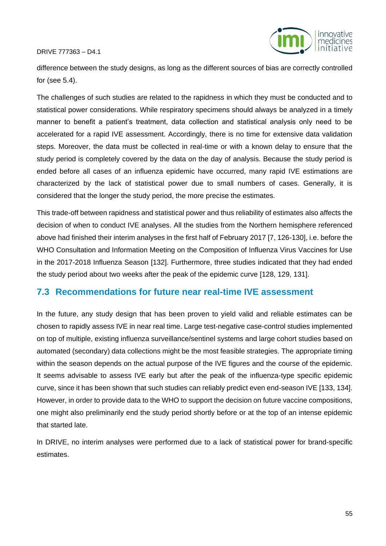

difference between the study designs, as long as the different sources of bias are correctly controlled for (see 5.4).

The challenges of such studies are related to the rapidness in which they must be conducted and to statistical power considerations. While respiratory specimens should always be analyzed in a timely manner to benefit a patient's treatment, data collection and statistical analysis only need to be accelerated for a rapid IVE assessment. Accordingly, there is no time for extensive data validation steps. Moreover, the data must be collected in real-time or with a known delay to ensure that the study period is completely covered by the data on the day of analysis. Because the study period is ended before all cases of an influenza epidemic have occurred, many rapid IVE estimations are characterized by the lack of statistical power due to small numbers of cases. Generally, it is considered that the longer the study period, the more precise the estimates.

This trade-off between rapidness and statistical power and thus reliability of estimates also affects the decision of when to conduct IVE analyses. All the studies from the Northern hemisphere referenced above had finished their interim analyses in the first half of February 2017 [7, 126-130], i.e. before the WHO Consultation and Information Meeting on the Composition of Influenza Virus Vaccines for Use in the 2017-2018 Influenza Season [132]. Furthermore, three studies indicated that they had ended the study period about two weeks after the peak of the epidemic curve [128, 129, 131].

# **7.3 Recommendations for future near real-time IVE assessment**

In the future, any study design that has been proven to yield valid and reliable estimates can be chosen to rapidly assess IVE in near real time. Large test-negative case-control studies implemented on top of multiple, existing influenza surveillance/sentinel systems and large cohort studies based on automated (secondary) data collections might be the most feasible strategies. The appropriate timing within the season depends on the actual purpose of the IVE figures and the course of the epidemic. It seems advisable to assess IVE early but after the peak of the influenza-type specific epidemic curve, since it has been shown that such studies can reliably predict even end-season IVE [133, 134]. However, in order to provide data to the WHO to support the decision on future vaccine compositions, one might also preliminarily end the study period shortly before or at the top of an intense epidemic that started late.

In DRIVE, no interim analyses were performed due to a lack of statistical power for brand-specific estimates.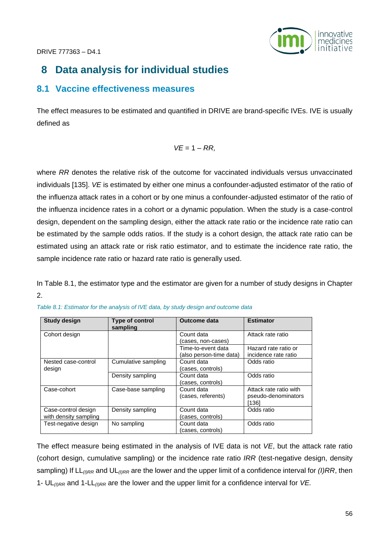

# **8 Data analysis for individual studies**

# **8.1 Vaccine effectiveness measures**

The effect measures to be estimated and quantified in DRIVE are brand-specific IVEs. IVE is usually defined as

$$
VE=1-RR,
$$

where *RR* denotes the relative risk of the outcome for vaccinated individuals versus unvaccinated individuals [135]. *VE* is estimated by either one minus a confounder-adjusted estimator of the ratio of the influenza attack rates in a cohort or by one minus a confounder-adjusted estimator of the ratio of the influenza incidence rates in a cohort or a dynamic population. When the study is a case-control design, dependent on the sampling design, either the attack rate ratio or the incidence rate ratio can be estimated by the sample odds ratios. If the study is a cohort design, the attack rate ratio can be estimated using an attack rate or risk ratio estimator, and to estimate the incidence rate ratio, the sample incidence rate ratio or hazard rate ratio is generally used.

In Table 8.1, the estimator type and the estimator are given for a number of study designs in Chapter 2.

| <b>Study design</b>                          | <b>Type of control</b><br>sampling | <b>Outcome data</b>                           | <b>Estimator</b>                                       |
|----------------------------------------------|------------------------------------|-----------------------------------------------|--------------------------------------------------------|
| Cohort design                                |                                    | Count data<br>(cases, non-cases)              | Attack rate ratio                                      |
|                                              |                                    | Time-to-event data<br>(also person-time data) | Hazard rate ratio or<br>incidence rate ratio           |
| Nested case-control<br>design                | Cumulative sampling                | Count data<br>(cases, controls)               | Odds ratio                                             |
|                                              | Density sampling                   | Count data<br>(cases, controls)               | Odds ratio                                             |
| Case-cohort                                  | Case-base sampling                 | Count data<br>(cases, referents)              | Attack rate ratio with<br>pseudo-denominators<br>[136] |
| Case-control design<br>with density sampling | Density sampling                   | Count data<br>(cases, controls)               | Odds ratio                                             |
| Test-negative design                         | No sampling                        | Count data<br>(cases, controls)               | Odds ratio                                             |

|  |  |  | Table 8.1: Estimator for the analysis of IVE data, by study design and outcome data |
|--|--|--|-------------------------------------------------------------------------------------|

The effect measure being estimated in the analysis of IVE data is not *VE*, but the attack rate ratio (cohort design, cumulative sampling) or the incidence rate ratio *IRR* (test-negative design, density sampling) If LL*(I)RR* and UL*(I)RR* are the lower and the upper limit of a confidence interval for *(I)RR*, then 1- UL*(I)RR* and 1-LL*(I)RR* are the lower and the upper limit for a confidence interval for *VE.*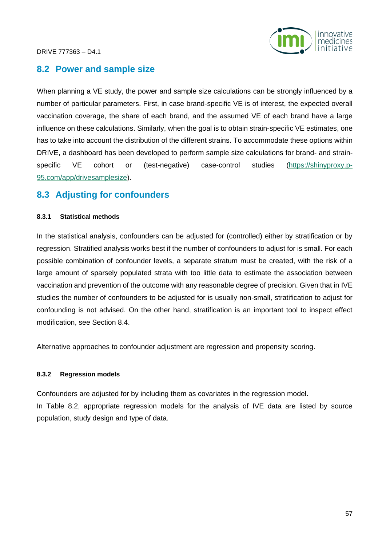

# **8.2 Power and sample size**

When planning a VE study, the power and sample size calculations can be strongly influenced by a number of particular parameters. First, in case brand-specific VE is of interest, the expected overall vaccination coverage, the share of each brand, and the assumed VE of each brand have a large influence on these calculations. Similarly, when the goal is to obtain strain-specific VE estimates, one has to take into account the distribution of the different strains. To accommodate these options within DRIVE, a dashboard has been developed to perform sample size calculations for brand- and strainspecific VE cohort or (test-negative) case-control studies [\(https://shinyproxy.p-](https://shinyproxy.p-95.com/app/drivesamplesize)[95.com/app/drivesamplesize\)](https://shinyproxy.p-95.com/app/drivesamplesize).

## **8.3 Adjusting for confounders**

#### **8.3.1 Statistical methods**

In the statistical analysis, confounders can be adjusted for (controlled) either by stratification or by regression. Stratified analysis works best if the number of confounders to adjust for is small. For each possible combination of confounder levels, a separate stratum must be created, with the risk of a large amount of sparsely populated strata with too little data to estimate the association between vaccination and prevention of the outcome with any reasonable degree of precision. Given that in IVE studies the number of confounders to be adjusted for is usually non-small, stratification to adjust for confounding is not advised. On the other hand, stratification is an important tool to inspect effect modification, see Section 8.4.

Alternative approaches to confounder adjustment are regression and propensity scoring.

#### **8.3.2 Regression models**

Confounders are adjusted for by including them as covariates in the regression model. In Table 8.2, appropriate regression models for the analysis of IVE data are listed by source population, study design and type of data.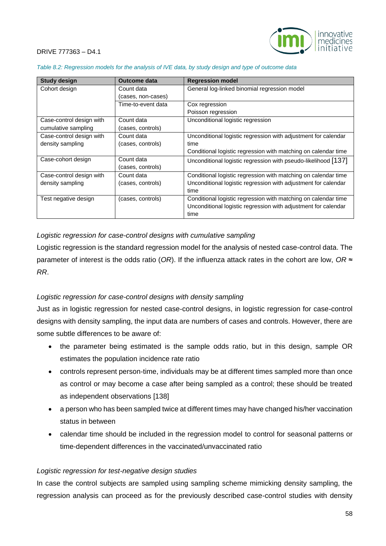

| <b>Study design</b>      | <b>Outcome data</b> | <b>Regression model</b>                                        |
|--------------------------|---------------------|----------------------------------------------------------------|
| Cohort design            | Count data          | General log-linked binomial regression model                   |
|                          | (cases, non-cases)  |                                                                |
|                          | Time-to-event data  | Cox regression                                                 |
|                          |                     | Poisson regression                                             |
| Case-control design with | Count data          | Unconditional logistic regression                              |
| cumulative sampling      | (cases, controls)   |                                                                |
| Case-control design with | Count data          | Unconditional logistic regression with adjustment for calendar |
| density sampling         | (cases, controls)   | time                                                           |
|                          |                     | Conditional logistic regression with matching on calendar time |
| Case-cohort design       | Count data          | Unconditional logistic regression with pseudo-likelihood [137] |
|                          | (cases, controls)   |                                                                |
| Case-control design with | Count data          | Conditional logistic regression with matching on calendar time |
| density sampling         | (cases, controls)   | Unconditional logistic regression with adjustment for calendar |
|                          |                     | time                                                           |
| Test negative design     | (cases, controls)   | Conditional logistic regression with matching on calendar time |
|                          |                     | Unconditional logistic regression with adjustment for calendar |
|                          |                     | time                                                           |

*Table 8.2: Regression models for the analysis of IVE data, by study design and type of outcome data*

#### *Logistic regression for case-control designs with cumulative sampling*

Logistic regression is the standard regression model for the analysis of nested case-control data. The parameter of interest is the odds ratio (*OR*). If the influenza attack rates in the cohort are low, *OR* ≈ *RR*.

#### *Logistic regression for case-control designs with density sampling*

Just as in logistic regression for nested case-control designs, in logistic regression for case-control designs with density sampling, the input data are numbers of cases and controls. However, there are some subtle differences to be aware of:

- the parameter being estimated is the sample odds ratio, but in this design, sample OR estimates the population incidence rate ratio
- controls represent person-time, individuals may be at different times sampled more than once as control or may become a case after being sampled as a control; these should be treated as independent observations [138]
- a person who has been sampled twice at different times may have changed his/her vaccination status in between
- calendar time should be included in the regression model to control for seasonal patterns or time-dependent differences in the vaccinated/unvaccinated ratio

#### *Logistic regression for test-negative design studies*

In case the control subjects are sampled using sampling scheme mimicking density sampling, the regression analysis can proceed as for the previously described case-control studies with density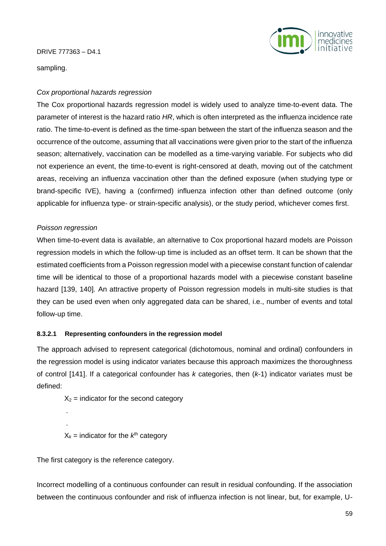

sampling.

#### *Cox proportional hazards regression*

The Cox proportional hazards regression model is widely used to analyze time-to-event data. The parameter of interest is the hazard ratio *HR*, which is often interpreted as the influenza incidence rate ratio. The time-to-event is defined as the time-span between the start of the influenza season and the occurrence of the outcome, assuming that all vaccinations were given prior to the start of the influenza season; alternatively, vaccination can be modelled as a time-varying variable. For subjects who did not experience an event, the time-to-event is right-censored at death, moving out of the catchment areas, receiving an influenza vaccination other than the defined exposure (when studying type or brand-specific IVE), having a (confirmed) influenza infection other than defined outcome (only applicable for influenza type- or strain-specific analysis), or the study period, whichever comes first.

#### *Poisson regression*

. .

When time-to-event data is available, an alternative to Cox proportional hazard models are Poisson regression models in which the follow-up time is included as an offset term. It can be shown that the estimated coefficients from a Poisson regression model with a piecewise constant function of calendar time will be identical to those of a proportional hazards model with a piecewise constant baseline hazard [139, 140]*.* An attractive property of Poisson regression models in multi-site studies is that they can be used even when only aggregated data can be shared, i.e., number of events and total follow-up time.

#### **8.3.2.1 Representing confounders in the regression model**

The approach advised to represent categorical (dichotomous, nominal and ordinal) confounders in the regression model is using indicator variates because this approach maximizes the thoroughness of control [141]. If a categorical confounder has *k* categories, then (*k*-1) indicator variates must be defined:

 $X_2$  = indicator for the second category

 $X_k$  = indicator for the  $k^{th}$  category

The first category is the reference category.

Incorrect modelling of a continuous confounder can result in residual confounding. If the association between the continuous confounder and risk of influenza infection is not linear, but, for example, U-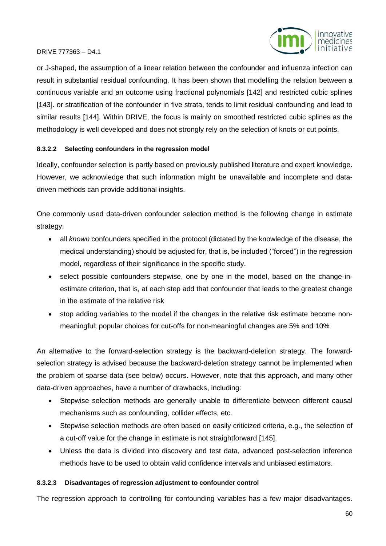

or J-shaped, the assumption of a linear relation between the confounder and influenza infection can result in substantial residual confounding. It has been shown that modelling the relation between a continuous variable and an outcome using fractional polynomials [142] and restricted cubic splines [143]. or stratification of the confounder in five strata, tends to limit residual confounding and lead to similar results [144]. Within DRIVE, the focus is mainly on smoothed restricted cubic splines as the methodology is well developed and does not strongly rely on the selection of knots or cut points.

#### **8.3.2.2 Selecting confounders in the regression model**

Ideally, confounder selection is partly based on previously published literature and expert knowledge. However, we acknowledge that such information might be unavailable and incomplete and datadriven methods can provide additional insights.

One commonly used data-driven confounder selection method is the following change in estimate strategy:

- all *known* confounders specified in the protocol (dictated by the knowledge of the disease, the medical understanding) should be adjusted for, that is, be included ("forced") in the regression model, regardless of their significance in the specific study.
- select possible confounders stepwise, one by one in the model, based on the change-inestimate criterion, that is, at each step add that confounder that leads to the greatest change in the estimate of the relative risk
- stop adding variables to the model if the changes in the relative risk estimate become nonmeaningful; popular choices for cut-offs for non-meaningful changes are 5% and 10%

An alternative to the forward-selection strategy is the backward-deletion strategy. The forwardselection strategy is advised because the backward-deletion strategy cannot be implemented when the problem of sparse data (see below) occurs. However, note that this approach, and many other data-driven approaches, have a number of drawbacks, including:

- Stepwise selection methods are generally unable to differentiate between different causal mechanisms such as confounding, collider effects, etc.
- Stepwise selection methods are often based on easily criticized criteria, e.g., the selection of a cut-off value for the change in estimate is not straightforward [145].
- Unless the data is divided into discovery and test data, advanced post-selection inference methods have to be used to obtain valid confidence intervals and unbiased estimators.

#### **8.3.2.3 Disadvantages of regression adjustment to confounder control**

The regression approach to controlling for confounding variables has a few major disadvantages.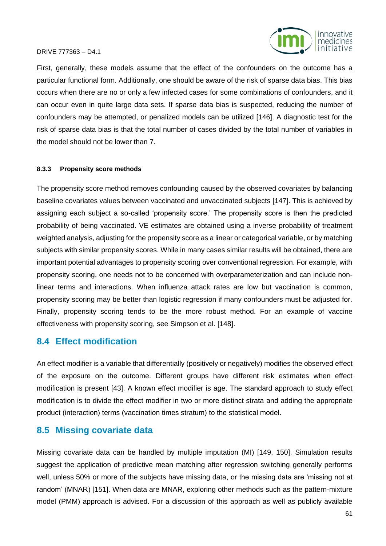

First, generally, these models assume that the effect of the confounders on the outcome has a particular functional form. Additionally, one should be aware of the risk of sparse data bias. This bias occurs when there are no or only a few infected cases for some combinations of confounders, and it can occur even in quite large data sets. If sparse data bias is suspected, reducing the number of confounders may be attempted, or penalized models can be utilized [146]. A diagnostic test for the risk of sparse data bias is that the total number of cases divided by the total number of variables in the model should not be lower than 7.

#### **8.3.3 Propensity score methods**

The propensity score method removes confounding caused by the observed covariates by balancing baseline covariates values between vaccinated and unvaccinated subjects [147]. This is achieved by assigning each subject a so-called 'propensity score.' The propensity score is then the predicted probability of being vaccinated. VE estimates are obtained using a inverse probability of treatment weighted analysis, adjusting for the propensity score as a linear or categorical variable, or by matching subjects with similar propensity scores. While in many cases similar results will be obtained, there are important potential advantages to propensity scoring over conventional regression. For example, with propensity scoring, one needs not to be concerned with overparameterization and can include nonlinear terms and interactions. When influenza attack rates are low but vaccination is common, propensity scoring may be better than logistic regression if many confounders must be adjusted for. Finally, propensity scoring tends to be the more robust method. For an example of vaccine effectiveness with propensity scoring, see Simpson et al. [148].

## **8.4 Effect modification**

An effect modifier is a variable that differentially (positively or negatively) modifies the observed effect of the exposure on the outcome. Different groups have different risk estimates when effect modification is present [43]. A known effect modifier is age. The standard approach to study effect modification is to divide the effect modifier in two or more distinct strata and adding the appropriate product (interaction) terms (vaccination times stratum) to the statistical model.

# **8.5 Missing covariate data**

Missing covariate data can be handled by multiple imputation (MI) [149, 150]. Simulation results suggest the application of predictive mean matching after regression switching generally performs well, unless 50% or more of the subjects have missing data, or the missing data are 'missing not at random' (MNAR) [151]. When data are MNAR, exploring other methods such as the pattern-mixture model (PMM) approach is advised. For a discussion of this approach as well as publicly available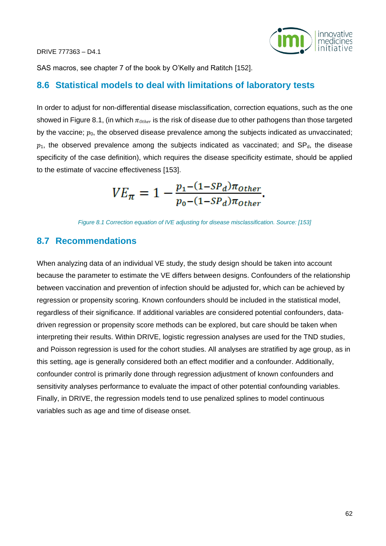

SAS macros, see chapter 7 of the book by O'Kelly and Ratitch [152].

## **8.6 Statistical models to deal with limitations of laboratory tests**

In order to adjust for non-differential disease misclassification, correction equations, such as the one showed in Figure 8.1, (in which  $\pi_{Other}$  is the risk of disease due to other pathogens than those targeted by the vaccine;  $p_0$ , the observed disease prevalence among the subjects indicated as unvaccinated;  $p_1$ , the observed prevalence among the subjects indicated as vaccinated; and SP<sub>d</sub>, the disease specificity of the case definition), which requires the disease specificity estimate, should be applied to the estimate of vaccine effectiveness [153].

$$
VE_{\pi} = 1 - \frac{p_1 - (1 - SP_d)\pi_{other}}{p_0 - (1 - SP_d)\pi_{other}}.
$$

*Figure 8.1 Correction equation of IVE adjusting for disease misclassification. Source: [153]*

## **8.7 Recommendations**

When analyzing data of an individual VE study, the study design should be taken into account because the parameter to estimate the VE differs between designs. Confounders of the relationship between vaccination and prevention of infection should be adjusted for, which can be achieved by regression or propensity scoring. Known confounders should be included in the statistical model, regardless of their significance. If additional variables are considered potential confounders, datadriven regression or propensity score methods can be explored, but care should be taken when interpreting their results. Within DRIVE, logistic regression analyses are used for the TND studies, and Poisson regression is used for the cohort studies. All analyses are stratified by age group, as in this setting, age is generally considered both an effect modifier and a confounder. Additionally, confounder control is primarily done through regression adjustment of known confounders and sensitivity analyses performance to evaluate the impact of other potential confounding variables. Finally, in DRIVE, the regression models tend to use penalized splines to model continuous variables such as age and time of disease onset.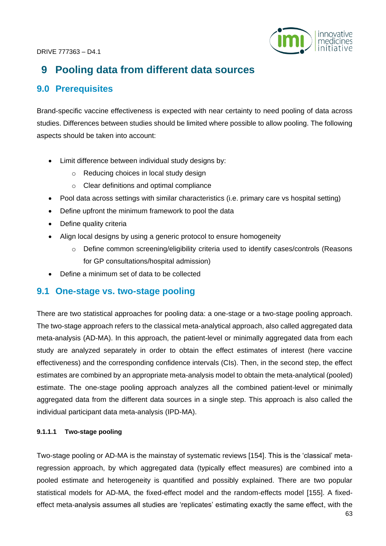

# **9 Pooling data from different data sources**

# **9.0 Prerequisites**

Brand-specific vaccine effectiveness is expected with near certainty to need pooling of data across studies. Differences between studies should be limited where possible to allow pooling. The following aspects should be taken into account:

- Limit difference between individual study designs by:
	- o Reducing choices in local study design
	- o Clear definitions and optimal compliance
- Pool data across settings with similar characteristics (i.e. primary care vs hospital setting)
- Define upfront the minimum framework to pool the data
- Define quality criteria
- Align local designs by using a generic protocol to ensure homogeneity
	- $\circ$  Define common screening/eligibility criteria used to identify cases/controls (Reasons for GP consultations/hospital admission)
- Define a minimum set of data to be collected

# **9.1 One-stage vs. two-stage pooling**

There are two statistical approaches for pooling data: a one-stage or a two-stage pooling approach. The two-stage approach refers to the classical meta-analytical approach, also called aggregated data meta-analysis (AD-MA). In this approach, the patient-level or minimally aggregated data from each study are analyzed separately in order to obtain the effect estimates of interest (here vaccine effectiveness) and the corresponding confidence intervals (CIs). Then, in the second step, the effect estimates are combined by an appropriate meta-analysis model to obtain the meta-analytical (pooled) estimate. The one-stage pooling approach analyzes all the combined patient-level or minimally aggregated data from the different data sources in a single step. This approach is also called the individual participant data meta-analysis (IPD-MA).

## **9.1.1.1 Two-stage pooling**

Two-stage pooling or AD-MA is the mainstay of systematic reviews [154]. This is the 'classical' metaregression approach, by which aggregated data (typically effect measures) are combined into a pooled estimate and heterogeneity is quantified and possibly explained. There are two popular statistical models for AD-MA, the fixed-effect model and the random-effects model [155]. A fixedeffect meta-analysis assumes all studies are 'replicates' estimating exactly the same effect, with the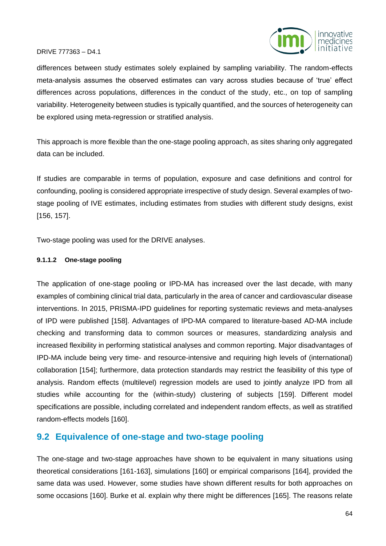

differences between study estimates solely explained by sampling variability. The random-effects meta-analysis assumes the observed estimates can vary across studies because of 'true' effect differences across populations, differences in the conduct of the study, etc., on top of sampling variability. Heterogeneity between studies is typically quantified, and the sources of heterogeneity can be explored using meta-regression or stratified analysis.

This approach is more flexible than the one-stage pooling approach, as sites sharing only aggregated data can be included.

If studies are comparable in terms of population, exposure and case definitions and control for confounding, pooling is considered appropriate irrespective of study design. Several examples of twostage pooling of IVE estimates, including estimates from studies with different study designs, exist [156, 157].

Two-stage pooling was used for the DRIVE analyses.

#### **9.1.1.2 One-stage pooling**

The application of one-stage pooling or IPD-MA has increased over the last decade, with many examples of combining clinical trial data, particularly in the area of cancer and cardiovascular disease interventions. In 2015, PRISMA-IPD guidelines for reporting systematic reviews and meta-analyses of IPD were published [158]. Advantages of IPD-MA compared to literature-based AD-MA include checking and transforming data to common sources or measures, standardizing analysis and increased flexibility in performing statistical analyses and common reporting. Major disadvantages of IPD-MA include being very time- and resource-intensive and requiring high levels of (international) collaboration [154]; furthermore, data protection standards may restrict the feasibility of this type of analysis. Random effects (multilevel) regression models are used to jointly analyze IPD from all studies while accounting for the (within-study) clustering of subjects [159]. Different model specifications are possible, including correlated and independent random effects, as well as stratified random-effects models [160].

# **9.2 Equivalence of one-stage and two-stage pooling**

The one-stage and two-stage approaches have shown to be equivalent in many situations using theoretical considerations [161-163], simulations [160] or empirical comparisons [164], provided the same data was used. However, some studies have shown different results for both approaches on some occasions [160]. Burke et al. explain why there might be differences [165]. The reasons relate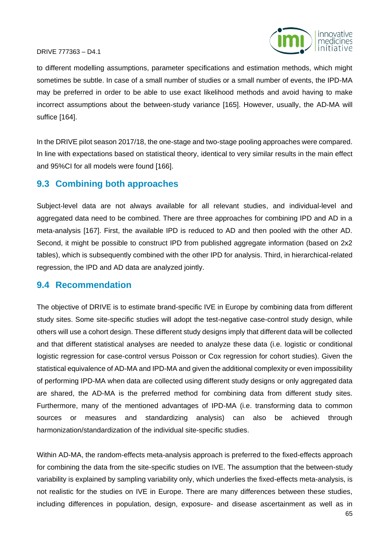

to different modelling assumptions, parameter specifications and estimation methods, which might sometimes be subtle. In case of a small number of studies or a small number of events, the IPD-MA may be preferred in order to be able to use exact likelihood methods and avoid having to make incorrect assumptions about the between-study variance [165]. However, usually, the AD-MA will suffice [164].

In the DRIVE pilot season 2017/18, the one-stage and two-stage pooling approaches were compared. In line with expectations based on statistical theory, identical to very similar results in the main effect and 95%CI for all models were found [166].

# **9.3 Combining both approaches**

Subject-level data are not always available for all relevant studies, and individual-level and aggregated data need to be combined. There are three approaches for combining IPD and AD in a meta-analysis [167]. First, the available IPD is reduced to AD and then pooled with the other AD. Second, it might be possible to construct IPD from published aggregate information (based on 2x2 tables), which is subsequently combined with the other IPD for analysis. Third, in hierarchical-related regression, the IPD and AD data are analyzed jointly.

# **9.4 Recommendation**

The objective of DRIVE is to estimate brand-specific IVE in Europe by combining data from different study sites. Some site-specific studies will adopt the test-negative case-control study design, while others will use a cohort design. These different study designs imply that different data will be collected and that different statistical analyses are needed to analyze these data (i.e. logistic or conditional logistic regression for case-control versus Poisson or Cox regression for cohort studies). Given the statistical equivalence of AD-MA and IPD-MA and given the additional complexity or even impossibility of performing IPD-MA when data are collected using different study designs or only aggregated data are shared, the AD-MA is the preferred method for combining data from different study sites. Furthermore, many of the mentioned advantages of IPD-MA (i.e. transforming data to common sources or measures and standardizing analysis) can also be achieved through harmonization/standardization of the individual site-specific studies.

Within AD-MA, the random-effects meta-analysis approach is preferred to the fixed-effects approach for combining the data from the site-specific studies on IVE. The assumption that the between-study variability is explained by sampling variability only, which underlies the fixed-effects meta-analysis, is not realistic for the studies on IVE in Europe. There are many differences between these studies, including differences in population, design, exposure- and disease ascertainment as well as in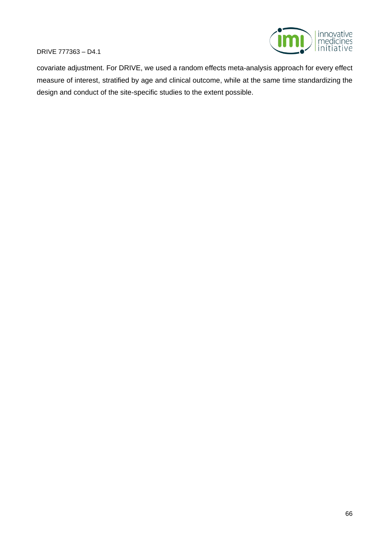

covariate adjustment. For DRIVE, we used a random effects meta-analysis approach for every effect measure of interest, stratified by age and clinical outcome, while at the same time standardizing the design and conduct of the site-specific studies to the extent possible.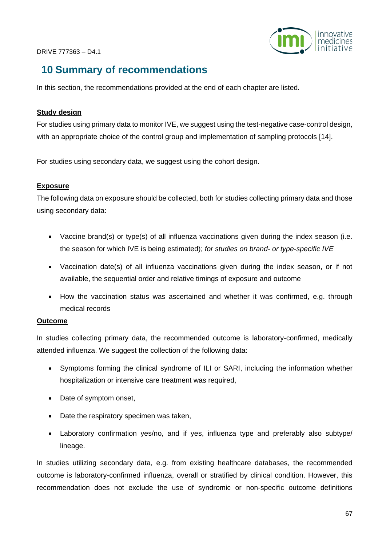

# **10 Summary of recommendations**

In this section, the recommendations provided at the end of each chapter are listed.

#### **Study design**

For studies using primary data to monitor IVE, we suggest using the test-negative case-control design, with an appropriate choice of the control group and implementation of sampling protocols [14].

For studies using secondary data, we suggest using the cohort design.

## **Exposure**

The following data on exposure should be collected, both for studies collecting primary data and those using secondary data:

- Vaccine brand(s) or type(s) of all influenza vaccinations given during the index season (i.e. the season for which IVE is being estimated); *for studies on brand- or type-specific IVE*
- Vaccination date(s) of all influenza vaccinations given during the index season, or if not available, the sequential order and relative timings of exposure and outcome
- How the vaccination status was ascertained and whether it was confirmed, e.g. through medical records

## **Outcome**

In studies collecting primary data, the recommended outcome is laboratory-confirmed, medically attended influenza. We suggest the collection of the following data:

- Symptoms forming the clinical syndrome of ILI or SARI, including the information whether hospitalization or intensive care treatment was required,
- Date of symptom onset,
- Date the respiratory specimen was taken,
- Laboratory confirmation yes/no, and if yes, influenza type and preferably also subtype/ lineage.

In studies utilizing secondary data, e.g. from existing healthcare databases, the recommended outcome is laboratory-confirmed influenza, overall or stratified by clinical condition. However, this recommendation does not exclude the use of syndromic or non-specific outcome definitions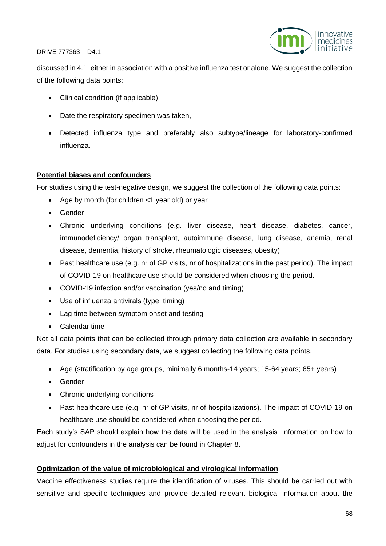

discussed in 4.1, either in association with a positive influenza test or alone. We suggest the collection of the following data points:

- Clinical condition (if applicable),
- Date the respiratory specimen was taken,
- Detected influenza type and preferably also subtype/lineage for laboratory-confirmed influenza.

## **Potential biases and confounders**

For studies using the test-negative design, we suggest the collection of the following data points:

- Age by month (for children <1 year old) or year
- Gender
- Chronic underlying conditions (e.g. liver disease, heart disease, diabetes, cancer, immunodeficiency/ organ transplant, autoimmune disease, lung disease, anemia, renal disease, dementia, history of stroke, rheumatologic diseases, obesity)
- Past healthcare use (e.g. nr of GP visits, nr of hospitalizations in the past period). The impact of COVID-19 on healthcare use should be considered when choosing the period.
- COVID-19 infection and/or vaccination (yes/no and timing)
- Use of influenza antivirals (type, timing)
- Lag time between symptom onset and testing
- Calendar time

Not all data points that can be collected through primary data collection are available in secondary data. For studies using secondary data, we suggest collecting the following data points.

- Age (stratification by age groups, minimally 6 months-14 years; 15-64 years; 65+ years)
- Gender
- Chronic underlying conditions
- Past healthcare use (e.g. nr of GP visits, nr of hospitalizations). The impact of COVID-19 on healthcare use should be considered when choosing the period.

Each study's SAP should explain how the data will be used in the analysis. Information on how to adjust for confounders in the analysis can be found in Chapter 8.

## **Optimization of the value of microbiological and virological information**

Vaccine effectiveness studies require the identification of viruses. This should be carried out with sensitive and specific techniques and provide detailed relevant biological information about the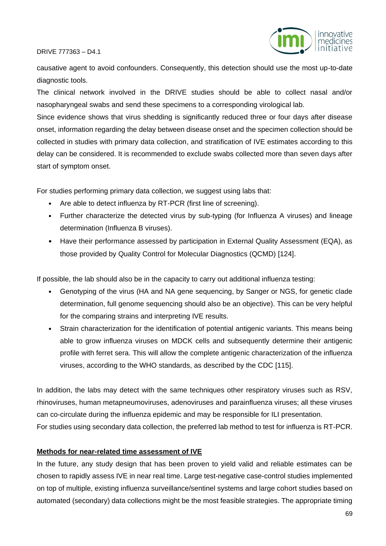

causative agent to avoid confounders. Consequently, this detection should use the most up-to-date diagnostic tools.

The clinical network involved in the DRIVE studies should be able to collect nasal and/or nasopharyngeal swabs and send these specimens to a corresponding virological lab.

Since evidence shows that virus shedding is significantly reduced three or four days after disease onset, information regarding the delay between disease onset and the specimen collection should be collected in studies with primary data collection, and stratification of IVE estimates according to this delay can be considered. It is recommended to exclude swabs collected more than seven days after start of symptom onset.

For studies performing primary data collection, we suggest using labs that:

- Are able to detect influenza by RT-PCR (first line of screening).
- Further characterize the detected virus by sub-typing (for Influenza A viruses) and lineage determination (Influenza B viruses).
- Have their performance assessed by participation in External Quality Assessment (EQA), as those provided by Quality Control for Molecular Diagnostics (QCMD) [124].

If possible, the lab should also be in the capacity to carry out additional influenza testing:

- Genotyping of the virus (HA and NA gene sequencing, by Sanger or NGS, for genetic clade determination, full genome sequencing should also be an objective). This can be very helpful for the comparing strains and interpreting IVE results.
- Strain characterization for the identification of potential antigenic variants. This means being able to grow influenza viruses on MDCK cells and subsequently determine their antigenic profile with ferret sera. This will allow the complete antigenic characterization of the influenza viruses, according to the WHO standards, as described by the CDC [115].

In addition, the labs may detect with the same techniques other respiratory viruses such as RSV, rhinoviruses, human metapneumoviruses, adenoviruses and parainfluenza viruses; all these viruses can co-circulate during the influenza epidemic and may be responsible for ILI presentation. For studies using secondary data collection, the preferred lab method to test for influenza is RT-PCR.

#### **Methods for near-related time assessment of IVE**

In the future, any study design that has been proven to yield valid and reliable estimates can be chosen to rapidly assess IVE in near real time. Large test-negative case-control studies implemented on top of multiple, existing influenza surveillance/sentinel systems and large cohort studies based on automated (secondary) data collections might be the most feasible strategies. The appropriate timing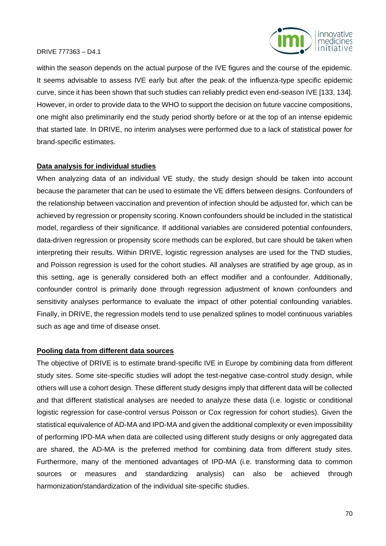

within the season depends on the actual purpose of the IVE figures and the course of the epidemic. It seems advisable to assess IVE early but after the peak of the influenza-type specific epidemic curve, since it has been shown that such studies can reliably predict even end-season IVE [133, 134]. However, in order to provide data to the WHO to support the decision on future vaccine compositions, one might also preliminarily end the study period shortly before or at the top of an intense epidemic that started late. In DRIVE, no interim analyses were performed due to a lack of statistical power for brand-specific estimates.

#### **Data analysis for individual studies**

When analyzing data of an individual VE study, the study design should be taken into account because the parameter that can be used to estimate the VE differs between designs. Confounders of the relationship between vaccination and prevention of infection should be adjusted for, which can be achieved by regression or propensity scoring. Known confounders should be included in the statistical model, regardless of their significance. If additional variables are considered potential confounders, data-driven regression or propensity score methods can be explored, but care should be taken when interpreting their results. Within DRIVE, logistic regression analyses are used for the TND studies, and Poisson regression is used for the cohort studies. All analyses are stratified by age group, as in this setting, age is generally considered both an effect modifier and a confounder. Additionally, confounder control is primarily done through regression adjustment of known confounders and sensitivity analyses performance to evaluate the impact of other potential confounding variables. Finally, in DRIVE, the regression models tend to use penalized splines to model continuous variables such as age and time of disease onset.

#### **Pooling data from different data sources**

The objective of DRIVE is to estimate brand-specific IVE in Europe by combining data from different study sites. Some site-specific studies will adopt the test-negative case-control study design, while others will use a cohort design. These different study designs imply that different data will be collected and that different statistical analyses are needed to analyze these data (i.e. logistic or conditional logistic regression for case-control versus Poisson or Cox regression for cohort studies). Given the statistical equivalence of AD-MA and IPD-MA and given the additional complexity or even impossibility of performing IPD-MA when data are collected using different study designs or only aggregated data are shared, the AD-MA is the preferred method for combining data from different study sites. Furthermore, many of the mentioned advantages of IPD-MA (i.e. transforming data to common sources or measures and standardizing analysis) can also be achieved through harmonization/standardization of the individual site-specific studies.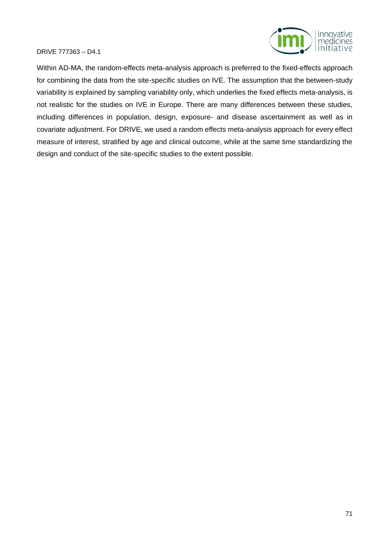

Within AD-MA, the random-effects meta-analysis approach is preferred to the fixed-effects approach for combining the data from the site-specific studies on IVE. The assumption that the between-study variability is explained by sampling variability only, which underlies the fixed effects meta-analysis, is not realistic for the studies on IVE in Europe. There are many differences between these studies, including differences in population, design, exposure- and disease ascertainment as well as in covariate adjustment. For DRIVE, we used a random effects meta-analysis approach for every effect measure of interest, stratified by age and clinical outcome, while at the same time standardizing the design and conduct of the site-specific studies to the extent possible.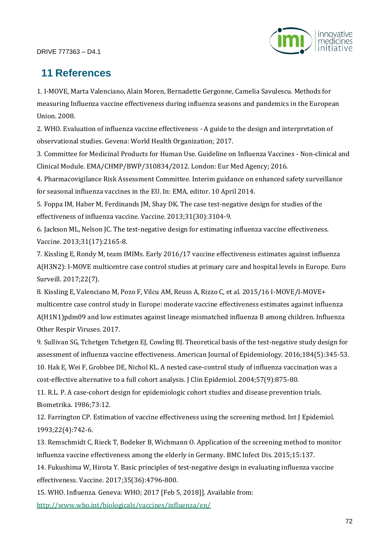

# **11 References**

1. I-MOVE, Marta Valenciano, Alain Moren, Bernadette Gergonne, Camelia Savulescu. Methods for measuring Influenza vaccine effectiveness during influenza seasons and pandemics in the European Union. 2008.

2. WHO. Evaluation of influenza vaccine effectiveness - A guide to the design and interpretation of observational studies. Gevena: World Health Organization; 2017.

3. Committee for Medicinal Products for Human Use. Guideline on Influenza Vaccines - Non-clinical and Clinical Module. EMA/CHMP/BWP/310834/2012. London: Eur Med Agency; 2016.

4. Pharmacovigilance Risk Assessment Committee. Interim guidance on enhanced safety surveillance for seasonal influenza vaccines in the EU. In: EMA, editor. 10 April 2014.

5. Foppa IM, Haber M, Ferdinands JM, Shay DK. The case test-negative design for studies of the effectiveness of influenza vaccine. Vaccine. 2013;31(30):3104-9.

6. Jackson ML, Nelson JC. The test-negative design for estimating influenza vaccine effectiveness. Vaccine. 2013;31(17):2165-8.

7. Kissling E, Rondy M, team IMIMs. Early 2016/17 vaccine effectiveness estimates against influenza A(H3N2): I-MOVE multicentre case control studies at primary care and hospital levels in Europe. Euro Surveill. 2017;22(7).

8. Kissling E, Valenciano M, Pozo F, Vilcu AM, Reuss A, Rizzo C, et al. 2015/16 I-MOVE/I-MOVE+ multicentre case control study in Europe: moderate vaccine effectiveness estimates against influenza A(H1N1)pdm09 and low estimates against lineage mismatched influenza B among children. Influenza Other Respir Viruses. 2017.

9. Sullivan SG, Tchetgen Tchetgen EJ, Cowling BJ. Theoretical basis of the test-negative study design for assessment of influenza vaccine effectiveness. American Journal of Epidemiology. 2016;184(5):345-53. 10. Hak E, Wei F, Grobbee DE, Nichol KL. A nested case-control study of influenza vaccination was a

cost-effective alternative to a full cohort analysis. J Clin Epidemiol. 2004;57(9):875-80.

11. R.L. P. A case-cohort design for epidemiologic cohort studies and disease prevention trials. Biometrika. 1986;73:12.

12. Farrington CP. Estimation of vaccine effectiveness using the screening method. Int J Epidemiol. 1993;22(4):742-6.

13. Remschmidt C, Rieck T, Bodeker B, Wichmann O. Application of the screening method to monitor influenza vaccine effectiveness among the elderly in Germany. BMC Infect Dis. 2015;15:137.

14. Fukushima W, Hirota Y. Basic principles of test-negative design in evaluating influenza vaccine effectiveness. Vaccine. 2017;35(36):4796-800.

15. WHO. Influenza. Geneva: WHO; 2017 [Feb 5, 2018]]. Available from:

<http://www.who.int/biologicals/vaccines/influenza/en/>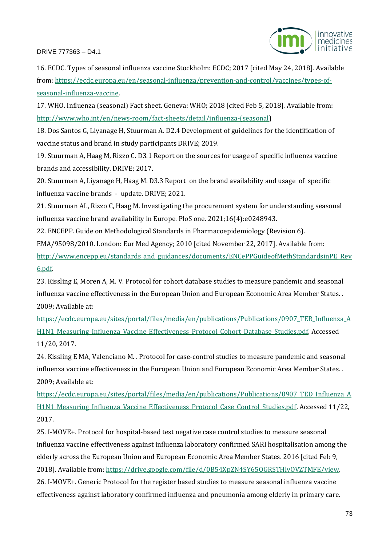

16. ECDC. Types of seasonal influenza vaccine Stockholm: ECDC; 2017 [cited May 24, 2018]. Available from: [https://ecdc.europa.eu/en/seasonal-influenza/prevention-and-control/vaccines/types-of](https://ecdc.europa.eu/en/seasonal-influenza/prevention-and-control/vaccines/types-of-seasonal-influenza-vaccine)[seasonal-influenza-vaccine.](https://ecdc.europa.eu/en/seasonal-influenza/prevention-and-control/vaccines/types-of-seasonal-influenza-vaccine)

17. WHO. Influenza (seasonal) Fact sheet. Geneva: WHO; 2018 [cited Feb 5, 2018]. Available from: [http://www.who.int/en/news-room/fact-sheets/detail/influenza-\(seasonal\)](http://www.who.int/en/news-room/fact-sheets/detail/influenza-(seasonal)

18. Dos Santos G, Liyanage H, Stuurman A. D2.4 Development of guidelines for the identification of vaccine status and brand in study participants DRIVE; 2019.

19. Stuurman A, Haag M, Rizzo C. D3.1 Report on the sources for usage of specific influenza vaccine brands and accessibility. DRIVE; 2017.

20. Stuurman A, Liyanage H, Haag M. D3.3 Report on the brand availability and usage of specific influenza vaccine brands - update. DRIVE; 2021.

21. Stuurman AL, Rizzo C, Haag M. Investigating the procurement system for understanding seasonal influenza vaccine brand availability in Europe. PloS one. 2021;16(4):e0248943.

22. ENCEPP. Guide on Methodological Standards in Pharmacoepidemiology (Revision 6).

EMA/95098/2010. London: Eur Med Agency; 2010 [cited November 22, 2017]. Available from:

[http://www.encepp.eu/standards\\_and\\_guidances/documents/ENCePPGuideofMethStandardsinPE\\_Rev](http://www.encepp.eu/standards_and_guidances/documents/ENCePPGuideofMethStandardsinPE_Rev6.pdf) [6.pdf.](http://www.encepp.eu/standards_and_guidances/documents/ENCePPGuideofMethStandardsinPE_Rev6.pdf)

23. Kissling E, Moren A, M. V. Protocol for cohort database studies to measure pandemic and seasonal influenza vaccine effectiveness in the European Union and European Economic Area Member States. . 2009; Available at:

[https://ecdc.europa.eu/sites/portal/files/media/en/publications/Publications/0907\\_TER\\_Influenza\\_A](https://ecdc.europa.eu/sites/portal/files/media/en/publications/Publications/0907_TER_Influenza_AH1N1_Measuring_Influenza_Vaccine_Effectiveness_Protocol_Cohort_Database_Studies.pdf) H1N1 Measuring Influenza Vaccine Effectiveness Protocol Cohort Database Studies.pdf. Accessed 11/20, 2017.

24. Kissling E MA, Valenciano M. . Protocol for case-control studies to measure pandemic and seasonal influenza vaccine effectiveness in the European Union and European Economic Area Member States. . 2009; Available at:

[https://ecdc.europa.eu/sites/portal/files/media/en/publications/Publications/0907\\_TED\\_Influenza\\_A](https://ecdc.europa.eu/sites/portal/files/media/en/publications/Publications/0907_TED_Influenza_AH1N1_Measuring_Influenza_Vaccine_Effectiveness_Protocol_Case_Control_Studies.pdf) [H1N1\\_Measuring\\_Influenza\\_Vaccine\\_Effectiveness\\_Protocol\\_Case\\_Control\\_Studies.pdf.](https://ecdc.europa.eu/sites/portal/files/media/en/publications/Publications/0907_TED_Influenza_AH1N1_Measuring_Influenza_Vaccine_Effectiveness_Protocol_Case_Control_Studies.pdf) Accessed 11/22, 2017.

25. I-MOVE+. Protocol for hospital-based test negative case control studies to measure seasonal influenza vaccine effectiveness against influenza laboratory confirmed SARI hospitalisation among the elderly across the European Union and European Economic Area Member States. 2016 [cited Feb 9, 2018]. Available from: [https://drive.google.com/file/d/0B54XpZN4SY65OGRSTHlvOVZTMFE/view.](https://drive.google.com/file/d/0B54XpZN4SY65OGRSTHlvOVZTMFE/view) 26. I-MOVE+. Generic Protocol for the register based studies to measure seasonal influenza vaccine effectiveness against laboratory confirmed influenza and pneumonia among elderly in primary care.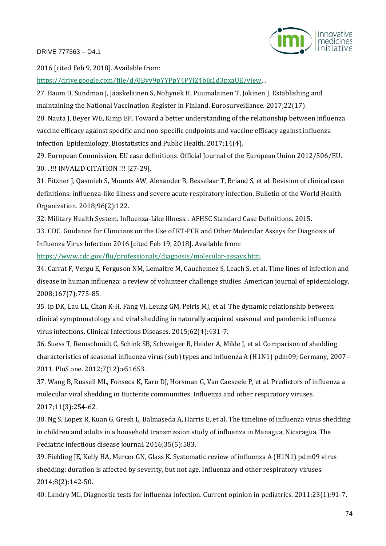

2016 [cited Feb 9, 2018]. Available from:

[https://drive.google.com/file/d/0Byv9pYYPpY4PYlZ4bjk1d3pxaUE/view.](https://drive.google.com/file/d/0Byv9pYYPpY4PYlZ4bjk1d3pxaUE/view) .

27. Baum U, Sundman J, Jääskeläinen S, Nohynek H, Puumalainen T, Jokinen J. Establishing and maintaining the National Vaccination Register in Finland. Eurosurveillance. 2017;22(17).

28. Nauta J, Beyer WE, Kimp EP. Toward a better understanding of the relationship between influenza vaccine efficacy against specific and non-specific endpoints and vaccine efficacy against influenza infection. Epidemiology, Biostatistics and Public Health. 2017;14(4).

29. European Commission. EU case definitions. Official Journal of the European Union 2012/506/EU. 30. . !!! INVALID CITATION !!! [27-29].

31. Fitzner J, Qasmieh S, Mounts AW, Alexander B, Besselaar T, Briand S, et al. Revision of clinical case definitions: influenza-like illness and severe acute respiratory infection. Bulletin of the World Health Organization. 2018;96(2):122.

32. Military Health System. Influenza-Like Illness. . AFHSC Standard Case Definitions. 2015.

33. CDC. Guidance for Clinicians on the Use of RT-PCR and Other Molecular Assays for Diagnosis of Influenza Virus Infection 2016 [cited Feb 19, 2018]. Available from:

[https://www.cdc.gov/flu/professionals/diagnosis/molecular-assays.htm.](https://www.cdc.gov/flu/professionals/diagnosis/molecular-assays.htm)

34. Carrat F, Vergu E, Ferguson NM, Lemaitre M, Cauchemez S, Leach S, et al. Time lines of infection and disease in human influenza: a review of volunteer challenge studies. American journal of epidemiology. 2008;167(7):775-85.

35. Ip DK, Lau LL, Chan K-H, Fang VJ, Leung GM, Peiris MJ, et al. The dynamic relationship between clinical symptomatology and viral shedding in naturally acquired seasonal and pandemic influenza virus infections. Clinical Infectious Diseases. 2015;62(4):431-7.

36. Suess T, Remschmidt C, Schink SB, Schweiger B, Heider A, Milde J, et al. Comparison of shedding characteristics of seasonal influenza virus (sub) types and influenza A (H1N1) pdm09; Germany, 2007– 2011. PloS one. 2012;7(12):e51653.

37. Wang B, Russell ML, Fonseca K, Earn DJ, Horsman G, Van Caeseele P, et al. Predictors of influenza a molecular viral shedding in Hutterite communities. Influenza and other respiratory viruses. 2017;11(3):254-62.

38. Ng S, Lopez R, Kuan G, Gresh L, Balmaseda A, Harris E, et al. The timeline of influenza virus shedding in children and adults in a household transmission study of influenza in Managua, Nicaragua. The Pediatric infectious disease journal. 2016;35(5):583.

39. Fielding JE, Kelly HA, Mercer GN, Glass K. Systematic review of influenza A (H1N1) pdm09 virus shedding: duration is affected by severity, but not age. Influenza and other respiratory viruses. 2014;8(2):142-50.

40. Landry ML. Diagnostic tests for influenza infection. Current opinion in pediatrics. 2011;23(1):91-7.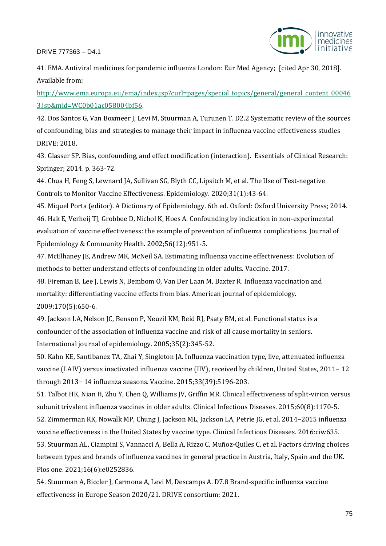

41. EMA. Antiviral medicines for pandemic influenza London: Eur Med Agency; [cited Apr 30, 2018]. Available from:

[http://www.ema.europa.eu/ema/index.jsp?curl=pages/special\\_topics/general/general\\_content\\_00046](http://www.ema.europa.eu/ema/index.jsp?curl=pages/special_topics/general/general_content_000463.jsp&mid=WC0b01ac058004bf56) [3.jsp&mid=WC0b01ac058004bf56.](http://www.ema.europa.eu/ema/index.jsp?curl=pages/special_topics/general/general_content_000463.jsp&mid=WC0b01ac058004bf56)

42. Dos Santos G, Van Boxmeer J, Levi M, Stuurman A, Turunen T. D2.2 Systematic review of the sources of confounding, bias and strategies to manage their impact in influenza vaccine effectiveness studies DRIVE; 2018.

43. Glasser SP. Bias, confounding, and effect modification (interaction). Essentials of Clinical Research: Springer; 2014. p. 363-72.

44. Chua H, Feng S, Lewnard JA, Sullivan SG, Blyth CC, Lipsitch M, et al. The Use of Test-negative Controls to Monitor Vaccine Effectiveness. Epidemiology. 2020;31(1):43-64.

45. Miquel Porta (editor). A Dictionary of Epidemiology. 6th ed. Oxford: Oxford University Press; 2014. 46. Hak E, Verheij TJ, Grobbee D, Nichol K, Hoes A. Confounding by indication in non-experimental evaluation of vaccine effectiveness: the example of prevention of influenza complications. Journal of Epidemiology & Community Health. 2002;56(12):951-5.

47. McElhaney JE, Andrew MK, McNeil SA. Estimating influenza vaccine effectiveness: Evolution of methods to better understand effects of confounding in older adults. Vaccine. 2017.

48. Fireman B, Lee J, Lewis N, Bembom O, Van Der Laan M, Baxter R. Influenza vaccination and mortality: differentiating vaccine effects from bias. American journal of epidemiology. 2009;170(5):650-6.

49. Jackson LA, Nelson JC, Benson P, Neuzil KM, Reid RJ, Psaty BM, et al. Functional status is a confounder of the association of influenza vaccine and risk of all cause mortality in seniors. International journal of epidemiology. 2005;35(2):345-52.

50. Kahn KE, Santibanez TA, Zhai Y, Singleton JA. Influenza vaccination type, live, attenuated influenza vaccine (LAIV) versus inactivated influenza vaccine (IIV), received by children, United States, 2011− 12 through 2013− 14 influenza seasons. Vaccine. 2015;33(39):5196-203.

51. Talbot HK, Nian H, Zhu Y, Chen Q, Williams JV, Griffin MR. Clinical effectiveness of split-virion versus subunit trivalent influenza vaccines in older adults. Clinical Infectious Diseases. 2015;60(8):1170-5.

52. Zimmerman RK, Nowalk MP, Chung J, Jackson ML, Jackson LA, Petrie JG, et al. 2014–2015 influenza vaccine effectiveness in the United States by vaccine type. Clinical Infectious Diseases. 2016:ciw635.

53. Stuurman AL, Ciampini S, Vannacci A, Bella A, Rizzo C, Muñoz-Quiles C, et al. Factors driving choices between types and brands of influenza vaccines in general practice in Austria, Italy, Spain and the UK. Plos one. 2021;16(6):e0252836.

54. Stuurman A, Biccler J, Carmona A, Levi M, Descamps A. D7.8 Brand-specific influenza vaccine effectiveness in Europe Season 2020/21. DRIVE consortium; 2021.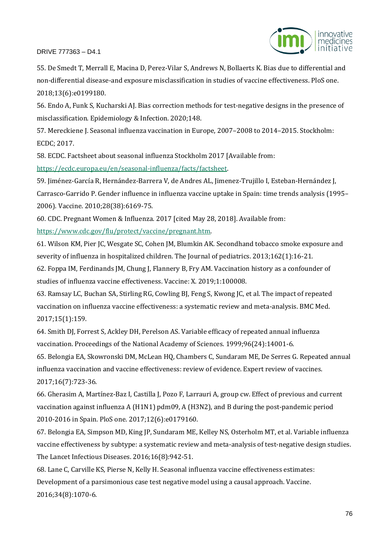



55. De Smedt T, Merrall E, Macina D, Perez-Vilar S, Andrews N, Bollaerts K. Bias due to differential and non-differential disease-and exposure misclassification in studies of vaccine effectiveness. PloS one. 2018;13(6):e0199180.

56. Endo A, Funk S, Kucharski AJ. Bias correction methods for test-negative designs in the presence of misclassification. Epidemiology & Infection. 2020;148.

57. Mereckiene J. Seasonal influenza vaccination in Europe, 2007–2008 to 2014–2015. Stockholm: ECDC; 2017.

58. ECDC. Factsheet about seasonal influenza Stockholm 2017 [Available from: [https://ecdc.europa.eu/en/seasonal-influenza/facts/factsheet.](https://ecdc.europa.eu/en/seasonal-influenza/facts/factsheet)

59. Jiménez-García R, Hernández-Barrera V, de Andres AL, Jimenez-Trujillo I, Esteban-Hernández J, Carrasco-Garrido P. Gender influence in influenza vaccine uptake in Spain: time trends analysis (1995– 2006). Vaccine. 2010;28(38):6169-75.

60. CDC. Pregnant Women & Influenza. 2017 [cited May 28, 2018]. Available from: [https://www.cdc.gov/flu/protect/vaccine/pregnant.htm.](https://www.cdc.gov/flu/protect/vaccine/pregnant.htm)

61. Wilson KM, Pier JC, Wesgate SC, Cohen JM, Blumkin AK. Secondhand tobacco smoke exposure and severity of influenza in hospitalized children. The Journal of pediatrics. 2013;162(1):16-21.

62. Foppa IM, Ferdinands JM, Chung J, Flannery B, Fry AM. Vaccination history as a confounder of studies of influenza vaccine effectiveness. Vaccine: X. 2019;1:100008.

63. Ramsay LC, Buchan SA, Stirling RG, Cowling BJ, Feng S, Kwong JC, et al. The impact of repeated vaccination on influenza vaccine effectiveness: a systematic review and meta-analysis. BMC Med. 2017;15(1):159.

64. Smith DJ, Forrest S, Ackley DH, Perelson AS. Variable efficacy of repeated annual influenza vaccination. Proceedings of the National Academy of Sciences. 1999;96(24):14001-6.

65. Belongia EA, Skowronski DM, McLean HQ, Chambers C, Sundaram ME, De Serres G. Repeated annual influenza vaccination and vaccine effectiveness: review of evidence. Expert review of vaccines. 2017;16(7):723-36.

66. Gherasim A, Martínez-Baz I, Castilla J, Pozo F, Larrauri A, group cw. Effect of previous and current vaccination against influenza A (H1N1) pdm09, A (H3N2), and B during the post-pandemic period 2010-2016 in Spain. PloS one. 2017;12(6):e0179160.

67. Belongia EA, Simpson MD, King JP, Sundaram ME, Kelley NS, Osterholm MT, et al. Variable influenza vaccine effectiveness by subtype: a systematic review and meta-analysis of test-negative design studies. The Lancet Infectious Diseases. 2016;16(8):942-51.

68. Lane C, Carville KS, Pierse N, Kelly H. Seasonal influenza vaccine effectiveness estimates: Development of a parsimonious case test negative model using a causal approach. Vaccine. 2016;34(8):1070-6.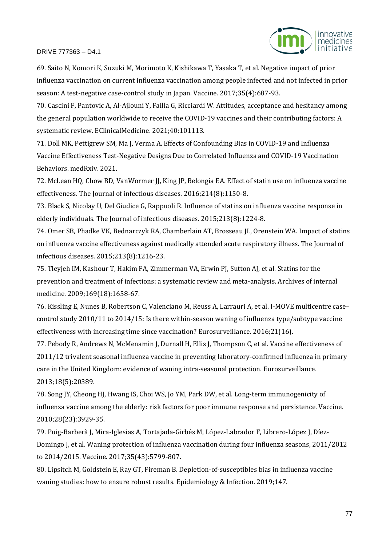

69. Saito N, Komori K, Suzuki M, Morimoto K, Kishikawa T, Yasaka T, et al. Negative impact of prior influenza vaccination on current influenza vaccination among people infected and not infected in prior season: A test-negative case-control study in Japan. Vaccine. 2017;35(4):687-93.

70. Cascini F, Pantovic A, Al-Ajlouni Y, Failla G, Ricciardi W. Attitudes, acceptance and hesitancy among the general population worldwide to receive the COVID-19 vaccines and their contributing factors: A systematic review. EClinicalMedicine. 2021;40:101113.

71. Doll MK, Pettigrew SM, Ma J, Verma A. Effects of Confounding Bias in COVID-19 and Influenza Vaccine Effectiveness Test-Negative Designs Due to Correlated Influenza and COVID-19 Vaccination Behaviors. medRxiv. 2021.

72. McLean HQ, Chow BD, VanWormer JJ, King JP, Belongia EA. Effect of statin use on influenza vaccine effectiveness. The Journal of infectious diseases. 2016;214(8):1150-8.

73. Black S, Nicolay U, Del Giudice G, Rappuoli R. Influence of statins on influenza vaccine response in elderly individuals. The Journal of infectious diseases. 2015;213(8):1224-8.

74. Omer SB, Phadke VK, Bednarczyk RA, Chamberlain AT, Brosseau JL, Orenstein WA. Impact of statins on influenza vaccine effectiveness against medically attended acute respiratory illness. The Journal of infectious diseases. 2015;213(8):1216-23.

75. Tleyjeh IM, Kashour T, Hakim FA, Zimmerman VA, Erwin PJ, Sutton AJ, et al. Statins for the prevention and treatment of infections: a systematic review and meta-analysis. Archives of internal medicine. 2009;169(18):1658-67.

76. Kissling E, Nunes B, Robertson C, Valenciano M, Reuss A, Larrauri A, et al. I-MOVE multicentre case– control study 2010/11 to 2014/15: Is there within-season waning of influenza type/subtype vaccine effectiveness with increasing time since vaccination? Eurosurveillance. 2016;21(16).

77. Pebody R, Andrews N, McMenamin J, Durnall H, Ellis J, Thompson C, et al. Vaccine effectiveness of 2011/12 trivalent seasonal influenza vaccine in preventing laboratory-confirmed influenza in primary care in the United Kingdom: evidence of waning intra-seasonal protection. Eurosurveillance. 2013;18(5):20389.

78. Song JY, Cheong HJ, Hwang IS, Choi WS, Jo YM, Park DW, et al. Long-term immunogenicity of influenza vaccine among the elderly: risk factors for poor immune response and persistence. Vaccine. 2010;28(23):3929-35.

79. Puig-Barberà J, Mira-Iglesias A, Tortajada-Girbés M, López-Labrador F, Librero-López J, Díez-Domingo J, et al. Waning protection of influenza vaccination during four influenza seasons, 2011/2012 to 2014/2015. Vaccine. 2017;35(43):5799-807.

80. Lipsitch M, Goldstein E, Ray GT, Fireman B. Depletion-of-susceptibles bias in influenza vaccine waning studies: how to ensure robust results. Epidemiology & Infection. 2019;147.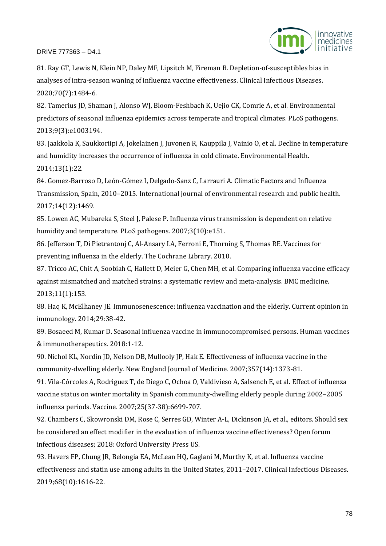

81. Ray GT, Lewis N, Klein NP, Daley MF, Lipsitch M, Fireman B. Depletion-of-susceptibles bias in analyses of intra-season waning of influenza vaccine effectiveness. Clinical Infectious Diseases. 2020;70(7):1484-6.

82. Tamerius JD, Shaman J, Alonso WJ, Bloom-Feshbach K, Uejio CK, Comrie A, et al. Environmental predictors of seasonal influenza epidemics across temperate and tropical climates. PLoS pathogens. 2013;9(3):e1003194.

83. Jaakkola K, Saukkoriipi A, Jokelainen J, Juvonen R, Kauppila J, Vainio O, et al. Decline in temperature and humidity increases the occurrence of influenza in cold climate. Environmental Health. 2014;13(1):22.

84. Gomez-Barroso D, León-Gómez I, Delgado-Sanz C, Larrauri A. Climatic Factors and Influenza Transmission, Spain, 2010–2015. International journal of environmental research and public health. 2017;14(12):1469.

85. Lowen AC, Mubareka S, Steel J, Palese P. Influenza virus transmission is dependent on relative humidity and temperature. PLoS pathogens. 2007;3(10):e151.

86. Jefferson T, Di Pietrantonj C, Al-Ansary LA, Ferroni E, Thorning S, Thomas RE. Vaccines for preventing influenza in the elderly. The Cochrane Library. 2010.

87. Tricco AC, Chit A, Soobiah C, Hallett D, Meier G, Chen MH, et al. Comparing influenza vaccine efficacy against mismatched and matched strains: a systematic review and meta-analysis. BMC medicine. 2013;11(1):153.

88. Haq K, McElhaney JE. Immunosenescence: influenza vaccination and the elderly. Current opinion in immunology. 2014;29:38-42.

89. Bosaeed M, Kumar D. Seasonal influenza vaccine in immunocompromised persons. Human vaccines & immunotherapeutics. 2018:1-12.

90. Nichol KL, Nordin JD, Nelson DB, Mullooly JP, Hak E. Effectiveness of influenza vaccine in the community-dwelling elderly. New England Journal of Medicine. 2007;357(14):1373-81.

91. Vila-Córcoles A, Rodriguez T, de Diego C, Ochoa O, Valdivieso A, Salsench E, et al. Effect of influenza vaccine status on winter mortality in Spanish community-dwelling elderly people during 2002–2005 influenza periods. Vaccine. 2007;25(37-38):6699-707.

92. Chambers C, Skowronski DM, Rose C, Serres GD, Winter A-L, Dickinson JA, et al., editors. Should sex be considered an effect modifier in the evaluation of influenza vaccine effectiveness? Open forum infectious diseases; 2018: Oxford University Press US.

93. Havers FP, Chung JR, Belongia EA, McLean HQ, Gaglani M, Murthy K, et al. Influenza vaccine effectiveness and statin use among adults in the United States, 2011–2017. Clinical Infectious Diseases. 2019;68(10):1616-22.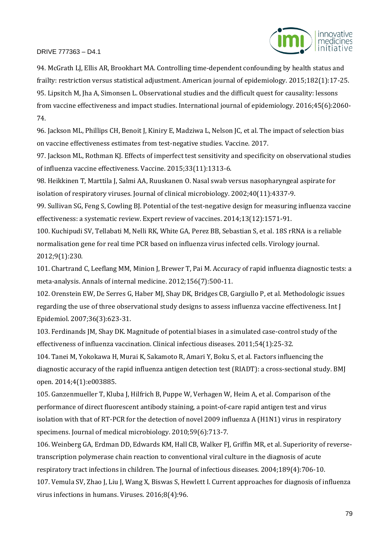

94. McGrath LJ, Ellis AR, Brookhart MA. Controlling time-dependent confounding by health status and frailty: restriction versus statistical adjustment. American journal of epidemiology. 2015;182(1):17-25. 95. Lipsitch M, Jha A, Simonsen L. Observational studies and the difficult quest for causality: lessons from vaccine effectiveness and impact studies. International journal of epidemiology. 2016;45(6):2060- 74.

96. Jackson ML, Phillips CH, Benoit J, Kiniry E, Madziwa L, Nelson JC, et al. The impact of selection bias on vaccine effectiveness estimates from test-negative studies. Vaccine. 2017.

97. Jackson ML, Rothman KJ. Effects of imperfect test sensitivity and specificity on observational studies of influenza vaccine effectiveness. Vaccine. 2015;33(11):1313-6.

98. Heikkinen T, Marttila J, Salmi AA, Ruuskanen O. Nasal swab versus nasopharyngeal aspirate for isolation of respiratory viruses. Journal of clinical microbiology. 2002;40(11):4337-9.

99. Sullivan SG, Feng S, Cowling BJ. Potential of the test-negative design for measuring influenza vaccine effectiveness: a systematic review. Expert review of vaccines. 2014;13(12):1571-91.

100. Kuchipudi SV, Tellabati M, Nelli RK, White GA, Perez BB, Sebastian S, et al. 18S rRNA is a reliable normalisation gene for real time PCR based on influenza virus infected cells. Virology journal. 2012;9(1):230.

101. Chartrand C, Leeflang MM, Minion J, Brewer T, Pai M. Accuracy of rapid influenza diagnostic tests: a meta-analysis. Annals of internal medicine. 2012;156(7):500-11.

102. Orenstein EW, De Serres G, Haber MJ, Shay DK, Bridges CB, Gargiullo P, et al. Methodologic issues regarding the use of three observational study designs to assess influenza vaccine effectiveness. Int J Epidemiol. 2007;36(3):623-31.

103. Ferdinands JM, Shay DK. Magnitude of potential biases in a simulated case-control study of the effectiveness of influenza vaccination. Clinical infectious diseases. 2011;54(1):25-32.

104. Tanei M, Yokokawa H, Murai K, Sakamoto R, Amari Y, Boku S, et al. Factors influencing the diagnostic accuracy of the rapid influenza antigen detection test (RIADT): a cross-sectional study. BMJ open. 2014;4(1):e003885.

105. Ganzenmueller T, Kluba J, Hilfrich B, Puppe W, Verhagen W, Heim A, et al. Comparison of the performance of direct fluorescent antibody staining, a point-of-care rapid antigen test and virus isolation with that of RT-PCR for the detection of novel 2009 influenza A (H1N1) virus in respiratory specimens. Journal of medical microbiology. 2010;59(6):713-7.

106. Weinberg GA, Erdman DD, Edwards KM, Hall CB, Walker FJ, Griffin MR, et al. Superiority of reversetranscription polymerase chain reaction to conventional viral culture in the diagnosis of acute respiratory tract infections in children. The Journal of infectious diseases. 2004;189(4):706-10. 107. Vemula SV, Zhao J, Liu J, Wang X, Biswas S, Hewlett I. Current approaches for diagnosis of influenza virus infections in humans. Viruses. 2016;8(4):96.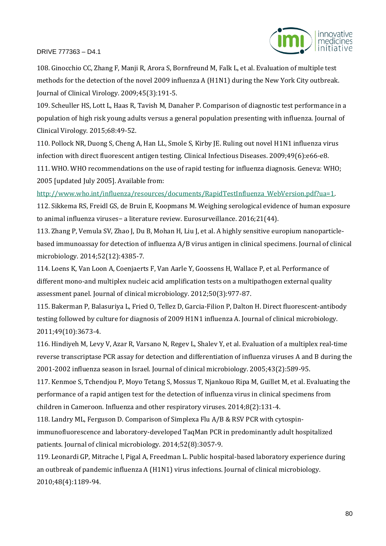

108. Ginocchio CC, Zhang F, Manji R, Arora S, Bornfreund M, Falk L, et al. Evaluation of multiple test methods for the detection of the novel 2009 influenza A (H1N1) during the New York City outbreak. Journal of Clinical Virology. 2009;45(3):191-5.

109. Scheuller HS, Lott L, Haas R, Tavish M, Danaher P. Comparison of diagnostic test performance in a population of high risk young adults versus a general population presenting with influenza. Journal of Clinical Virology. 2015;68:49-52.

110. Pollock NR, Duong S, Cheng A, Han LL, Smole S, Kirby JE. Ruling out novel H1N1 influenza virus infection with direct fluorescent antigen testing. Clinical Infectious Diseases. 2009;49(6):e66-e8. 111. WHO. WHO recommendations on the use of rapid testing for influenza diagnosis. Geneva: WHO; 2005 [updated July 2005]. Available from:

[http://www.who.int/influenza/resources/documents/RapidTestInfluenza\\_WebVersion.pdf?ua=1.](http://www.who.int/influenza/resources/documents/RapidTestInfluenza_WebVersion.pdf?ua=1)

112. Sikkema RS, Freidl GS, de Bruin E, Koopmans M. Weighing serological evidence of human exposure to animal influenza viruses− a literature review. Eurosurveillance. 2016;21(44).

113. Zhang P, Vemula SV, Zhao J, Du B, Mohan H, Liu J, et al. A highly sensitive europium nanoparticlebased immunoassay for detection of influenza A/B virus antigen in clinical specimens. Journal of clinical microbiology. 2014;52(12):4385-7.

114. Loens K, Van Loon A, Coenjaerts F, Van Aarle Y, Goossens H, Wallace P, et al. Performance of different mono-and multiplex nucleic acid amplification tests on a multipathogen external quality assessment panel. Journal of clinical microbiology. 2012;50(3):977-87.

115. Bakerman P, Balasuriya L, Fried O, Tellez D, Garcia-Filion P, Dalton H. Direct fluorescent-antibody testing followed by culture for diagnosis of 2009 H1N1 influenza A. Journal of clinical microbiology. 2011;49(10):3673-4.

116. Hindiyeh M, Levy V, Azar R, Varsano N, Regev L, Shalev Y, et al. Evaluation of a multiplex real-time reverse transcriptase PCR assay for detection and differentiation of influenza viruses A and B during the 2001-2002 influenza season in Israel. Journal of clinical microbiology. 2005;43(2):589-95.

117. Kenmoe S, Tchendjou P, Moyo Tetang S, Mossus T, Njankouo Ripa M, Guillet M, et al. Evaluating the performance of a rapid antigen test for the detection of influenza virus in clinical specimens from children in Cameroon. Influenza and other respiratory viruses. 2014;8(2):131-4.

118. Landry ML, Ferguson D. Comparison of Simplexa Flu A/B & RSV PCR with cytospinimmunofluorescence and laboratory-developed TaqMan PCR in predominantly adult hospitalized patients. Journal of clinical microbiology. 2014;52(8):3057-9.

119. Leonardi GP, Mitrache I, Pigal A, Freedman L. Public hospital-based laboratory experience during an outbreak of pandemic influenza A (H1N1) virus infections. Journal of clinical microbiology. 2010;48(4):1189-94.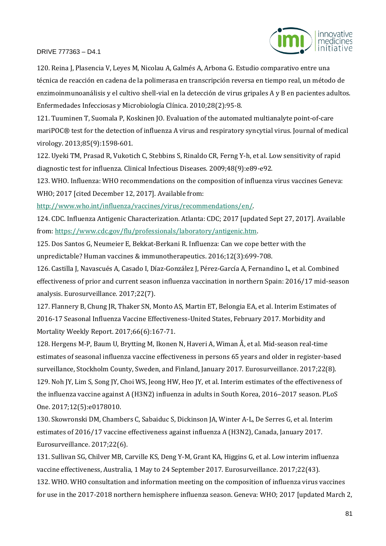

120. Reina J, Plasencia V, Leyes M, Nicolau A, Galmés A, Arbona G. Estudio comparativo entre una técnica de reacción en cadena de la polimerasa en transcripción reversa en tiempo real, un método de enzimoinmunoanálisis y el cultivo shell-vial en la detección de virus gripales A y B en pacientes adultos. Enfermedades Infecciosas y Microbiología Clínica. 2010;28(2):95-8.

121. Tuuminen T, Suomala P, Koskinen JO. Evaluation of the automated multianalyte point‐of‐care mariPOC® test for the detection of influenza A virus and respiratory syncytial virus. Journal of medical virology. 2013;85(9):1598-601.

122. Uyeki TM, Prasad R, Vukotich C, Stebbins S, Rinaldo CR, Ferng Y-h, et al. Low sensitivity of rapid diagnostic test for influenza. Clinical Infectious Diseases. 2009;48(9):e89-e92.

123. WHO. Influenza: WHO recommendations on the composition of influenza virus vaccines Geneva: WHO; 2017 [cited December 12, 2017]. Available from:

[http://www.who.int/influenza/vaccines/virus/recommendations/en/.](http://www.who.int/influenza/vaccines/virus/recommendations/en/)

124. CDC. Influenza Antigenic Characterization. Atlanta: CDC; 2017 [updated Sept 27, 2017]. Available from: [https://www.cdc.gov/flu/professionals/laboratory/antigenic.htm.](https://www.cdc.gov/flu/professionals/laboratory/antigenic.htm)

125. Dos Santos G, Neumeier E, Bekkat-Berkani R. Influenza: Can we cope better with the unpredictable? Human vaccines & immunotherapeutics. 2016;12(3):699-708.

126. Castilla J, Navascués A, Casado I, Díaz-González J, Pérez-García A, Fernandino L, et al. Combined effectiveness of prior and current season influenza vaccination in northern Spain: 2016/17 mid-season analysis. Eurosurveillance. 2017;22(7).

127. Flannery B, Chung JR, Thaker SN, Monto AS, Martin ET, Belongia EA, et al. Interim Estimates of 2016-17 Seasonal Influenza Vaccine Effectiveness-United States, February 2017. Morbidity and Mortality Weekly Report. 2017;66(6):167-71.

128. Hergens M-P, Baum U, Brytting M, Ikonen N, Haveri A, Wiman Å, et al. Mid-season real-time estimates of seasonal influenza vaccine effectiveness in persons 65 years and older in register-based surveillance, Stockholm County, Sweden, and Finland, January 2017. Eurosurveillance. 2017;22(8). 129. Noh JY, Lim S, Song JY, Choi WS, Jeong HW, Heo JY, et al. Interim estimates of the effectiveness of the influenza vaccine against A (H3N2) influenza in adults in South Korea, 2016–2017 season. PLoS One. 2017;12(5):e0178010.

130. Skowronski DM, Chambers C, Sabaiduc S, Dickinson JA, Winter A-L, De Serres G, et al. Interim estimates of 2016/17 vaccine effectiveness against influenza A (H3N2), Canada, January 2017. Eurosurveillance. 2017;22(6).

131. Sullivan SG, Chilver MB, Carville KS, Deng Y-M, Grant KA, Higgins G, et al. Low interim influenza vaccine effectiveness, Australia, 1 May to 24 September 2017. Eurosurveillance. 2017;22(43). 132. WHO. WHO consultation and information meeting on the composition of influenza virus vaccines for use in the 2017-2018 northern hemisphere influenza season. Geneva: WHO; 2017 [updated March 2,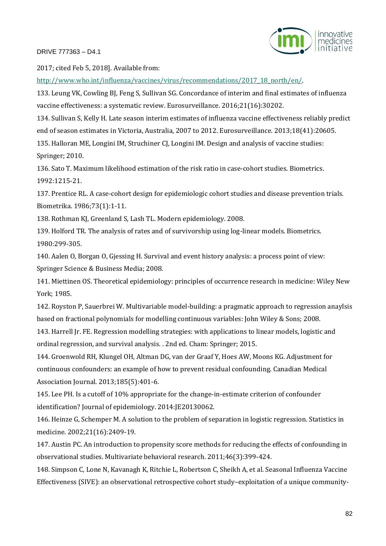

2017; cited Feb 5, 2018]. Available from:

[http://www.who.int/influenza/vaccines/virus/recommendations/2017\\_18\\_north/en/.](http://www.who.int/influenza/vaccines/virus/recommendations/2017_18_north/en/)

133. Leung VK, Cowling BJ, Feng S, Sullivan SG. Concordance of interim and final estimates of influenza vaccine effectiveness: a systematic review. Eurosurveillance. 2016;21(16):30202.

134. Sullivan S, Kelly H. Late season interim estimates of influenza vaccine effectiveness reliably predict end of season estimates in Victoria, Australia, 2007 to 2012. Eurosurveillance. 2013;18(41):20605.

135. Halloran ME, Longini IM, Struchiner CJ, Longini IM. Design and analysis of vaccine studies: Springer; 2010.

136. Sato T. Maximum likelihood estimation of the risk ratio in case-cohort studies. Biometrics. 1992:1215-21.

137. Prentice RL. A case-cohort design for epidemiologic cohort studies and disease prevention trials. Biometrika. 1986;73(1):1-11.

138. Rothman KJ, Greenland S, Lash TL. Modern epidemiology. 2008.

139. Holford TR. The analysis of rates and of survivorship using log-linear models. Biometrics. 1980:299-305.

140. Aalen O, Borgan O, Gjessing H. Survival and event history analysis: a process point of view: Springer Science & Business Media; 2008.

141. Miettinen OS. Theoretical epidemiology: principles of occurrence research in medicine: Wiley New York; 1985.

142. Royston P, Sauerbrei W. Multivariable model-building: a pragmatic approach to regression anaylsis based on fractional polynomials for modelling continuous variables: John Wiley & Sons; 2008.

143. Harrell Jr. FE. Regression modelling strategies: with applications to linear models, logistic and ordinal regression, and survival analysis. . 2nd ed. Cham: Springer; 2015.

144. Groenwold RH, Klungel OH, Altman DG, van der Graaf Y, Hoes AW, Moons KG. Adjustment for continuous confounders: an example of how to prevent residual confounding. Canadian Medical Association Journal. 2013;185(5):401-6.

145. Lee PH. Is a cutoff of 10% appropriate for the change-in-estimate criterion of confounder identification? Journal of epidemiology. 2014:JE20130062.

146. Heinze G, Schemper M. A solution to the problem of separation in logistic regression. Statistics in medicine. 2002;21(16):2409-19.

147. Austin PC. An introduction to propensity score methods for reducing the effects of confounding in observational studies. Multivariate behavioral research. 2011;46(3):399-424.

148. Simpson C, Lone N, Kavanagh K, Ritchie L, Robertson C, Sheikh A, et al. Seasonal Influenza Vaccine Effectiveness (SIVE): an observational retrospective cohort study–exploitation of a unique community-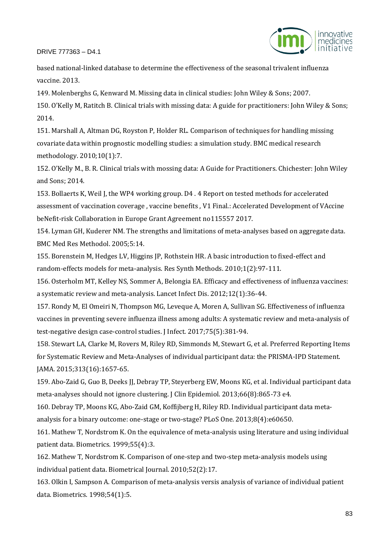

based national-linked database to determine the effectiveness of the seasonal trivalent influenza vaccine. 2013.

149. Molenberghs G, Kenward M. Missing data in clinical studies: John Wiley & Sons; 2007. 150. O'Kelly M, Ratitch B. Clinical trials with missing data: A guide for practitioners: John Wiley & Sons; 2014.

151. Marshall A, Altman DG, Royston P, Holder RL. Comparison of techniques for handling missing covariate data within prognostic modelling studies: a simulation study. BMC medical research methodology. 2010;10(1):7.

152. O'Kelly M., B. R. Clinical trials with mossing data: A Guide for Practitioners. Chichester: John Wiley and Sons; 2014.

153. Bollaerts K, Weil J, the WP4 working group. D4 . 4 Report on tested methods for accelerated assessment of vaccination coverage , vaccine benefits , V1 Final.: Accelerated Development of VAccine beNefit-risk Collaboration in Europe Grant Agreement no115557 2017.

154. Lyman GH, Kuderer NM. The strengths and limitations of meta-analyses based on aggregate data. BMC Med Res Methodol. 2005;5:14.

155. Borenstein M, Hedges LV, Higgins JP, Rothstein HR. A basic introduction to fixed-effect and random-effects models for meta-analysis. Res Synth Methods. 2010;1(2):97-111.

156. Osterholm MT, Kelley NS, Sommer A, Belongia EA. Efficacy and effectiveness of influenza vaccines: a systematic review and meta-analysis. Lancet Infect Dis. 2012;12(1):36-44.

157. Rondy M, El Omeiri N, Thompson MG, Leveque A, Moren A, Sullivan SG. Effectiveness of influenza vaccines in preventing severe influenza illness among adults: A systematic review and meta-analysis of test-negative design case-control studies. J Infect. 2017;75(5):381-94.

158. Stewart LA, Clarke M, Rovers M, Riley RD, Simmonds M, Stewart G, et al. Preferred Reporting Items for Systematic Review and Meta-Analyses of individual participant data: the PRISMA-IPD Statement. JAMA. 2015;313(16):1657-65.

159. Abo-Zaid G, Guo B, Deeks JJ, Debray TP, Steyerberg EW, Moons KG, et al. Individual participant data meta-analyses should not ignore clustering. J Clin Epidemiol. 2013;66(8):865-73 e4.

160. Debray TP, Moons KG, Abo-Zaid GM, Koffijberg H, Riley RD. Individual participant data metaanalysis for a binary outcome: one-stage or two-stage? PLoS One. 2013;8(4):e60650.

161. Mathew T, Nordstrom K. On the equivalence of meta-analysis using literature and using individual patient data. Biometrics. 1999;55(4):3.

162. Mathew T, Nordstrom K. Comparison of one-step and two-step meta-analysis models using individual patient data. Biometrical Journal. 2010;52(2):17.

163. Olkin I, Sampson A. Comparison of meta-analysis versis analysis of variance of individual patient data. Biometrics. 1998;54(1):5.